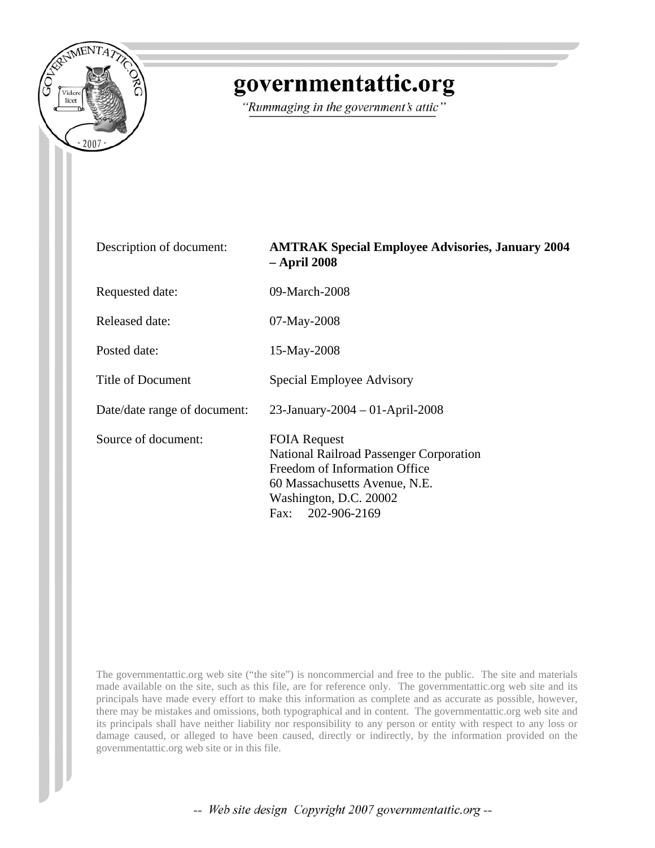

### governmentattic.org

"Rummaging in the government's attic"

| Description of document:     | <b>AMTRAK Special Employee Advisories, January 2004</b><br>$-$ April 2008                                                                                                                 |  |  |
|------------------------------|-------------------------------------------------------------------------------------------------------------------------------------------------------------------------------------------|--|--|
| Requested date:              | 09-March-2008                                                                                                                                                                             |  |  |
| Released date:               | 07-May-2008                                                                                                                                                                               |  |  |
| Posted date:                 | 15-May-2008                                                                                                                                                                               |  |  |
| Title of Document            | Special Employee Advisory                                                                                                                                                                 |  |  |
| Date/date range of document: | 23-January-2004 - 01-April-2008                                                                                                                                                           |  |  |
| Source of document:          | <b>FOIA Request</b><br><b>National Railroad Passenger Corporation</b><br>Freedom of Information Office<br>60 Massachusetts Avenue, N.E.<br>Washington, D.C. 20002<br>202-906-2169<br>Fax: |  |  |

The governmentattic.org web site ("the site") is noncommercial and free to the public. The site and materials made available on the site, such as this file, are for reference only. The governmentattic.org web site and its principals have made every effort to make this information as complete and as accurate as possible, however, there may be mistakes and omissions, both typographical and in content. The governmentattic.org web site and its principals shall have neither liability nor responsibility to any person or entity with respect to any loss or damage caused, or alleged to have been caused, directly or indirectly, by the information provided on the governmentattic.org web site or in this file.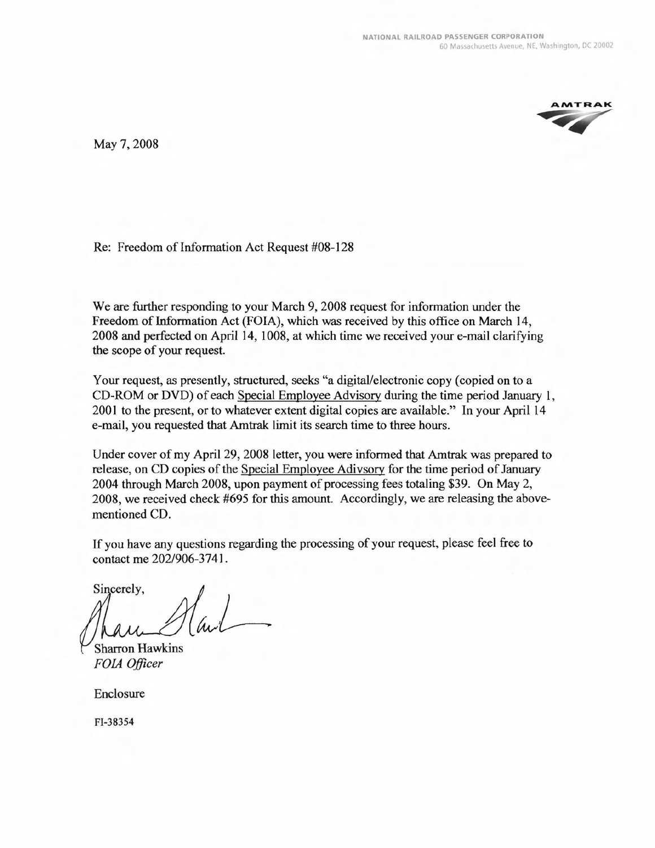**AMTRAK** 

May 7, 2008

Re: Freedom of Information Act Request #08-128

We are further responding to your March 9, 2008 request for information under the Freedom of Information Act (FOIA), which was received by this office on March 14, 2008 and perfected on April 14, 1008, at which time we received your e-mail clarifying the scope of your request.

Your request, as presently, structured, seeks "a digital/electronic copy (copied on to a CD-ROM or DVD) of each Special Employee Advisory during the time period January I, 2001 to the present, or to whatever extent digital copies are available." In your April 14 e-mail, you requested that Amtrak limit its search time to three hours.

Under cover of my April 29, 2008 letter, you were informed that Amtrak was prepared to release, on CD copies of the Special Employee Adivsory for the time period of January 2004 through March 2008, upon payment of processing fees totaling \$39. On May 2, 2008, we received check #695 for this amount. Accordingly, we are releasing the abovementioned CD.

If you have any questions regarding the processing of your request, please feel free to contact me 202/906-3741.

Sincerely,

Sharron Hawkins *FOIA Officer*

Enclosure

FI-38354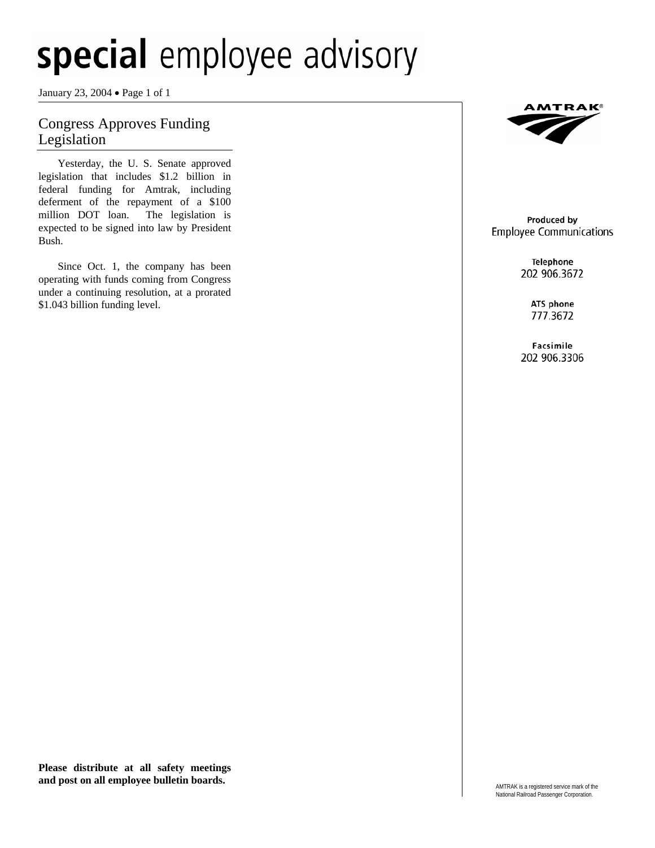January 23, 2004 • Page 1 of 1

### Congress Approves Funding Legislation

Yesterday, the U. S. Senate approved legislation that includes \$1.2 billion in federal funding for Amtrak, including deferment of the repayment of a \$100 million DOT loan. The legislation is expected to be signed into law by President Bush.

Since Oct. 1, the company has been operating with funds coming from Congress under a continuing resolution, at a prorated \$1.043 billion funding level.



Produced by **Employee Communications** 

> Telephone 202 906.3672

> > ATS phone 777.3672

Facsimile 202 906.3306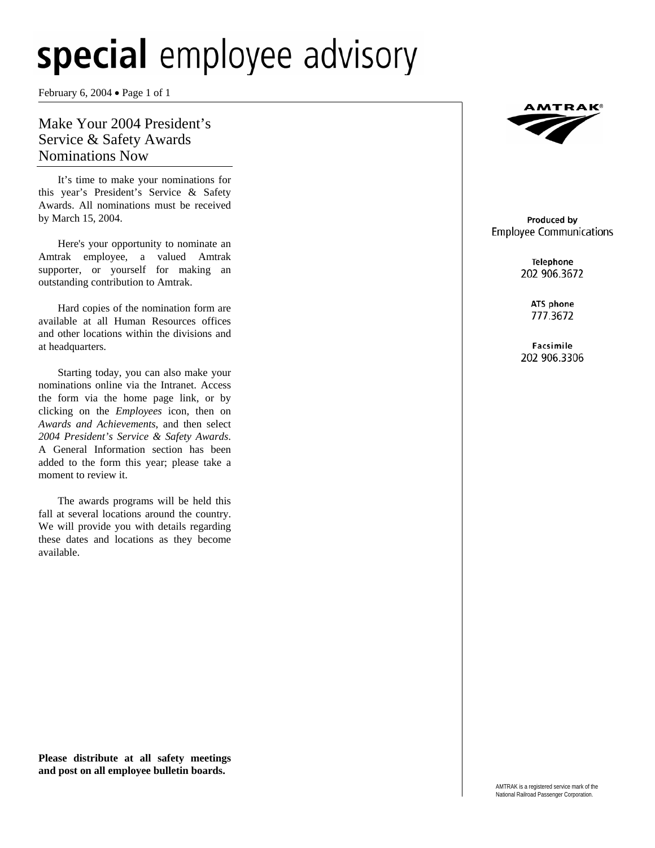February 6, 2004 • Page 1 of 1

### Make Your 2004 President's Service & Safety Awards Nominations Now

It's time to make your nominations for this year's President's Service & Safety Awards. All nominations must be received by March 15, 2004.

Here's your opportunity to nominate an Amtrak employee, a valued Amtrak supporter, or yourself for making an outstanding contribution to Amtrak.

Hard copies of the nomination form are available at all Human Resources offices and other locations within the divisions and at headquarters.

Starting today, you can also make your nominations online via the Intranet. Access the form via the home page link, or by clicking on the *Employees* icon, then on *Awards and Achievements*, and then select *2004 President's Service & Safety Awards*. A General Information section has been added to the form this year; please take a moment to review it.

The awards programs will be held this fall at several locations around the country. We will provide you with details regarding these dates and locations as they become available.



#### Produced by **Employee Communications**

Telephone 202 906.3672

> ATS phone 777.3672

Facsimile 202 906.3306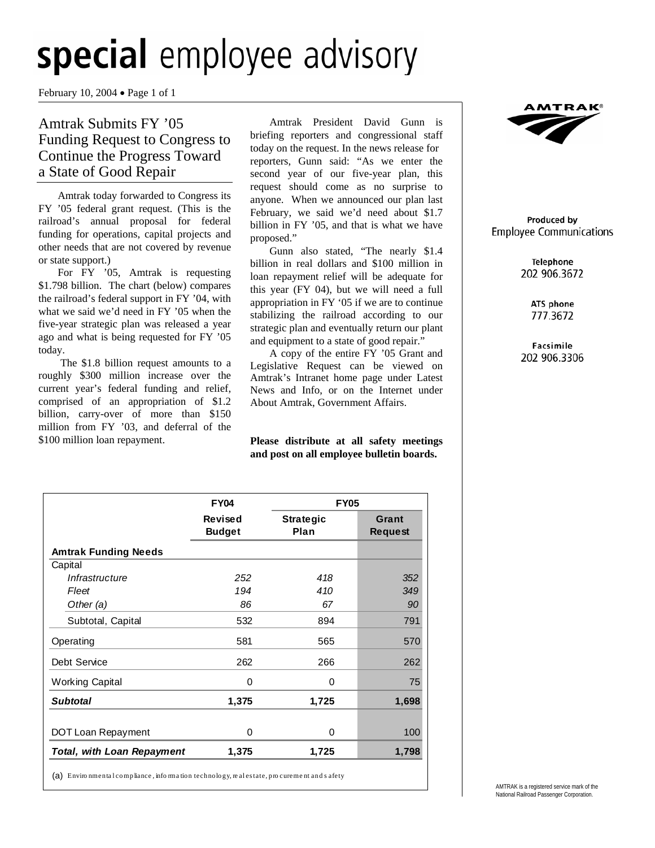February 10, 2004 • Page 1 of 1

### Amtrak Submits FY '05 Funding Request to Congress to Continue the Progress Toward a State of Good Repair

Amtrak today forwarded to Congress its FY '05 federal grant request. (This is the railroad's annual proposal for federal funding for operations, capital projects and other needs that are not covered by revenue or state support.)

For FY '05, Amtrak is requesting \$1.798 billion. The chart (below) compares the railroad's federal support in FY '04, with what we said we'd need in FY '05 when the five-year strategic plan was released a year ago and what is being requested for FY '05 today.

 The \$1.8 billion request amounts to a roughly \$300 million increase over the current year's federal funding and relief, comprised of an appropriation of \$1.2 billion, carry-over of more than \$150 million from FY '03, and deferral of the \$100 million loan repayment.

Amtrak President David Gunn is briefing reporters and congressional staff today on the request. In the news release for reporters, Gunn said: "As we enter the second year of our five-year plan, this request should come as no surprise to anyone. When we announced our plan last February, we said we'd need about \$1.7 billion in FY '05, and that is what we have proposed."

 Gunn also stated, "The nearly \$1.4 billion in real dollars and \$100 million in loan repayment relief will be adequate for this year (FY 04), but we will need a full appropriation in FY '05 if we are to continue stabilizing the railroad according to our strategic plan and eventually return our plant and equipment to a state of good repair."

 A copy of the entire FY '05 Grant and Legislative Request can be viewed on Amtrak's Intranet home page under Latest News and Info, or on the Internet under About Amtrak, Government Affairs.

**Please distribute at all safety meetings and post on all employee bulletin boards.** 

|                                   | <b>FY04</b>              | <b>FY05</b>              |                         |
|-----------------------------------|--------------------------|--------------------------|-------------------------|
|                                   | Revised<br><b>Budget</b> | <b>Strategic</b><br>Plan | Grant<br><b>Request</b> |
| <b>Amtrak Funding Needs</b>       |                          |                          |                         |
| Capital                           |                          |                          |                         |
| Infrastructure                    | 252                      | 418                      | 352                     |
| Fleet                             | 194                      | 410                      | 349                     |
| Other $(a)$                       | 86                       | 67                       | 90                      |
| Subtotal, Capital                 | 532                      | 894                      | 791                     |
| Operating                         | 581                      | 565                      | 570                     |
| Debt Service                      | 262                      | 266                      | 262                     |
| <b>Working Capital</b>            | 0                        | 0                        | 75                      |
| <b>Subtotal</b>                   | 1,375                    | 1,725                    | 1,698                   |
|                                   |                          |                          |                         |
| DOT Loan Repayment                | 0                        | 0                        | 100                     |
| <b>Total, with Loan Repayment</b> | 1,375                    | 1,725                    | 1,798                   |

(a) Enviro nmental compliance, information technology, real estate, procurement and s afety



#### Produced by **Employee Communications**

Telephone 202 906.3672

> ATS phone 777.3672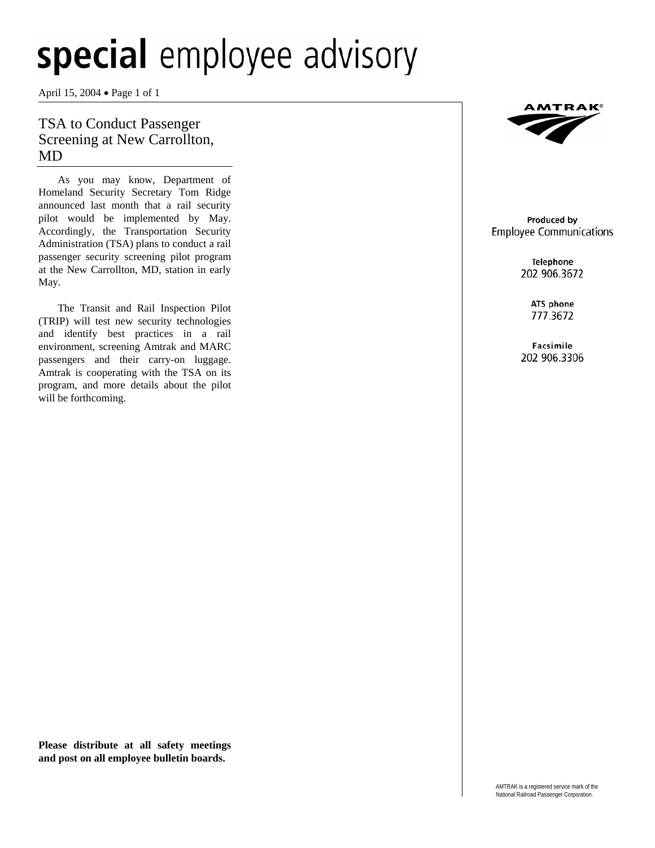April 15, 2004 • Page 1 of 1

### TSA to Conduct Passenger Screening at New Carrollton, MD

As you may know, Department of Homeland Security Secretary Tom Ridge announced last month that a rail security pilot would be implemented by May. Accordingly, the Transportation Security Administration (TSA) plans to conduct a rail passenger security screening pilot program at the New Carrollton, MD, station in early May.

The Transit and Rail Inspection Pilot (TRIP) will test new security technologies and identify best practices in a rail environment, screening Amtrak and MARC passengers and their carry-on luggage. Amtrak is cooperating with the TSA on its program, and more details about the pilot will be forthcoming.



Produced by **Employee Communications** 

> Telephone 202 906.3672

> > ATS phone 777.3672

Facsimile 202 906.3306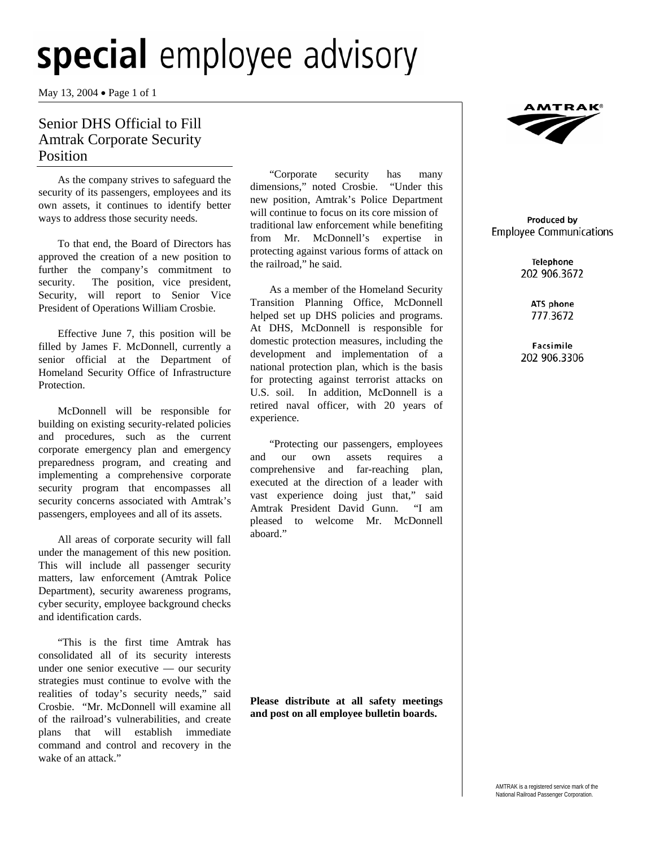May 13, 2004 • Page 1 of 1

### Senior DHS Official to Fill Amtrak Corporate Security Position

 As the company strives to safeguard the security of its passengers, employees and its own assets, it continues to identify better ways to address those security needs.

To that end, the Board of Directors has approved the creation of a new position to further the company's commitment to security. The position, vice president, Security, will report to Senior Vice President of Operations William Crosbie.

Effective June 7, this position will be filled by James F. McDonnell, currently a senior official at the Department of Homeland Security Office of Infrastructure Protection.

McDonnell will be responsible for building on existing security-related policies and procedures, such as the current corporate emergency plan and emergency preparedness program, and creating and implementing a comprehensive corporate security program that encompasses all security concerns associated with Amtrak's passengers, employees and all of its assets.

All areas of corporate security will fall under the management of this new position. This will include all passenger security matters, law enforcement (Amtrak Police Department), security awareness programs, cyber security, employee background checks and identification cards.

"This is the first time Amtrak has consolidated all of its security interests under one senior executive — our security strategies must continue to evolve with the realities of today's security needs," said Crosbie. "Mr. McDonnell will examine all of the railroad's vulnerabilities, and create plans that will establish immediate command and control and recovery in the wake of an attack."

"Corporate security has many dimensions," noted Crosbie. "Under this new position, Amtrak's Police Department will continue to focus on its core mission of traditional law enforcement while benefiting from Mr. McDonnell's expertise in protecting against various forms of attack on the railroad," he said.

As a member of the Homeland Security Transition Planning Office, McDonnell helped set up DHS policies and programs. At DHS, McDonnell is responsible for domestic protection measures, including the development and implementation of a national protection plan, which is the basis for protecting against terrorist attacks on U.S. soil. In addition, McDonnell is a retired naval officer, with 20 years of experience.

"Protecting our passengers, employees and our own assets requires a comprehensive and far-reaching plan, executed at the direction of a leader with vast experience doing just that," said Amtrak President David Gunn. "I am pleased to welcome Mr. McDonnell aboard."

**Please distribute at all safety meetings and post on all employee bulletin boards.** 



#### Produced by **Employee Communications**

Telephone 202 906.3672

> ATS phone 777.3672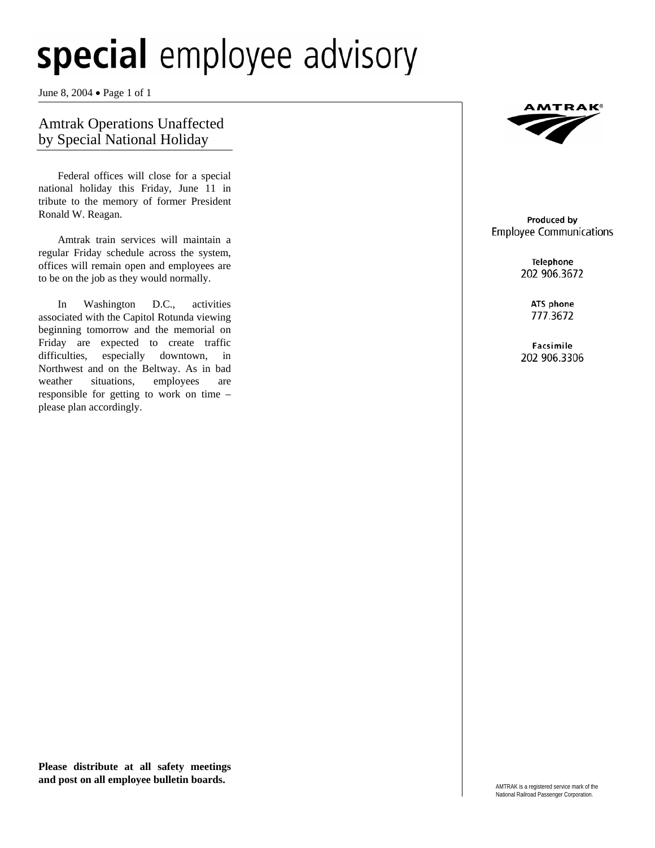June 8, 2004 • Page 1 of 1

### Amtrak Operations Unaffected by Special National Holiday

Federal offices will close for a special national holiday this Friday, June 11 in tribute to the memory of former President Ronald W. Reagan.

Amtrak train services will maintain a regular Friday schedule across the system, offices will remain open and employees are to be on the job as they would normally.

In Washington D.C., activities associated with the Capitol Rotunda viewing beginning tomorrow and the memorial on Friday are expected to create traffic difficulties, especially downtown, in Northwest and on the Beltway. As in bad weather situations, employees are responsible for getting to work on time – please plan accordingly.



#### Produced by **Employee Communications**

Telephone 202 906.3672

> ATS phone 777.3672

Facsimile 202 906.3306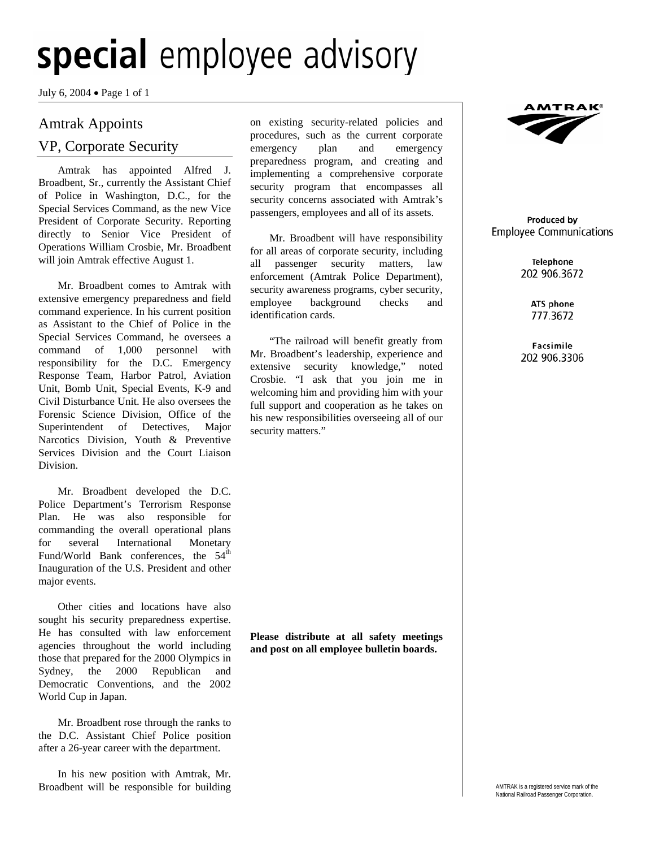July 6, 2004 • Page 1 of 1

### Amtrak Appoints

### VP, Corporate Security

 Amtrak has appointed Alfred J. Broadbent, Sr., currently the Assistant Chief of Police in Washington, D.C., for the Special Services Command, as the new Vice President of Corporate Security. Reporting directly to Senior Vice President of Operations William Crosbie, Mr. Broadbent will join Amtrak effective August 1.

 Mr. Broadbent comes to Amtrak with extensive emergency preparedness and field command experience. In his current position as Assistant to the Chief of Police in the Special Services Command, he oversees a command of 1,000 personnel with responsibility for the D.C. Emergency Response Team, Harbor Patrol, Aviation Unit, Bomb Unit, Special Events, K-9 and Civil Disturbance Unit. He also oversees the Forensic Science Division, Office of the Superintendent of Detectives, Major Narcotics Division, Youth & Preventive Services Division and the Court Liaison Division.

 Mr. Broadbent developed the D.C. Police Department's Terrorism Response Plan. He was also responsible for commanding the overall operational plans for several International Monetary Fund/World Bank conferences, the  $54<sup>th</sup>$ Inauguration of the U.S. President and other major events.

 Other cities and locations have also sought his security preparedness expertise. He has consulted with law enforcement agencies throughout the world including those that prepared for the 2000 Olympics in Sydney, the 2000 Republican and Democratic Conventions, and the 2002 World Cup in Japan.

 Mr. Broadbent rose through the ranks to the D.C. Assistant Chief Police position after a 26-year career with the department.

In his new position with Amtrak, Mr. Broadbent will be responsible for building

on existing security-related policies and procedures, such as the current corporate emergency plan and emergency preparedness program, and creating and implementing a comprehensive corporate security program that encompasses all security concerns associated with Amtrak's passengers, employees and all of its assets.

Mr. Broadbent will have responsibility for all areas of corporate security, including all passenger security matters, law enforcement (Amtrak Police Department), security awareness programs, cyber security, employee background checks and identification cards.

"The railroad will benefit greatly from Mr. Broadbent's leadership, experience and extensive security knowledge," noted Crosbie. "I ask that you join me in welcoming him and providing him with your full support and cooperation as he takes on his new responsibilities overseeing all of our security matters."

**Please distribute at all safety meetings and post on all employee bulletin boards.** 



#### Produced by **Employee Communications**

Telephone 202 906.3672

> ATS phone 777.3672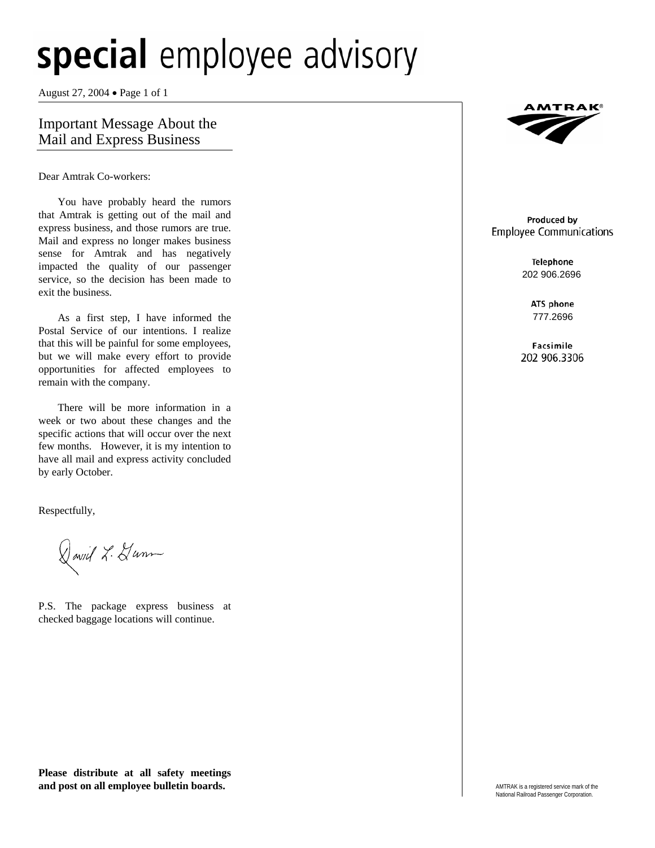August 27, 2004 • Page 1 of 1

### Important Message About the Mail and Express Business

Dear Amtrak Co-workers:

You have probably heard the rumors that Amtrak is getting out of the mail and express business, and those rumors are true. Mail and express no longer makes business sense for Amtrak and has negatively impacted the quality of our passenger service, so the decision has been made to exit the business.

As a first step, I have informed the Postal Service of our intentions. I realize that this will be painful for some employees, but we will make every effort to provide opportunities for affected employees to remain with the company.

There will be more information in a week or two about these changes and the specific actions that will occur over the next few months. However, it is my intention to have all mail and express activity concluded by early October.

Respectfully,

David L. Hunn

P.S. The package express business at checked baggage locations will continue.



#### Produced by **Employee Communications**

Telephone 202 906.2696

> ATS phone 777.2696

Facsimile 202 906.3306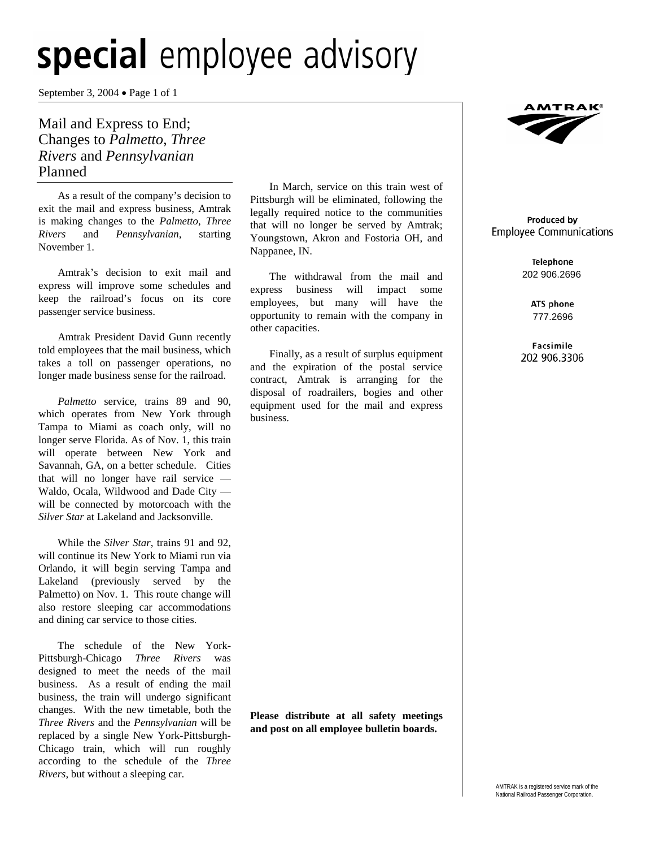September 3, 2004 • Page 1 of 1

### Mail and Express to End; Changes to *Palmetto*, *Three Rivers* and *Pennsylvanian*  Planned

As a result of the company's decision to exit the mail and express business, Amtrak is making changes to the *Palmetto*, *Three Rivers* and *Pennsylvanian*, starting November 1.

Amtrak's decision to exit mail and express will improve some schedules and keep the railroad's focus on its core passenger service business.

Amtrak President David Gunn recently told employees that the mail business, which takes a toll on passenger operations, no longer made business sense for the railroad.

*Palmetto* service, trains 89 and 90, which operates from New York through Tampa to Miami as coach only, will no longer serve Florida. As of Nov. 1, this train will operate between New York and Savannah, GA, on a better schedule. Cities that will no longer have rail service — Waldo, Ocala, Wildwood and Dade City will be connected by motorcoach with the *Silver Star* at Lakeland and Jacksonville.

While the *Silver Star*, trains 91 and 92, will continue its New York to Miami run via Orlando, it will begin serving Tampa and Lakeland (previously served by the Palmetto) on Nov. 1. This route change will also restore sleeping car accommodations and dining car service to those cities.

The schedule of the New York-Pittsburgh-Chicago *Three Rivers* was designed to meet the needs of the mail business. As a result of ending the mail business, the train will undergo significant changes. With the new timetable, both the *Three Rivers* and the *Pennsylvanian* will be replaced by a single New York-Pittsburgh-Chicago train, which will run roughly according to the schedule of the *Three Rivers*, but without a sleeping car.

In March, service on this train west of Pittsburgh will be eliminated, following the legally required notice to the communities that will no longer be served by Amtrak; Youngstown, Akron and Fostoria OH, and Nappanee, IN.

The withdrawal from the mail and express business will impact some employees, but many will have the opportunity to remain with the company in other capacities.

Finally, as a result of surplus equipment and the expiration of the postal service contract, Amtrak is arranging for the disposal of roadrailers, bogies and other equipment used for the mail and express business.

**Please distribute at all safety meetings and post on all employee bulletin boards.** 



#### Produced by **Employee Communications**

Telephone 202 906.2696

> ATS phone 777.2696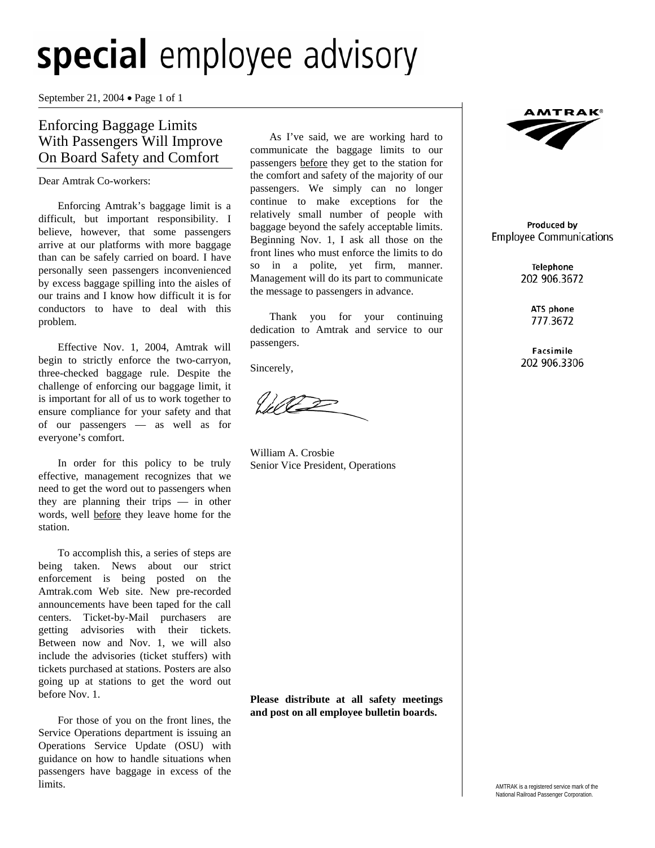September 21, 2004 • Page 1 of 1

### Enforcing Baggage Limits With Passengers Will Improve On Board Safety and Comfort

Dear Amtrak Co-workers:

Enforcing Amtrak's baggage limit is a difficult, but important responsibility. I believe, however, that some passengers arrive at our platforms with more baggage than can be safely carried on board. I have personally seen passengers inconvenienced by excess baggage spilling into the aisles of our trains and I know how difficult it is for conductors to have to deal with this problem.

Effective Nov. 1, 2004, Amtrak will begin to strictly enforce the two-carryon, three-checked baggage rule. Despite the challenge of enforcing our baggage limit, it is important for all of us to work together to ensure compliance for your safety and that of our passengers — as well as for everyone's comfort.

In order for this policy to be truly effective, management recognizes that we need to get the word out to passengers when they are planning their trips — in other words, well before they leave home for the station.

To accomplish this, a series of steps are being taken. News about our strict enforcement is being posted on the Amtrak.com Web site. New pre-recorded announcements have been taped for the call centers. Ticket-by-Mail purchasers are getting advisories with their tickets. Between now and Nov. 1, we will also include the advisories (ticket stuffers) with tickets purchased at stations. Posters are also going up at stations to get the word out before Nov. 1.

For those of you on the front lines, the Service Operations department is issuing an Operations Service Update (OSU) with guidance on how to handle situations when passengers have baggage in excess of the limits.

As I've said, we are working hard to communicate the baggage limits to our passengers before they get to the station for the comfort and safety of the majority of our passengers. We simply can no longer continue to make exceptions for the relatively small number of people with baggage beyond the safely acceptable limits. Beginning Nov. 1, I ask all those on the front lines who must enforce the limits to do so in a polite, yet firm, manner. Management will do its part to communicate the message to passengers in advance.

Thank you for your continuing dedication to Amtrak and service to our passengers.

Sincerely,

William A. Crosbie Senior Vice President, Operations

**Please distribute at all safety meetings and post on all employee bulletin boards.** 



#### Produced by **Employee Communications**

Telephone 202 906.3672

> ATS phone 777.3672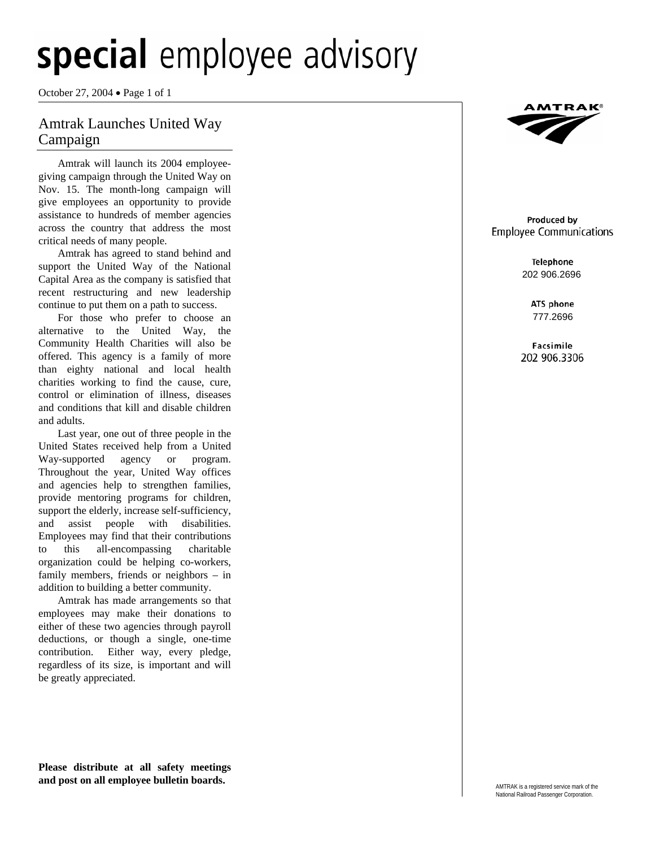October 27, 2004 • Page 1 of 1

### Amtrak Launches United Way Campaign

Amtrak will launch its 2004 employeegiving campaign through the United Way on Nov. 15. The month-long campaign will give employees an opportunity to provide assistance to hundreds of member agencies across the country that address the most critical needs of many people.

Amtrak has agreed to stand behind and support the United Way of the National Capital Area as the company is satisfied that recent restructuring and new leadership continue to put them on a path to success.

 For those who prefer to choose an alternative to the United Way, the Community Health Charities will also be offered. This agency is a family of more than eighty national and local health charities working to find the cause, cure, control or elimination of illness, diseases and conditions that kill and disable children and adults.

Last year, one out of three people in the United States received help from a United Way-supported agency or program. Throughout the year, United Way offices and agencies help to strengthen families, provide mentoring programs for children, support the elderly, increase self-sufficiency, and assist people with disabilities. Employees may find that their contributions to this all-encompassing charitable organization could be helping co-workers, family members, friends or neighbors – in addition to building a better community.

 Amtrak has made arrangements so that employees may make their donations to either of these two agencies through payroll deductions, or though a single, one-time contribution. Either way, every pledge, regardless of its size, is important and will be greatly appreciated.

**IMTRAK®** 

#### Produced by **Employee Communications**

Telephone 202 906.2696

> ATS phone 777.2696

Facsimile 202 906.3306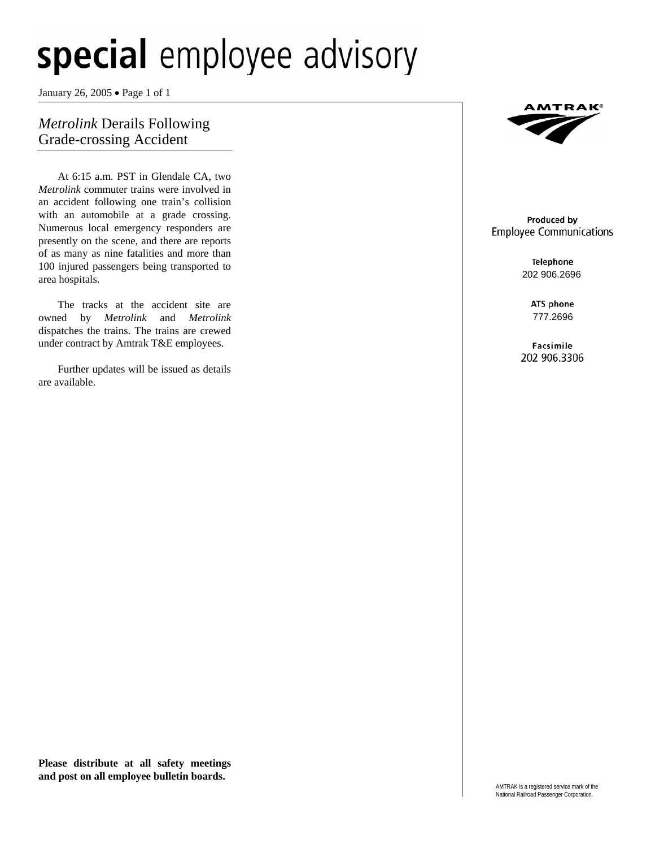January 26, 2005 • Page 1 of 1

### *Metrolink* Derails Following Grade-crossing Accident

At 6:15 a.m. PST in Glendale CA, two *Metrolink* commuter trains were involved in an accident following one train's collision with an automobile at a grade crossing. Numerous local emergency responders are presently on the scene, and there are reports of as many as nine fatalities and more than 100 injured passengers being transported to area hospitals.

The tracks at the accident site are owned by *Metrolink* and *Metrolink*  dispatches the trains. The trains are crewed under contract by Amtrak T&E employees.

Further updates will be issued as details are available.



#### Produced by **Employee Communications**

Telephone 202 906.2696

> ATS phone 777.2696

Facsimile 202 906.3306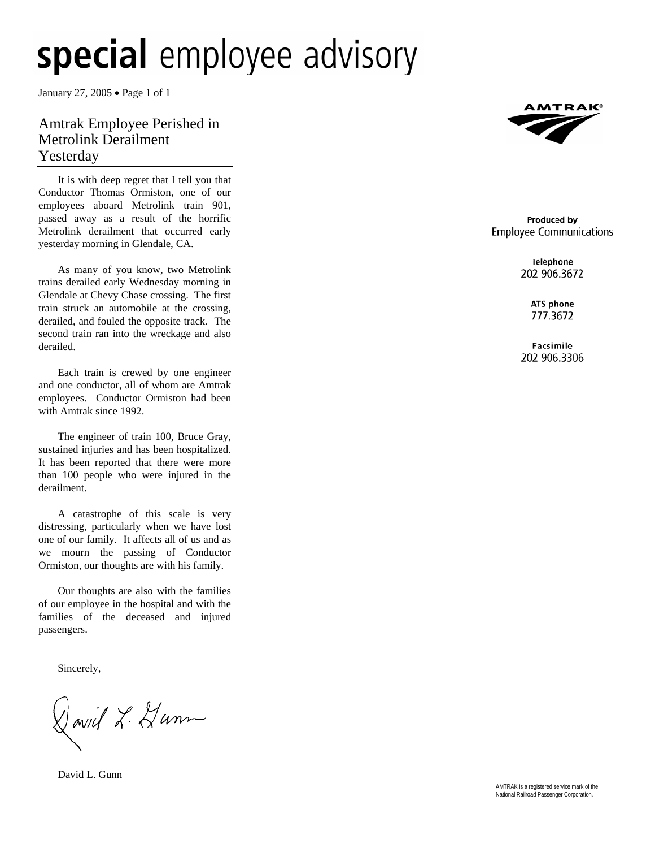January 27, 2005 • Page 1 of 1

### Amtrak Employee Perished in Metrolink Derailment Yesterday

It is with deep regret that I tell you that Conductor Thomas Ormiston, one of our employees aboard Metrolink train 901, passed away as a result of the horrific Metrolink derailment that occurred early yesterday morning in Glendale, CA.

As many of you know, two Metrolink trains derailed early Wednesday morning in Glendale at Chevy Chase crossing. The first train struck an automobile at the crossing, derailed, and fouled the opposite track. The second train ran into the wreckage and also derailed.

Each train is crewed by one engineer and one conductor, all of whom are Amtrak employees. Conductor Ormiston had been with Amtrak since 1992.

The engineer of train 100, Bruce Gray, sustained injuries and has been hospitalized. It has been reported that there were more than 100 people who were injured in the derailment.

A catastrophe of this scale is very distressing, particularly when we have lost one of our family. It affects all of us and as we mourn the passing of Conductor Ormiston, our thoughts are with his family.

Our thoughts are also with the families of our employee in the hospital and with the families of the deceased and injured passengers.

Sincerely,

 $\bigotimes$ aviil  $X.$   $\bigotimes$ unn

David L. Gunn



#### Produced by **Employee Communications**

Telephone 202 906.3672

> ATS phone 777.3672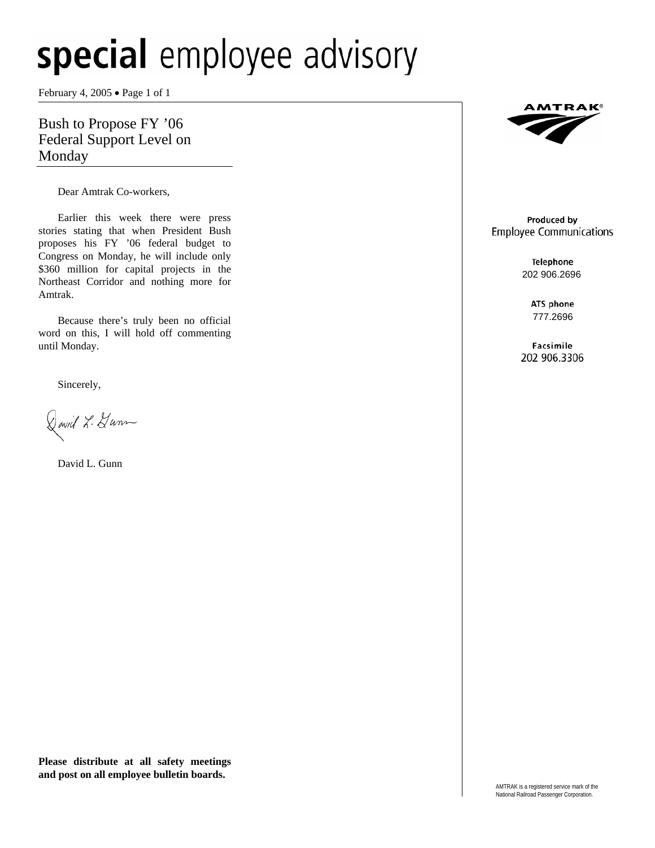February 4, 2005 • Page 1 of 1

Bush to Propose FY '06 Federal Support Level on Monday

Dear Amtrak Co-workers,

Earlier this week there were press stories stating that when President Bush proposes his FY '06 federal budget to Congress on Monday, he will include only \$360 million for capital projects in the Northeast Corridor and nothing more for Amtrak.

Because there's truly been no official word on this, I will hold off commenting until Monday.

Sincerely,

David L. Dunn

David L. Gunn

AMTRAK®

#### Produced by **Employee Communications**

Telephone 202 906.2696

> ATS phone 777.2696

Facsimile 202 906.3306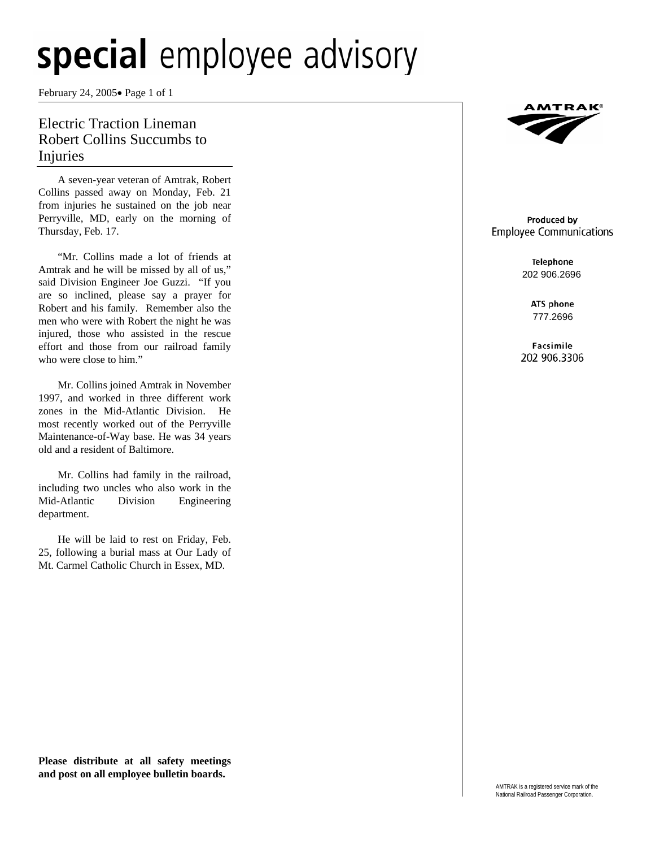February 24, 2005• Page 1 of 1

### Electric Traction Lineman Robert Collins Succumbs to Injuries

A seven-year veteran of Amtrak, Robert Collins passed away on Monday, Feb. 21 from injuries he sustained on the job near Perryville, MD, early on the morning of Thursday, Feb. 17.

"Mr. Collins made a lot of friends at Amtrak and he will be missed by all of us," said Division Engineer Joe Guzzi. "If you are so inclined, please say a prayer for Robert and his family. Remember also the men who were with Robert the night he was injured, those who assisted in the rescue effort and those from our railroad family who were close to him."

Mr. Collins joined Amtrak in November 1997, and worked in three different work zones in the Mid-Atlantic Division. He most recently worked out of the Perryville Maintenance-of-Way base. He was 34 years old and a resident of Baltimore.

Mr. Collins had family in the railroad, including two uncles who also work in the Mid-Atlantic Division Engineering department.

He will be laid to rest on Friday, Feb. 25, following a burial mass at Our Lady of Mt. Carmel Catholic Church in Essex, MD.



#### Produced by **Employee Communications**

Telephone 202 906.2696

> ATS phone 777.2696

Facsimile 202 906.3306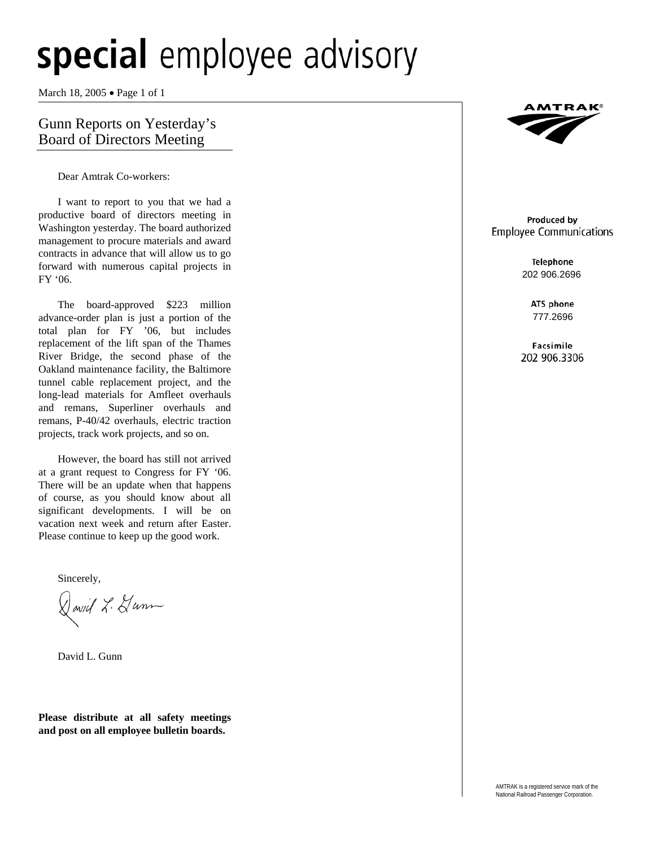March 18, 2005 • Page 1 of 1

### Gunn Reports on Yesterday's Board of Directors Meeting

Dear Amtrak Co-workers:

I want to report to you that we had a productive board of directors meeting in Washington yesterday. The board authorized management to procure materials and award contracts in advance that will allow us to go forward with numerous capital projects in FY '06.

The board-approved \$223 million advance-order plan is just a portion of the total plan for FY '06, but includes replacement of the lift span of the Thames River Bridge, the second phase of the Oakland maintenance facility, the Baltimore tunnel cable replacement project, and the long-lead materials for Amfleet overhauls and remans, Superliner overhauls and remans, P-40/42 overhauls, electric traction projects, track work projects, and so on.

However, the board has still not arrived at a grant request to Congress for FY '06. There will be an update when that happens of course, as you should know about all significant developments. I will be on vacation next week and return after Easter. Please continue to keep up the good work.

Sincerely,

 $\bigotimes$ owiel  $X$ .  $\bigotimes$ unn

David L. Gunn

**Please distribute at all safety meetings and post on all employee bulletin boards.** 



#### Produced by **Employee Communications**

Telephone 202 906.2696

> ATS phone 777.2696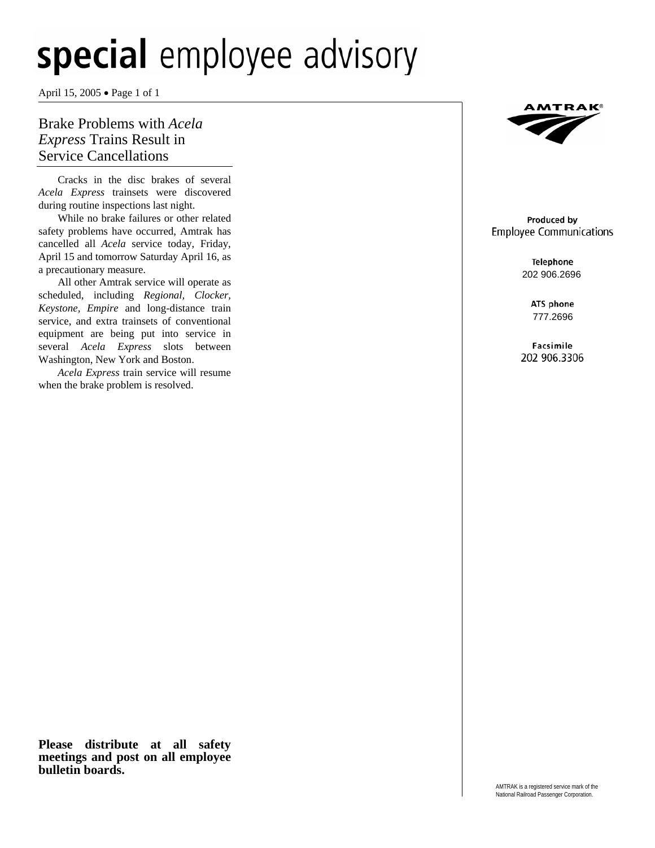April 15, 2005 • Page 1 of 1

### Brake Problems with *Acela Express* Trains Result in Service Cancellations

Cracks in the disc brakes of several *Acela Express* trainsets were discovered during routine inspections last night.

While no brake failures or other related safety problems have occurred, Amtrak has cancelled all *Acela* service today, Friday, April 15 and tomorrow Saturday April 16, as a precautionary measure.

All other Amtrak service will operate as scheduled, including *Regional, Clocker, Keystone, Empire* and long-distance train service, and extra trainsets of conventional equipment are being put into service in several *Acela Express* slots between Washington, New York and Boston.

*Acela Express* train service will resume when the brake problem is resolved.



#### Produced by **Employee Communications**

Telephone 202 906.2696

> ATS phone 777.2696

Facsimile 202 906.3306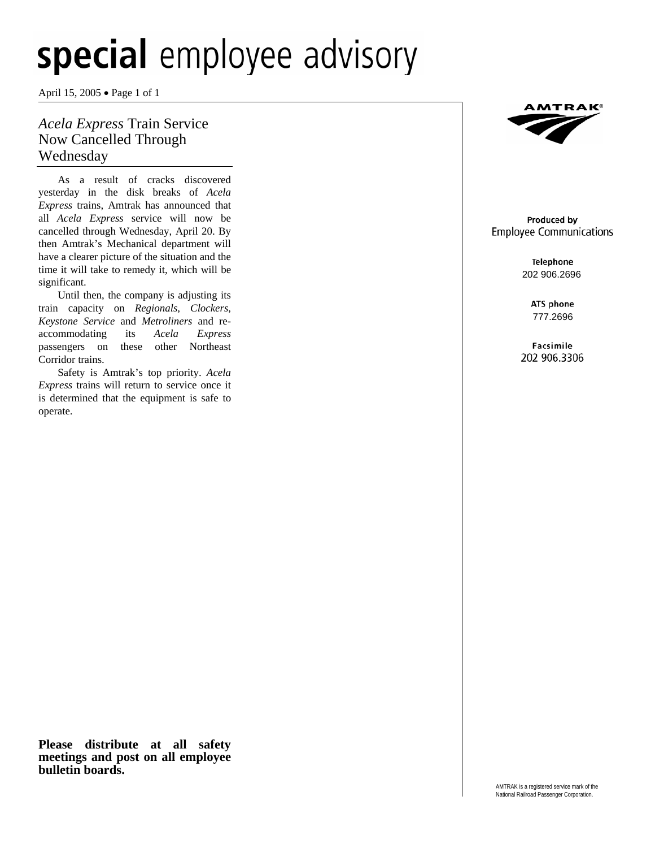April 15, 2005 • Page 1 of 1

### *Acela Express* Train Service Now Cancelled Through Wednesday

As a result of cracks discovered yesterday in the disk breaks of *Acela Express* trains, Amtrak has announced that all *Acela Express* service will now be cancelled through Wednesday, April 20. By then Amtrak's Mechanical department will have a clearer picture of the situation and the time it will take to remedy it, which will be significant.

Until then, the company is adjusting its train capacity on *Regionals, Clockers, Keystone Service* and *Metroliners* and reaccommodating its *Acela Express* passengers on these other Northeast Corridor trains.

Safety is Amtrak's top priority. *Acela Express* trains will return to service once it is determined that the equipment is safe to operate.



#### Produced by **Employee Communications**

Telephone 202 906.2696

> ATS phone 777.2696

Facsimile 202 906.3306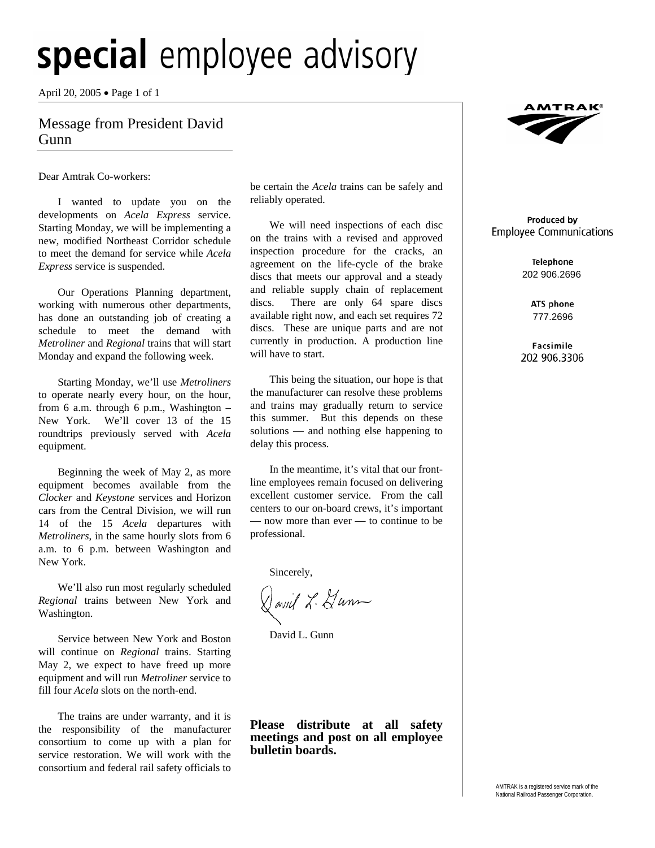April 20, 2005 • Page 1 of 1

### Message from President David Gunn

Dear Amtrak Co-workers:

I wanted to update you on the developments on *Acela Express* service. Starting Monday, we will be implementing a new, modified Northeast Corridor schedule to meet the demand for service while *Acela Express* service is suspended.

Our Operations Planning department, working with numerous other departments, has done an outstanding job of creating a schedule to meet the demand with *Metroliner* and *Regional* trains that will start Monday and expand the following week.

Starting Monday, we'll use *Metroliners*  to operate nearly every hour, on the hour, from 6 a.m. through 6 p.m., Washington  $-$ New York. We'll cover 13 of the 15 roundtrips previously served with *Acela*  equipment.

Beginning the week of May 2, as more equipment becomes available from the *Clocker* and *Keystone* services and Horizon cars from the Central Division, we will run 14 of the 15 *Acela* departures with *Metroliners*, in the same hourly slots from 6 a.m. to 6 p.m. between Washington and New York.

We'll also run most regularly scheduled *Regional* trains between New York and Washington.

Service between New York and Boston will continue on *Regional* trains. Starting May 2, we expect to have freed up more equipment and will run *Metroliner* service to fill four *Acela* slots on the north-end.

The trains are under warranty, and it is the responsibility of the manufacturer consortium to come up with a plan for service restoration. We will work with the consortium and federal rail safety officials to

be certain the *Acela* trains can be safely and reliably operated.

We will need inspections of each disc on the trains with a revised and approved inspection procedure for the cracks, an agreement on the life-cycle of the brake discs that meets our approval and a steady and reliable supply chain of replacement discs. There are only 64 spare discs available right now, and each set requires 72 discs. These are unique parts and are not currently in production. A production line will have to start.

This being the situation, our hope is that the manufacturer can resolve these problems and trains may gradually return to service this summer. But this depends on these solutions — and nothing else happening to delay this process.

In the meantime, it's vital that our frontline employees remain focused on delivering excellent customer service. From the call centers to our on-board crews, it's important — now more than ever — to continue to be professional.

Sincerely,

 $\bigotimes$ owiel  $\mathcal{X}\cdot\mathcal{Z}$ unn

David L. Gunn

**Please distribute at all safety meetings and post on all employee bulletin boards.** 



#### Produced by **Employee Communications**

Telephone 202 906.2696

> ATS phone 777.2696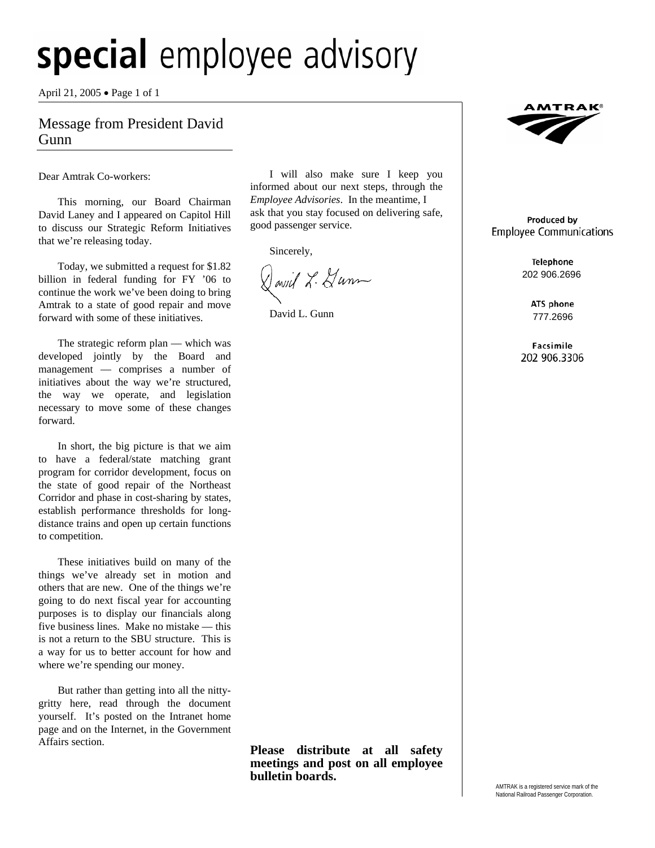April 21, 2005 • Page 1 of 1

### Message from President David Gunn

Dear Amtrak Co-workers:

This morning, our Board Chairman David Laney and I appeared on Capitol Hill to discuss our Strategic Reform Initiatives that we're releasing today.

Today, we submitted a request for \$1.82 billion in federal funding for FY '06 to continue the work we've been doing to bring Amtrak to a state of good repair and move forward with some of these initiatives.

The strategic reform plan — which was developed jointly by the Board and management — comprises a number of initiatives about the way we're structured, the way we operate, and legislation necessary to move some of these changes forward.

In short, the big picture is that we aim to have a federal/state matching grant program for corridor development, focus on the state of good repair of the Northeast Corridor and phase in cost-sharing by states, establish performance thresholds for longdistance trains and open up certain functions to competition.

These initiatives build on many of the things we've already set in motion and others that are new. One of the things we're going to do next fiscal year for accounting purposes is to display our financials along five business lines. Make no mistake — this is not a return to the SBU structure. This is a way for us to better account for how and where we're spending our money.

 But rather than getting into all the nittygritty here, read through the document yourself. It's posted on the Intranet home page and on the Internet, in the Government Affairs section.

 I will also make sure I keep you informed about our next steps, through the *Employee Advisories*. In the meantime, I ask that you stay focused on delivering safe, good passenger service.

Sincerely,

 $\sqrt{}$  avid  $\chi$ .  $\chi$  and

David L. Gunn



#### Produced by **Employee Communications**

Telephone 202 906.2696

> ATS phone 777.2696

Facsimile 202 906.3306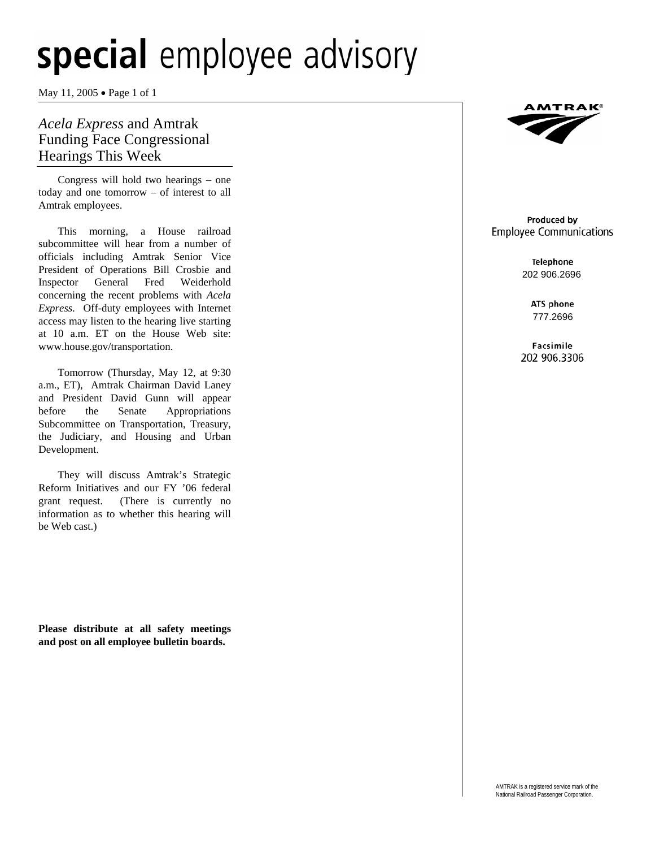May 11, 2005 • Page 1 of 1

### *Acela Express* and Amtrak Funding Face Congressional Hearings This Week

Congress will hold two hearings – one today and one tomorrow – of interest to all Amtrak employees.

This morning, a House railroad subcommittee will hear from a number of officials including Amtrak Senior Vice President of Operations Bill Crosbie and Inspector General Fred Weiderhold concerning the recent problems with *Acela Express*. Off-duty employees with Internet access may listen to the hearing live starting at 10 a.m. ET on the House Web site: www.house.gov/transportation.

 Tomorrow (Thursday, May 12, at 9:30 a.m., ET), Amtrak Chairman David Laney and President David Gunn will appear before the Senate Appropriations Subcommittee on Transportation, Treasury, the Judiciary, and Housing and Urban Development.

 They will discuss Amtrak's Strategic Reform Initiatives and our FY '06 federal grant request. (There is currently no information as to whether this hearing will be Web cast.)

**Please distribute at all safety meetings and post on all employee bulletin boards.** 



#### Produced by **Employee Communications**

Telephone 202 906.2696

> ATS phone 777.2696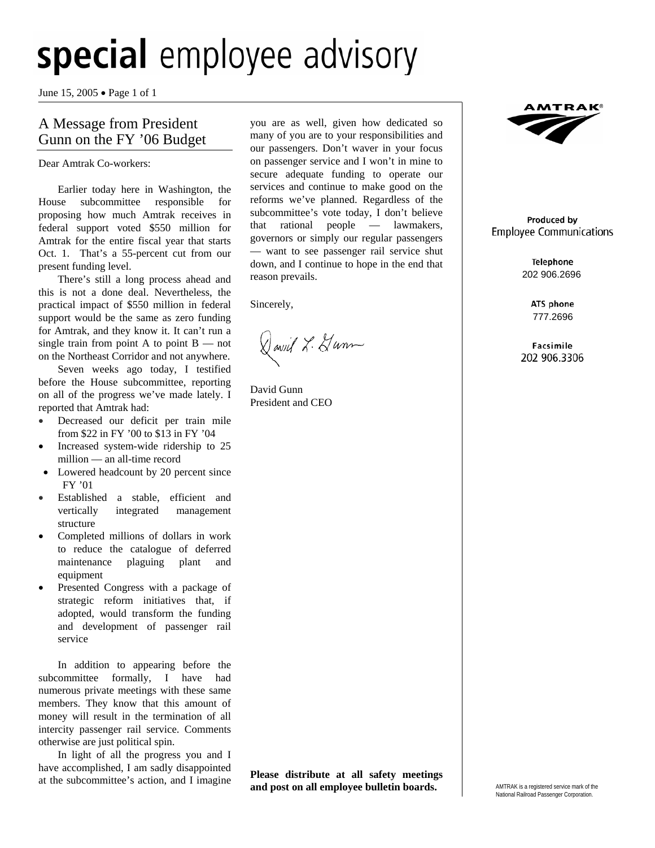June 15, 2005 • Page 1 of 1

### A Message from President Gunn on the FY '06 Budget

Dear Amtrak Co-workers:

Earlier today here in Washington, the House subcommittee responsible for proposing how much Amtrak receives in federal support voted \$550 million for Amtrak for the entire fiscal year that starts Oct. 1. That's a 55-percent cut from our present funding level.

There's still a long process ahead and this is not a done deal. Nevertheless, the practical impact of \$550 million in federal support would be the same as zero funding for Amtrak, and they know it. It can't run a single train from point A to point B — not on the Northeast Corridor and not anywhere.

Seven weeks ago today, I testified before the House subcommittee, reporting on all of the progress we've made lately. I reported that Amtrak had:

- Decreased our deficit per train mile from \$22 in FY '00 to \$13 in FY '04
- Increased system-wide ridership to 25 million — an all-time record
- Lowered headcount by 20 percent since FY '01
- Established a stable, efficient and vertically integrated management structure
- Completed millions of dollars in work to reduce the catalogue of deferred maintenance plaguing plant and equipment
- Presented Congress with a package of strategic reform initiatives that, if adopted, would transform the funding and development of passenger rail service

In addition to appearing before the subcommittee formally, I have had numerous private meetings with these same members. They know that this amount of money will result in the termination of all intercity passenger rail service. Comments otherwise are just political spin.

In light of all the progress you and I have accomplished, I am sadly disappointed at the subcommittee's action, and I imagine you are as well, given how dedicated so many of you are to your responsibilities and our passengers. Don't waver in your focus on passenger service and I won't in mine to secure adequate funding to operate our services and continue to make good on the reforms we've planned. Regardless of the subcommittee's vote today, I don't believe that rational people — lawmakers, governors or simply our regular passengers — want to see passenger rail service shut down, and I continue to hope in the end that reason prevails.

Sincerely,

 $\bigotimes$ aviil  $X$ .  $\bigotimes a$ mm

David Gunn President and CEO



#### Produced by **Employee Communications**

Telephone 202 906.2696

> ATS phone 777.2696

Facsimile 202 906.3306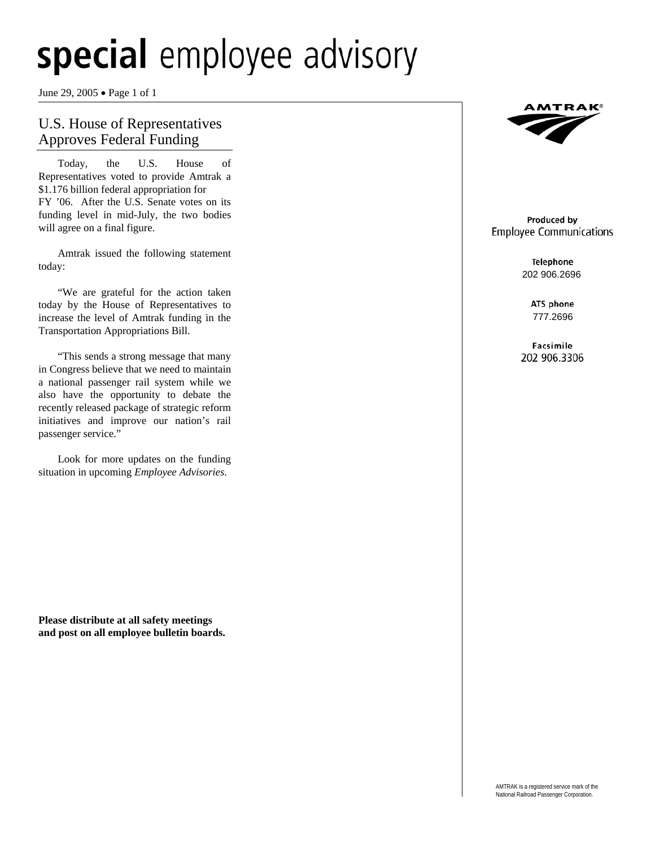June 29, 2005 • Page 1 of 1

### U.S. House of Representatives Approves Federal Funding

Today, the U.S. House of Representatives voted to provide Amtrak a \$1.176 billion federal appropriation for FY '06. After the U.S. Senate votes on its funding level in mid-July, the two bodies will agree on a final figure.

Amtrak issued the following statement today:

"We are grateful for the action taken today by the House of Representatives to increase the level of Amtrak funding in the Transportation Appropriations Bill.

"This sends a strong message that many in Congress believe that we need to maintain a national passenger rail system while we also have the opportunity to debate the recently released package of strategic reform initiatives and improve our nation's rail passenger service."

Look for more updates on the funding situation in upcoming *Employee Advisories.* 

**Please distribute at all safety meetings and post on all employee bulletin boards.**



#### Produced by **Employee Communications**

Telephone 202 906.2696

> ATS phone 777.2696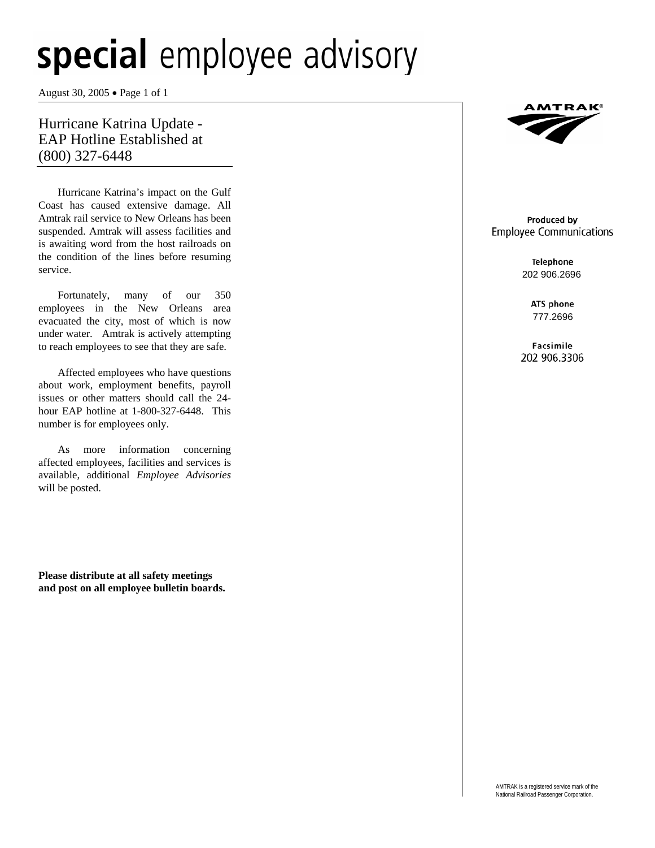August 30, 2005 • Page 1 of 1

### Hurricane Katrina Update - EAP Hotline Established at (800) 327-6448

Hurricane Katrina's impact on the Gulf Coast has caused extensive damage. All Amtrak rail service to New Orleans has been suspended. Amtrak will assess facilities and is awaiting word from the host railroads on the condition of the lines before resuming service.

Fortunately, many of our 350 employees in the New Orleans area evacuated the city, most of which is now under water. Amtrak is actively attempting to reach employees to see that they are safe.

Affected employees who have questions about work, employment benefits, payroll issues or other matters should call the 24 hour EAP hotline at 1-800-327-6448. This number is for employees only.

As more information concerning affected employees, facilities and services is available, additional *Employee Advisories*  will be posted.

**Please distribute at all safety meetings and post on all employee bulletin boards.**



#### Produced by **Employee Communications**

Telephone 202 906.2696

> ATS phone 777.2696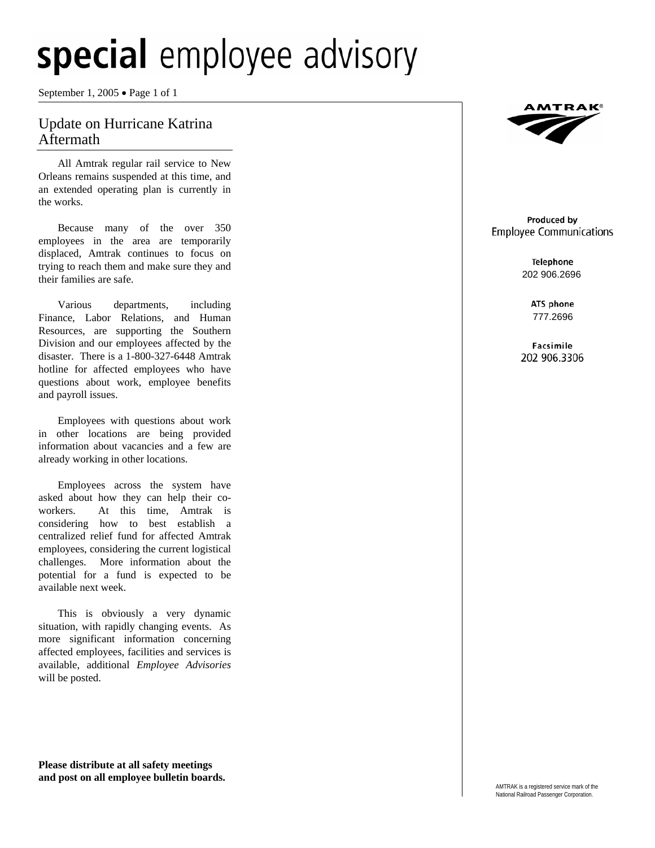September 1, 2005 • Page 1 of 1

### Update on Hurricane Katrina Aftermath

All Amtrak regular rail service to New Orleans remains suspended at this time, and an extended operating plan is currently in the works.

Because many of the over 350 employees in the area are temporarily displaced, Amtrak continues to focus on trying to reach them and make sure they and their families are safe.

Various departments, including Finance, Labor Relations, and Human Resources, are supporting the Southern Division and our employees affected by the disaster. There is a 1-800-327-6448 Amtrak hotline for affected employees who have questions about work, employee benefits and payroll issues.

 Employees with questions about work in other locations are being provided information about vacancies and a few are already working in other locations.

Employees across the system have asked about how they can help their coworkers. At this time, Amtrak is considering how to best establish a centralized relief fund for affected Amtrak employees, considering the current logistical challenges. More information about the potential for a fund is expected to be available next week.

This is obviously a very dynamic situation, with rapidly changing events. As more significant information concerning affected employees, facilities and services is available, additional *Employee Advisories*  will be posted.

**IMTRAK®** 

#### Produced by **Employee Communications**

Telephone 202 906.2696

> ATS phone 777.2696

Facsimile 202 906.3306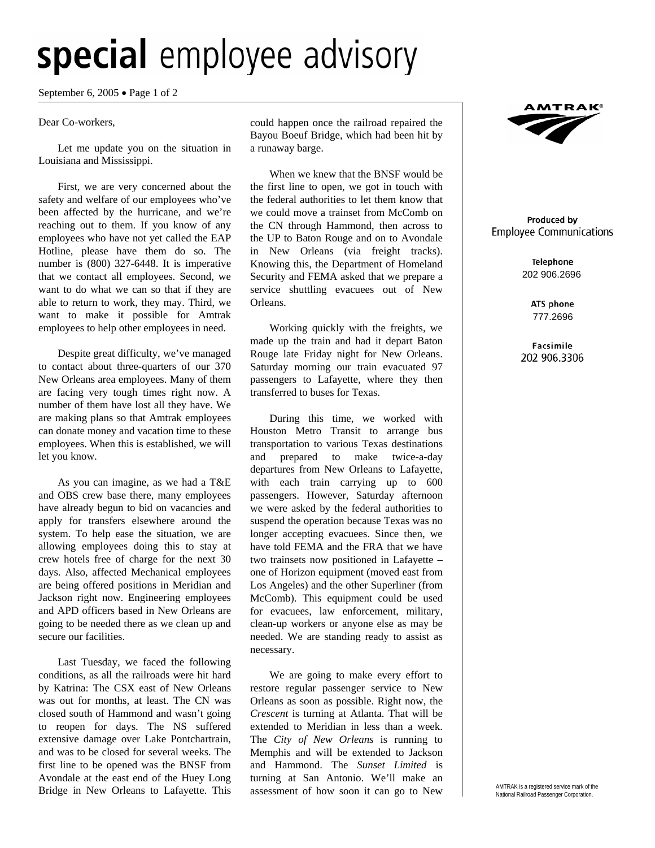#### September 6, 2005 • Page 1 of 2

#### Dear Co-workers,

Let me update you on the situation in Louisiana and Mississippi.

First, we are very concerned about the safety and welfare of our employees who've been affected by the hurricane, and we're reaching out to them. If you know of any employees who have not yet called the EAP Hotline, please have them do so. The number is (800) 327-6448. It is imperative that we contact all employees. Second, we want to do what we can so that if they are able to return to work, they may. Third, we want to make it possible for Amtrak employees to help other employees in need.

Despite great difficulty, we've managed to contact about three-quarters of our 370 New Orleans area employees. Many of them are facing very tough times right now. A number of them have lost all they have. We are making plans so that Amtrak employees can donate money and vacation time to these employees. When this is established, we will let you know.

As you can imagine, as we had a T&E and OBS crew base there, many employees have already begun to bid on vacancies and apply for transfers elsewhere around the system. To help ease the situation, we are allowing employees doing this to stay at crew hotels free of charge for the next 30 days. Also, affected Mechanical employees are being offered positions in Meridian and Jackson right now. Engineering employees and APD officers based in New Orleans are going to be needed there as we clean up and secure our facilities.

Last Tuesday, we faced the following conditions, as all the railroads were hit hard by Katrina: The CSX east of New Orleans was out for months, at least. The CN was closed south of Hammond and wasn't going to reopen for days. The NS suffered extensive damage over Lake Pontchartrain, and was to be closed for several weeks. The first line to be opened was the BNSF from Avondale at the east end of the Huey Long Bridge in New Orleans to Lafayette. This

could happen once the railroad repaired the Bayou Boeuf Bridge, which had been hit by a runaway barge.

When we knew that the BNSF would be the first line to open, we got in touch with the federal authorities to let them know that we could move a trainset from McComb on the CN through Hammond, then across to the UP to Baton Rouge and on to Avondale in New Orleans (via freight tracks). Knowing this, the Department of Homeland Security and FEMA asked that we prepare a service shuttling evacuees out of New Orleans.

Working quickly with the freights, we made up the train and had it depart Baton Rouge late Friday night for New Orleans. Saturday morning our train evacuated 97 passengers to Lafayette, where they then transferred to buses for Texas.

During this time, we worked with Houston Metro Transit to arrange bus transportation to various Texas destinations and prepared to make twice-a-day departures from New Orleans to Lafayette, with each train carrying up to 600 passengers. However, Saturday afternoon we were asked by the federal authorities to suspend the operation because Texas was no longer accepting evacuees. Since then, we have told FEMA and the FRA that we have two trainsets now positioned in Lafayette – one of Horizon equipment (moved east from Los Angeles) and the other Superliner (from McComb). This equipment could be used for evacuees, law enforcement, military, clean-up workers or anyone else as may be needed. We are standing ready to assist as necessary.

We are going to make every effort to restore regular passenger service to New Orleans as soon as possible. Right now, the *Crescent* is turning at Atlanta. That will be extended to Meridian in less than a week. The *City of New Orleans* is running to Memphis and will be extended to Jackson and Hammond. The *Sunset Limited* is turning at San Antonio. We'll make an assessment of how soon it can go to New



#### Produced by **Employee Communications**

Telephone 202 906.2696

> ATS phone 777.2696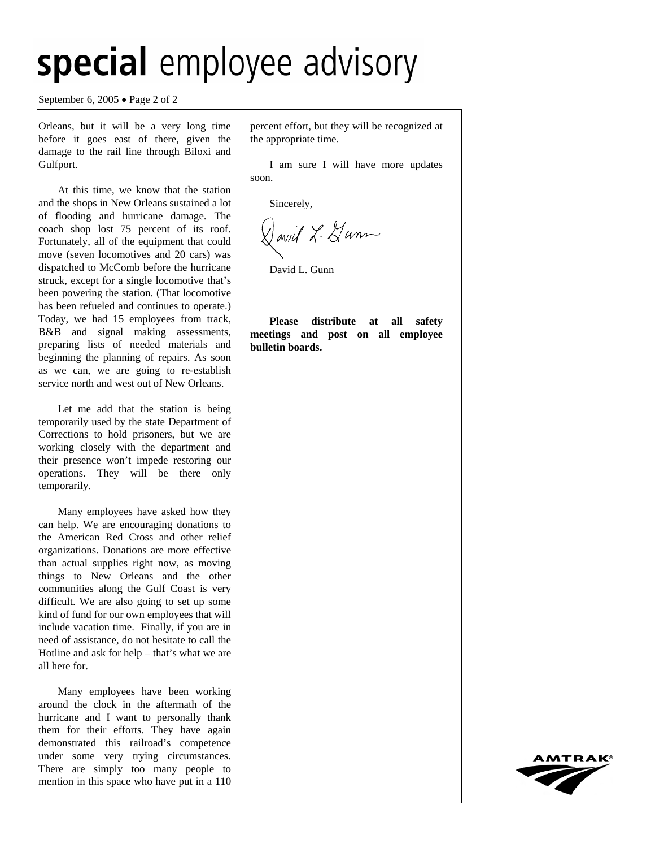September 6, 2005 • Page 2 of 2

Orleans, but it will be a very long time before it goes east of there, given the damage to the rail line through Biloxi and Gulfport.

At this time, we know that the station and the shops in New Orleans sustained a lot of flooding and hurricane damage. The coach shop lost 75 percent of its roof. Fortunately, all of the equipment that could move (seven locomotives and 20 cars) was dispatched to McComb before the hurricane struck, except for a single locomotive that's been powering the station. (That locomotive has been refueled and continues to operate.) Today, we had 15 employees from track, B&B and signal making assessments, preparing lists of needed materials and beginning the planning of repairs. As soon as we can, we are going to re-establish service north and west out of New Orleans.

Let me add that the station is being temporarily used by the state Department of Corrections to hold prisoners, but we are working closely with the department and their presence won't impede restoring our operations. They will be there only temporarily.

Many employees have asked how they can help. We are encouraging donations to the American Red Cross and other relief organizations. Donations are more effective than actual supplies right now, as moving things to New Orleans and the other communities along the Gulf Coast is very difficult. We are also going to set up some kind of fund for our own employees that will include vacation time. Finally, if you are in need of assistance, do not hesitate to call the Hotline and ask for help – that's what we are all here for.

Many employees have been working around the clock in the aftermath of the hurricane and I want to personally thank them for their efforts. They have again demonstrated this railroad's competence under some very trying circumstances. There are simply too many people to mention in this space who have put in a 110

percent effort, but they will be recognized at the appropriate time.

I am sure I will have more updates soon.

Sincerely,

David L. Dunn

David L. Gunn

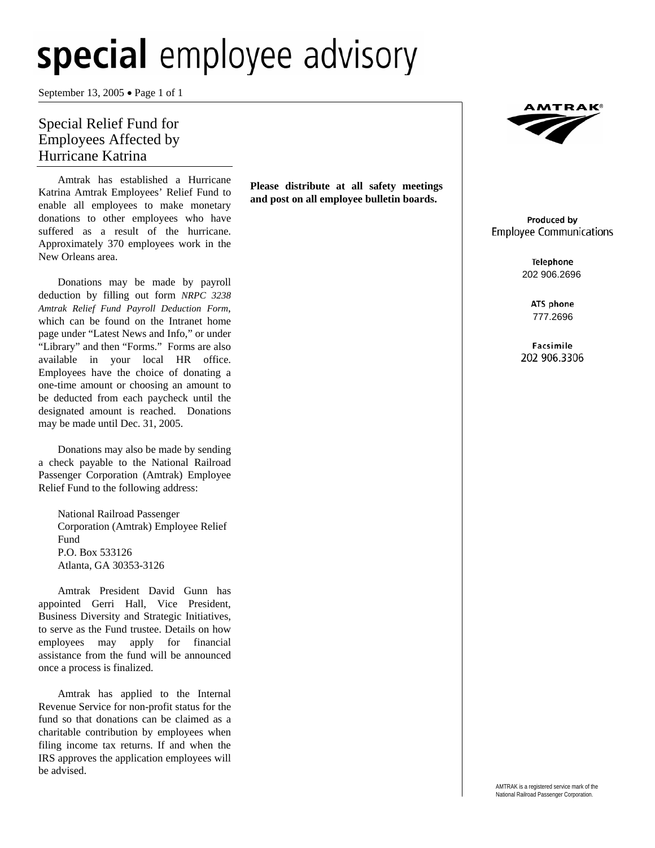September 13, 2005 • Page 1 of 1

### Special Relief Fund for Employees Affected by Hurricane Katrina

Amtrak has established a Hurricane Katrina Amtrak Employees' Relief Fund to enable all employees to make monetary donations to other employees who have suffered as a result of the hurricane. Approximately 370 employees work in the New Orleans area.

Donations may be made by payroll deduction by filling out form *NRPC 3238 Amtrak Relief Fund Payroll Deduction Form*, which can be found on the Intranet home page under "Latest News and Info," or under "Library" and then "Forms." Forms are also available in your local HR office. Employees have the choice of donating a one-time amount or choosing an amount to be deducted from each paycheck until the designated amount is reached. Donations may be made until Dec. 31, 2005.

Donations may also be made by sending a check payable to the National Railroad Passenger Corporation (Amtrak) Employee Relief Fund to the following address:

> National Railroad Passenger Corporation (Amtrak) Employee Relief Fund P.O. Box 533126 Atlanta, GA 30353-3126

Amtrak President David Gunn has appointed Gerri Hall, Vice President, Business Diversity and Strategic Initiatives, to serve as the Fund trustee. Details on how employees may apply for financial assistance from the fund will be announced once a process is finalized.

Amtrak has applied to the Internal Revenue Service for non-profit status for the fund so that donations can be claimed as a charitable contribution by employees when filing income tax returns. If and when the IRS approves the application employees will be advised.

**Please distribute at all safety meetings and post on all employee bulletin boards.** 



#### Produced by **Employee Communications**

Telephone 202 906.2696

> ATS phone 777.2696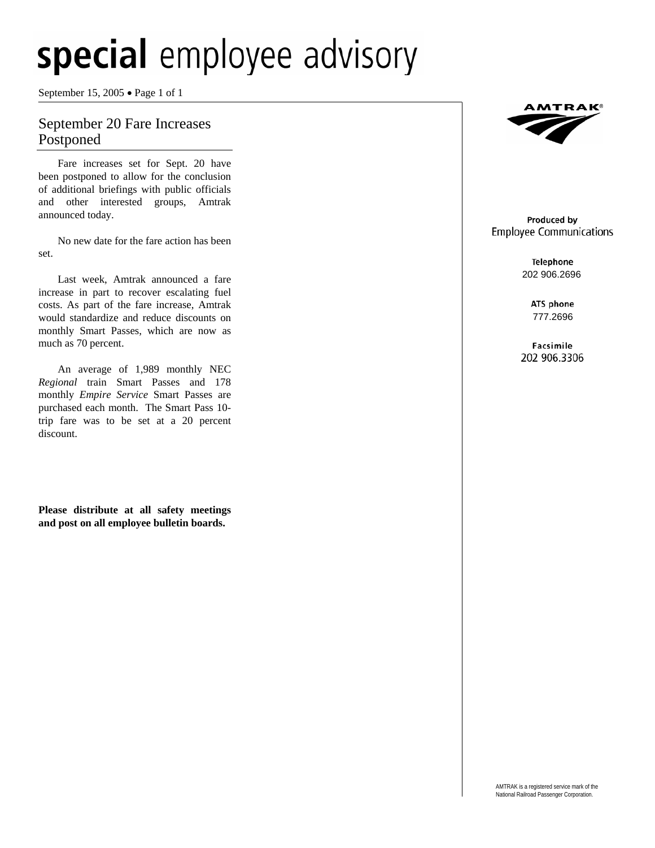September 15, 2005 • Page 1 of 1

### September 20 Fare Increases Postponed

Fare increases set for Sept. 20 have been postponed to allow for the conclusion of additional briefings with public officials and other interested groups, Amtrak announced today.

No new date for the fare action has been set.

Last week, Amtrak announced a fare increase in part to recover escalating fuel costs. As part of the fare increase, Amtrak would standardize and reduce discounts on monthly Smart Passes, which are now as much as 70 percent.

An average of 1,989 monthly NEC *Regional* train Smart Passes and 178 monthly *Empire Service* Smart Passes are purchased each month. The Smart Pass 10 trip fare was to be set at a 20 percent discount.

**Please distribute at all safety meetings and post on all employee bulletin boards.** 



#### Produced by **Employee Communications**

Telephone 202 906.2696

> ATS phone 777.2696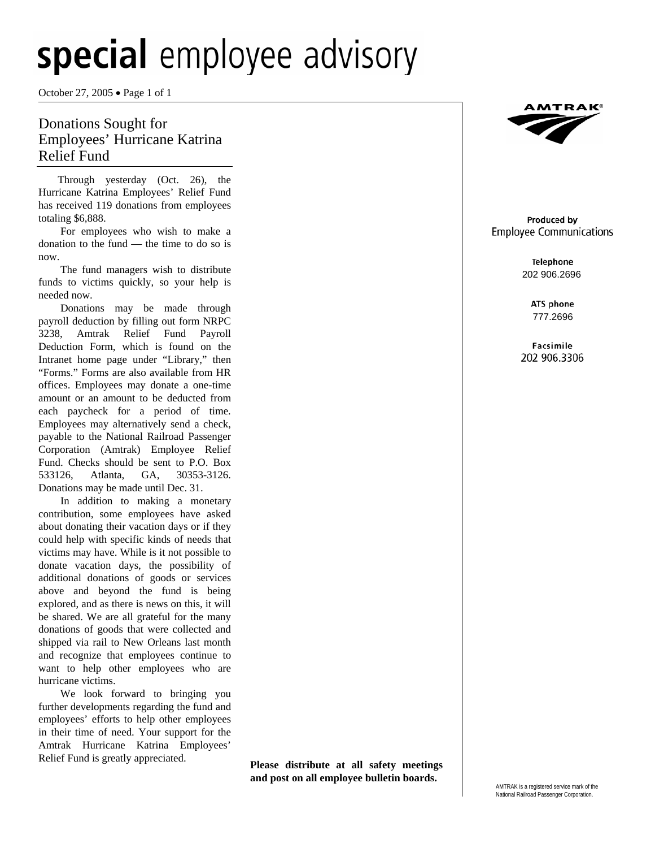October 27, 2005 • Page 1 of 1

### Donations Sought for Employees' Hurricane Katrina Relief Fund

Through yesterday (Oct. 26), the Hurricane Katrina Employees' Relief Fund has received 119 donations from employees totaling \$6,888.

 For employees who wish to make a donation to the fund — the time to do so is now.

 The fund managers wish to distribute funds to victims quickly, so your help is needed now.

 Donations may be made through payroll deduction by filling out form NRPC 3238, Amtrak Relief Fund Payroll Deduction Form, which is found on the Intranet home page under "Library," then "Forms." Forms are also available from HR offices. Employees may donate a one-time amount or an amount to be deducted from each paycheck for a period of time. Employees may alternatively send a check, payable to the National Railroad Passenger Corporation (Amtrak) Employee Relief Fund. Checks should be sent to P.O. Box 533126, Atlanta, GA, 30353-3126. Donations may be made until Dec. 31.

 In addition to making a monetary contribution, some employees have asked about donating their vacation days or if they could help with specific kinds of needs that victims may have. While is it not possible to donate vacation days, the possibility of additional donations of goods or services above and beyond the fund is being explored, and as there is news on this, it will be shared. We are all grateful for the many donations of goods that were collected and shipped via rail to New Orleans last month and recognize that employees continue to want to help other employees who are hurricane victims.

 We look forward to bringing you further developments regarding the fund and employees' efforts to help other employees in their time of need. Your support for the Amtrak Hurricane Katrina Employees' Relief Fund is greatly appreciated. **Please distribute at all safety meetings** 

**and post on all employee bulletin boards.** 



#### Produced by **Employee Communications**

Telephone 202 906.2696

> ATS phone 777.2696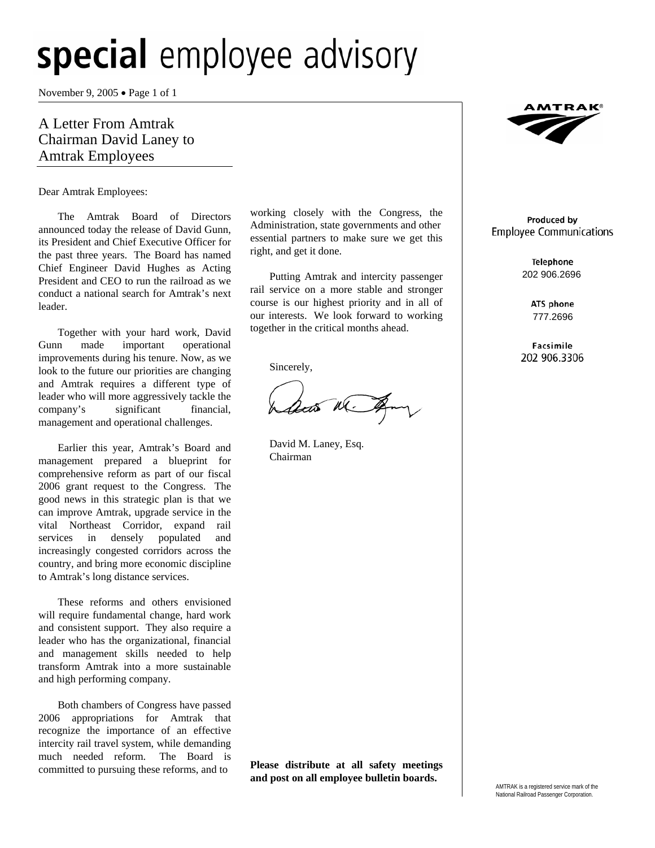November 9, 2005 • Page 1 of 1

### A Letter From Amtrak Chairman David Laney to Amtrak Employees

Dear Amtrak Employees:

The Amtrak Board of Directors announced today the release of David Gunn, its President and Chief Executive Officer for the past three years. The Board has named Chief Engineer David Hughes as Acting President and CEO to run the railroad as we conduct a national search for Amtrak's next leader.

Together with your hard work, David Gunn made important operational improvements during his tenure. Now, as we look to the future our priorities are changing and Amtrak requires a different type of leader who will more aggressively tackle the company's significant financial, management and operational challenges.

Earlier this year, Amtrak's Board and management prepared a blueprint for comprehensive reform as part of our fiscal 2006 grant request to the Congress. The good news in this strategic plan is that we can improve Amtrak, upgrade service in the vital Northeast Corridor, expand rail services in densely populated and increasingly congested corridors across the country, and bring more economic discipline to Amtrak's long distance services.

These reforms and others envisioned will require fundamental change, hard work and consistent support. They also require a leader who has the organizational, financial and management skills needed to help transform Amtrak into a more sustainable and high performing company.

Both chambers of Congress have passed 2006 appropriations for Amtrak that recognize the importance of an effective intercity rail travel system, while demanding much needed reform. The Board is committed to pursuing these reforms, and to

working closely with the Congress, the Administration, state governments and other essential partners to make sure we get this right, and get it done.

Putting Amtrak and intercity passenger rail service on a more stable and stronger course is our highest priority and in all of our interests. We look forward to working together in the critical months ahead.

Sincerely,

Leas the Amy

David M. Laney, Esq. Chairman

**Please distribute at all safety meetings and post on all employee bulletin boards.** 



#### Produced by **Employee Communications**

Telephone 202 906.2696

> ATS phone 777.2696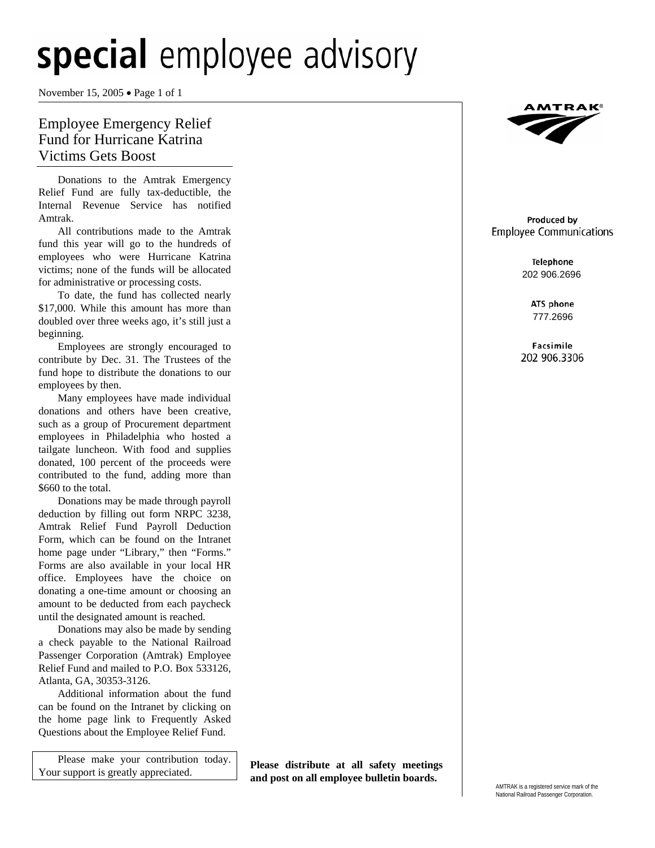November 15, 2005 • Page 1 of 1

### Employee Emergency Relief Fund for Hurricane Katrina Victims Gets Boost

Donations to the Amtrak Emergency Relief Fund are fully tax-deductible, the Internal Revenue Service has notified Amtrak.

All contributions made to the Amtrak fund this year will go to the hundreds of employees who were Hurricane Katrina victims; none of the funds will be allocated for administrative or processing costs.

To date, the fund has collected nearly \$17,000. While this amount has more than doubled over three weeks ago, it's still just a beginning.

Employees are strongly encouraged to contribute by Dec. 31. The Trustees of the fund hope to distribute the donations to our employees by then.

Many employees have made individual donations and others have been creative, such as a group of Procurement department employees in Philadelphia who hosted a tailgate luncheon. With food and supplies donated, 100 percent of the proceeds were contributed to the fund, adding more than \$660 to the total.

Donations may be made through payroll deduction by filling out form NRPC 3238, Amtrak Relief Fund Payroll Deduction Form, which can be found on the Intranet home page under "Library," then "Forms." Forms are also available in your local HR office. Employees have the choice on donating a one-time amount or choosing an amount to be deducted from each paycheck until the designated amount is reached.

Donations may also be made by sending a check payable to the National Railroad Passenger Corporation (Amtrak) Employee Relief Fund and mailed to P.O. Box 533126, Atlanta, GA, 30353-3126.

Additional information about the fund can be found on the Intranet by clicking on the home page link to Frequently Asked Questions about the Employee Relief Fund.

Please make your contribution today.

Your support is greatly appreciated. **Please distribute at all safety meetings and post on all employee bulletin boards.** 



#### Produced by **Employee Communications**

Telephone 202 906.2696

> ATS phone 777.2696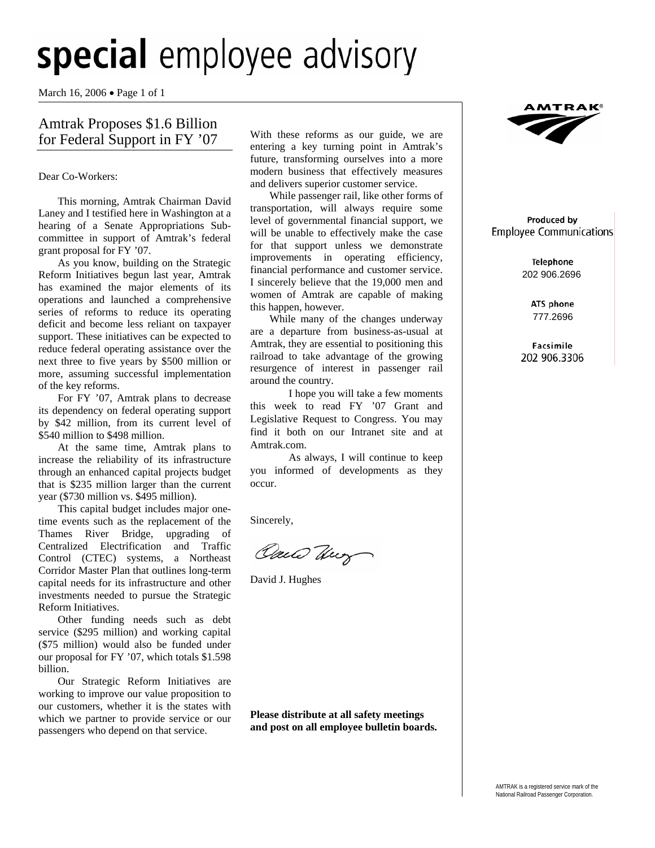March 16, 2006 • Page 1 of 1

### Amtrak Proposes \$1.6 Billion for Federal Support in FY '07

#### Dear Co-Workers:

 This morning, Amtrak Chairman David Laney and I testified here in Washington at a hearing of a Senate Appropriations Subcommittee in support of Amtrak's federal grant proposal for FY '07.

 As you know, building on the Strategic Reform Initiatives begun last year, Amtrak has examined the major elements of its operations and launched a comprehensive series of reforms to reduce its operating deficit and become less reliant on taxpayer support. These initiatives can be expected to reduce federal operating assistance over the next three to five years by \$500 million or more, assuming successful implementation of the key reforms.

 For FY '07, Amtrak plans to decrease its dependency on federal operating support by \$42 million, from its current level of \$540 million to \$498 million.

 At the same time, Amtrak plans to increase the reliability of its infrastructure through an enhanced capital projects budget that is \$235 million larger than the current year (\$730 million vs. \$495 million).

 This capital budget includes major onetime events such as the replacement of the Thames River Bridge, upgrading of Centralized Electrification and Traffic Control (CTEC) systems, a Northeast Corridor Master Plan that outlines long-term capital needs for its infrastructure and other investments needed to pursue the Strategic Reform Initiatives.

 Other funding needs such as debt service (\$295 million) and working capital (\$75 million) would also be funded under our proposal for FY '07, which totals \$1.598 billion.

 Our Strategic Reform Initiatives are working to improve our value proposition to our customers, whether it is the states with which we partner to provide service or our passengers who depend on that service.

With these reforms as our guide, we are entering a key turning point in Amtrak's future, transforming ourselves into a more modern business that effectively measures and delivers superior customer service.

 While passenger rail, like other forms of transportation, will always require some level of governmental financial support, we will be unable to effectively make the case for that support unless we demonstrate improvements in operating efficiency, financial performance and customer service. I sincerely believe that the 19,000 men and women of Amtrak are capable of making this happen, however.

 While many of the changes underway are a departure from business-as-usual at Amtrak, they are essential to positioning this railroad to take advantage of the growing resurgence of interest in passenger rail around the country.

 I hope you will take a few moments this week to read FY '07 Grant and Legislative Request to Congress. You may find it both on our Intranet site and at [Amtrak.com](http://www.amtrak.com/).

 As always, I will continue to keep you informed of developments as they occur.

Sincerely,

Oach Hur

David J. Hughes

**Please distribute at all safety meetings and post on all employee bulletin boards.**



#### Produced by **Employee Communications**

Telephone 202 906.2696

> ATS phone 777.2696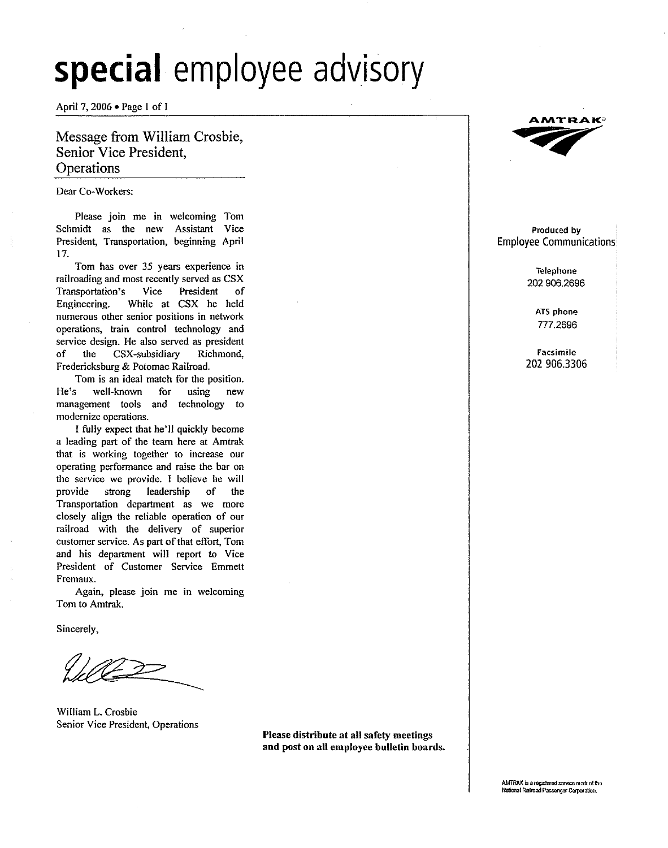April 7,2006 • Page 1 of 1

### Message from William Crosbie, Senior Vice President, **Operations**

#### Dear Co-Workers:

**Please join me in welcoming Tom** Schmidt as the new Assistant Vice President, Transportation, beginning April 17.

**Tom has over 35 years experience in** railroading and most recently served as CSX **Transportation's Vice President of** Engineering. While at CSX he held **numerous other senior positions in network operations, train control technology and service design. He also served as president** of the CSX-subsidiary Richmond, Fredericksburg & Potomac Railroad.

**Tom is an ideal match for the position. He's well-known for using new** management tools and teehnology to **modernize operations.**

I fully expect that he'll quickly become a leading part of the team here at Amtrak **that is working together to increase our operating performance and raise the bar on** the service we provide. I believe he will provide strong leadership of the **Transportation department as we more** closely align the reliable operation of our railroad with the delivery of superior **customer service.** As part of that *effort*, Tom and his department will report to Vice **President of Customer Service Emmett Fremaux.**

**Again, please join me in welcoming** Tom to Amtrak.

Sincerely,

William L. Crosbie **Senior Vice President, Operations**

Please distribute at all safety meetings and post on all employee bulletin boards.



#### **Produced by** Employee Communications

**Telephone** 202906.2696

> **ATS phone** 777.2696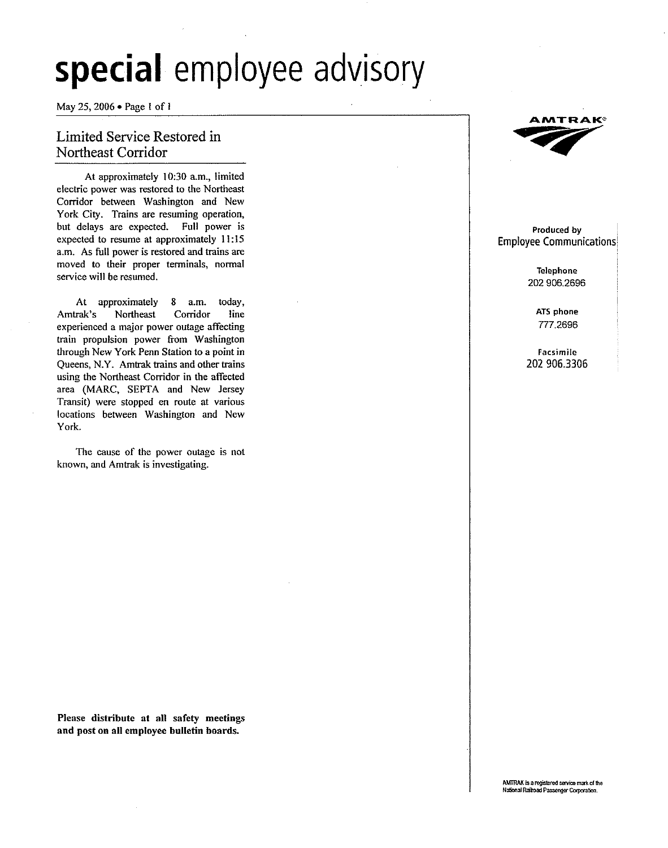May 25, 2006 • Page 1 of 1

### Limited Service Restored in Northeast Corridor

At approximately 10:30 a.m., limited **electric power was restored to the Northeast** Corridor between Washington and New York City. Trains are resuming operation, but delays are expected. Full power is expected to resume at approximately 11:15 a.m. As full power is restored and trains are **moved to their proper terminals, normal service will be resumed.**

At approximately 8 a.m. today, Amtrak's Northeast Corridor line **experienced a major power outage affecting** train propulsion power from Washington through New York Penn Station to a point in Queens, N.Y. Amtrak trains and other trains using the Northeast Corridor in the affected area (MARC, SEPTA and New Jersey **Transit) were stopped en route at various** locations between Washington and New York.

**The cause of the power outage is not** known, and Amtrak is investigating.

а мітрак®

#### **Produced by** Employee Communications

**Telephone** 202 906.2696

> **ATS phone** 777.2696

**Facsimile** 202 906.3306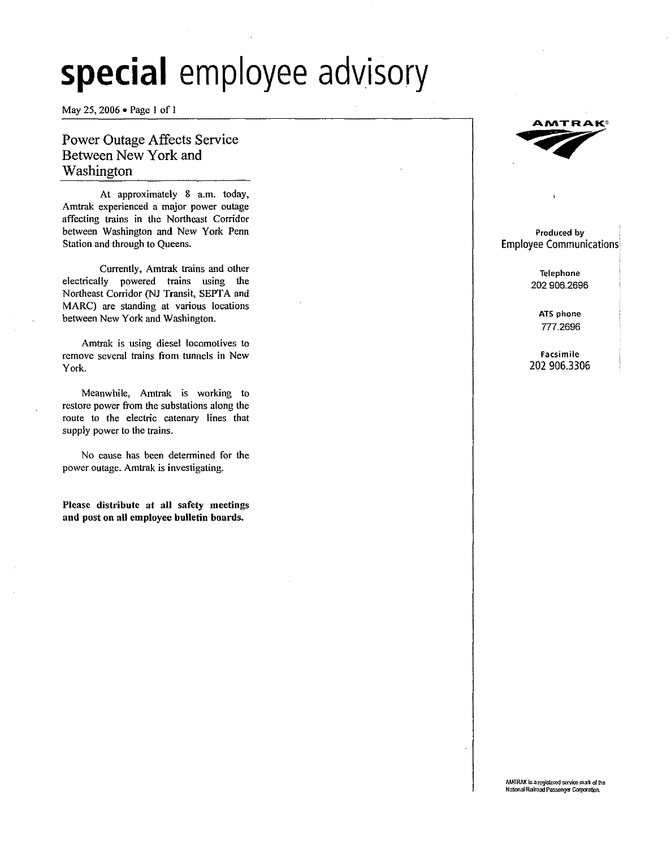May 25, 2006 • Page I of I

### Power Outage Affects Service Between New York and Washington

At approximately 8 a.m. today, **Amtrak experienced a major power outage** affecting trains in the Northeast Corridor between Washington and New York Penn Station and through to Queens.

Currently, Amtrak trains and other electrieally powered trains using the Northeast Corridor (NJ Transit, SEPTA and MARC) are standing at various locations between New York and Washington.

**Amtrak is using diesel locomotives to remove several trains from tunnels in New** York.

Meanwhile, Amtrak is working to **restore power from the substations along the route to the electric catenary lines that** supply power to the trains.

No cause has been determined for the **power outage. Amtrak is investigating.**

Please distribute at all safety meetings and post on all employee bulletin boards.



#### **Produced by** Employee Communications

**Telephone** 202906.2696

> **ATS phone** 777.2696

**facsimile** 202 906.3306

AMTRfIX is **aregistered 00fVic0 m," Qf tho** National Railroad Passenger Corporation.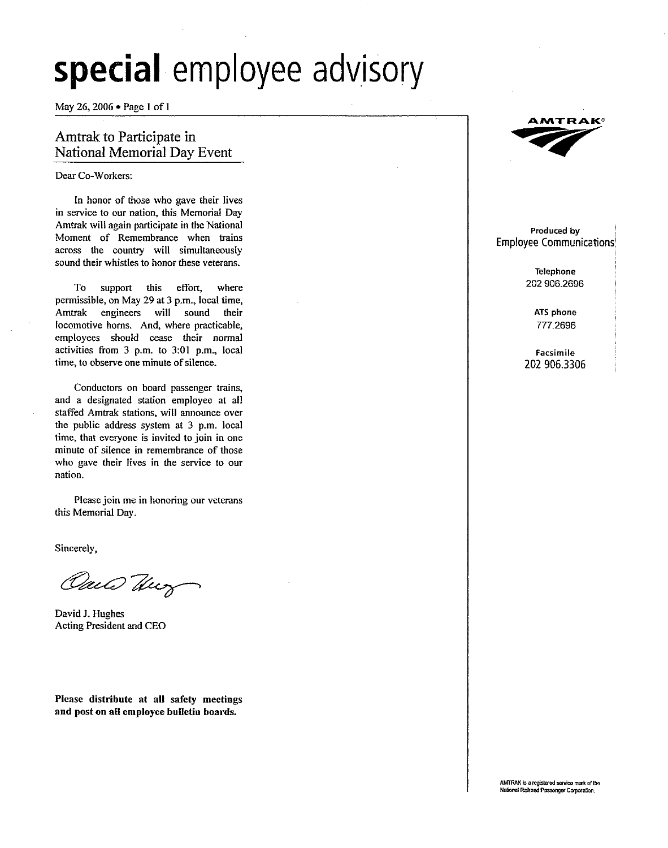May 26, 2006 . Page 1 of 1

### Amtrak to Participate in **National Memorial Day Event**

Dear Co-Workers:

In honor of those who gave their lives in service to our nation, this Memorial Day Amtrak will again participate in the National Moment of Remembrance when trains across the country will simultaneously sound their whistles to honor these veterans.

To support this effort. where permissible, on May 29 at 3 p.m., local time, Amtrak engineers will sound their locomotive horns. And, where practicable, employees should cease their normal activities from 3 p.m. to 3:01 p.m., local time, to observe one minute of silence.

Conductors on board passenger trains, and a designated station employee at all staffed Amtrak stations, will announce over the public address system at 3 p.m. local time, that everyone is invited to join in one minute of silence in remembrance of those who gave their lives in the service to our nation.

Please join me in honoring our veterans this Memorial Day.

Sincerely,

Oun Tur

David J. Hughes Acting President and CEO

Please distribute at all safety meetings and post on all employee bulletin boards.



#### Produced by **Employee Communications**

Telephone 202 906 2696

ATS phone 777.2696

Facsimile 202 906 3306

AMTRAK is a registered service mark of the<br>National Railroad Passenger Corporation.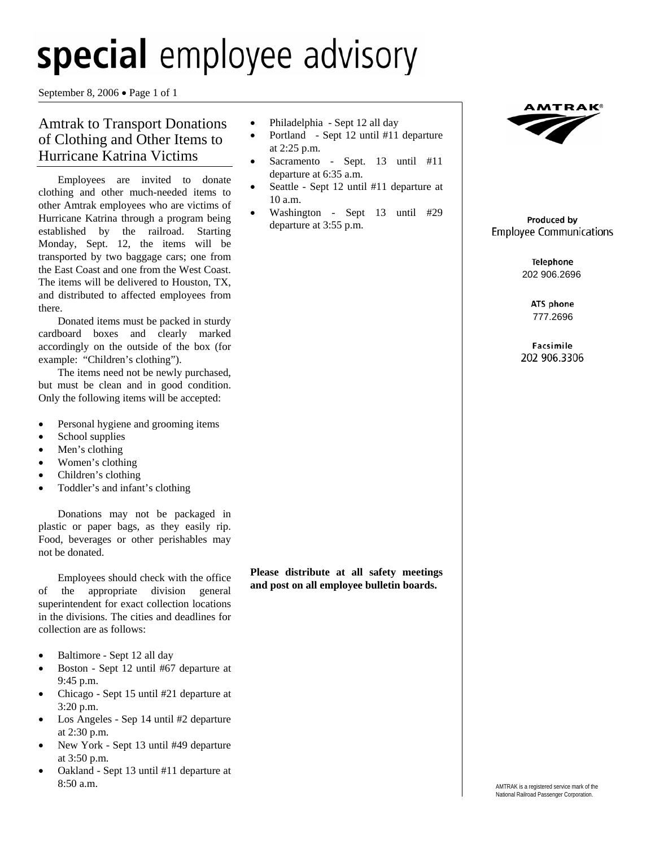September 8, 2006 • Page 1 of 1

## Amtrak to Transport Donations of Clothing and Other Items to Hurricane Katrina Victims

Employees are invited to donate clothing and other much-needed items to other Amtrak employees who are victims of Hurricane Katrina through a program being established by the railroad. Starting Monday, Sept. 12, the items will be transported by two baggage cars; one from the East Coast and one from the West Coast. The items will be delivered to Houston, TX, and distributed to affected employees from there.

Donated items must be packed in sturdy cardboard boxes and clearly marked accordingly on the outside of the box (for example: "Children's clothing").

The items need not be newly purchased, but must be clean and in good condition. Only the following items will be accepted:

- Personal hygiene and grooming items
- School supplies
- Men's clothing
- Women's clothing
- Children's clothing
- Toddler's and infant's clothing

Donations may not be packaged in plastic or paper bags, as they easily rip. Food, beverages or other perishables may not be donated.

Employees should check with the office of the appropriate division general superintendent for exact collection locations in the divisions. The cities and deadlines for collection are as follows:

- Baltimore Sept 12 all day
- Boston Sept 12 until #67 departure at 9:45 p.m.
- Chicago Sept 15 until #21 departure at 3:20 p.m.
- Los Angeles Sep 14 until #2 departure at 2:30 p.m.
- New York Sept 13 until #49 departure at 3:50 p.m.
- Oakland Sept 13 until #11 departure at 8:50 a.m.
- Philadelphia Sept 12 all day
- Portland Sept 12 until #11 departure at 2:25 p.m.
- Sacramento Sept. 13 until #11 departure at 6:35 a.m.
- Seattle Sept 12 until #11 departure at 10 a.m.
- Washington Sept 13 until #29 departure at 3:55 p.m.

**AMTRAK®** 

#### Produced by **Employee Communications**

Telephone 202 906.2696

> ATS phone 777.2696

Facsimile 202 906.3306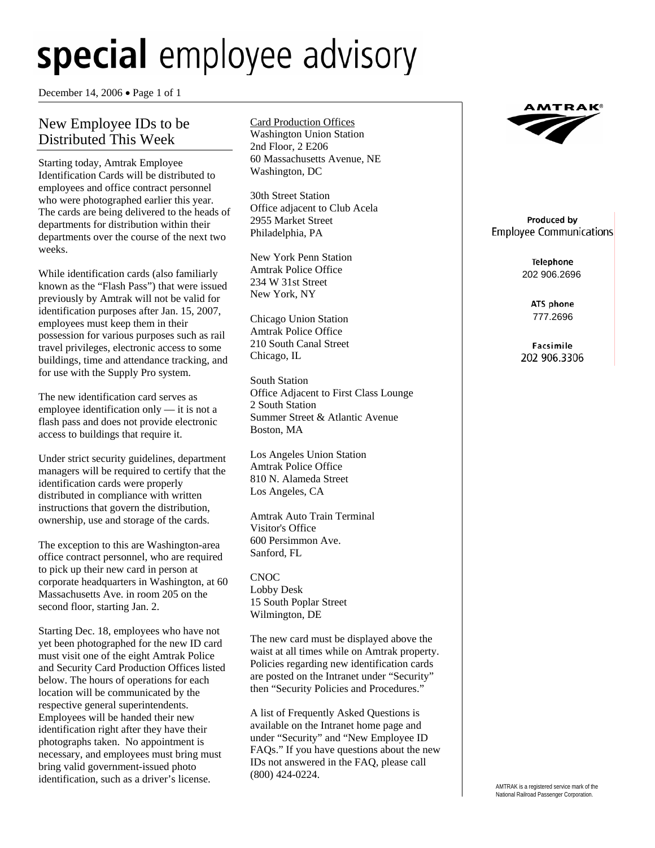December 14, 2006 • Page 1 of 1

## New Employee IDs to be Distributed This Week

Starting today, Amtrak Employee Identification Cards will be distributed to employees and office contract personnel who were photographed earlier this year. The cards are being delivered to the heads of departments for distribution within their departments over the course of the next two weeks.

While identification cards (also familiarly known as the "Flash Pass") that were issued previously by Amtrak will not be valid for identification purposes after Jan. 15, 2007, employees must keep them in their possession for various purposes such as rail travel privileges, electronic access to some buildings, time and attendance tracking, and for use with the Supply Pro system.

The new identification card serves as employee identification only — it is not a flash pass and does not provide electronic access to buildings that require it.

Under strict security guidelines, department managers will be required to certify that the identification cards were properly distributed in compliance with written instructions that govern the distribution, ownership, use and storage of the cards.

The exception to this are Washington-area office contract personnel, who are required to pick up their new card in person at corporate headquarters in Washington, at 60 Massachusetts Ave. in room 205 on the second floor, starting Jan. 2.

Starting Dec. 18, employees who have not yet been photographed for the new ID card must visit one of the eight Amtrak Police and Security Card Production Offices listed below. The hours of operations for each location will be communicated by the respective general superintendents. Employees will be handed their new identification right after they have their photographs taken. No appointment is necessary, and employees must bring must bring valid government-issued photo identification, such as a driver's license.

Card Production Offices Washington Union Station 2nd Floor, 2 E206 60 Massachusetts Avenue, NE Washington, DC

30th Street Station Office adjacent to Club Acela 2955 Market Street Philadelphia, PA

New York Penn Station Amtrak Police Office 234 W 31st Street New York, NY

Chicago Union Station Amtrak Police Office 210 South Canal Street Chicago, IL

South Station Office Adjacent to First Class Lounge 2 South Station Summer Street & Atlantic Avenue Boston, MA

Los Angeles Union Station Amtrak Police Office 810 N. Alameda Street Los Angeles, CA

Amtrak Auto Train Terminal Visitor's Office 600 Persimmon Ave. Sanford, FL

CNOC Lobby Desk 15 South Poplar Street Wilmington, DE

The new card must be displayed above the waist at all times while on Amtrak property. Policies regarding new identification cards are posted on the Intranet under "Security" then "Security Policies and Procedures."

A list of Frequently Asked Questions is available on the Intranet home page and under "Security" and "New Employee ID FAQs." If you have questions about the new IDs not answered in the FAQ, please call (800) 424-0224.



### Produced by **Employee Communications**

Telephone 202 906.2696

> ATS phone 777.2696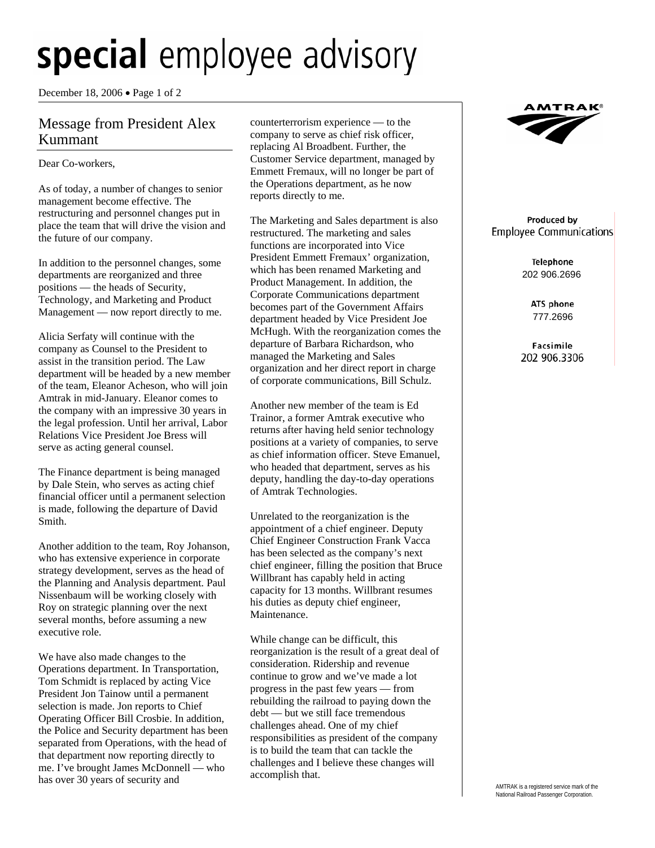December 18, 2006 • Page 1 of 2

## Message from President Alex Kummant

#### Dear Co-workers,

As of today, a number of changes to senior management become effective. The restructuring and personnel changes put in place the team that will drive the vision and the future of our company.

In addition to the personnel changes, some departments are reorganized and three positions — the heads of Security, Technology, and Marketing and Product Management — now report directly to me.

Alicia Serfaty will continue with the company as Counsel to the President to assist in the transition period. The Law department will be headed by a new member of the team, Eleanor Acheson, who will join Amtrak in mid-January. Eleanor comes to the company with an impressive 30 years in the legal profession. Until her arrival, Labor Relations Vice President Joe Bress will serve as acting general counsel.

The Finance department is being managed by Dale Stein, who serves as acting chief financial officer until a permanent selection is made, following the departure of David Smith.

Another addition to the team, Roy Johanson, who has extensive experience in corporate strategy development, serves as the head of the Planning and Analysis department. Paul Nissenbaum will be working closely with Roy on strategic planning over the next several months, before assuming a new executive role.

We have also made changes to the Operations department. In Transportation, Tom Schmidt is replaced by acting Vice President Jon Tainow until a permanent selection is made. Jon reports to Chief Operating Officer Bill Crosbie. In addition, the Police and Security department has been separated from Operations, with the head of that department now reporting directly to me. I've brought James McDonnell — who has over 30 years of security and

counterterrorism experience — to the company to serve as chief risk officer, replacing Al Broadbent. Further, the Customer Service department, managed by Emmett Fremaux, will no longer be part of the Operations department, as he now reports directly to me.

The Marketing and Sales department is also restructured. The marketing and sales functions are incorporated into Vice President Emmett Fremaux' organization, which has been renamed Marketing and Product Management. In addition, the Corporate Communications department becomes part of the Government Affairs department headed by Vice President Joe McHugh. With the reorganization comes the departure of Barbara Richardson, who managed the Marketing and Sales organization and her direct report in charge of corporate communications, Bill Schulz.

Another new member of the team is Ed Trainor, a former Amtrak executive who returns after having held senior technology positions at a variety of companies, to serve as chief information officer. Steve Emanuel, who headed that department, serves as his deputy, handling the day-to-day operations of Amtrak Technologies.

Unrelated to the reorganization is the appointment of a chief engineer. Deputy Chief Engineer Construction Frank Vacca has been selected as the company's next chief engineer, filling the position that Bruce Willbrant has capably held in acting capacity for 13 months. Willbrant resumes his duties as deputy chief engineer, Maintenance.

While change can be difficult, this reorganization is the result of a great deal of consideration. Ridership and revenue continue to grow and we've made a lot progress in the past few years — from rebuilding the railroad to paying down the debt — but we still face tremendous challenges ahead. One of my chief responsibilities as president of the company is to build the team that can tackle the challenges and I believe these changes will accomplish that.



#### Produced by **Employee Communications**

Telephone 202 906.2696

> ATS phone 777.2696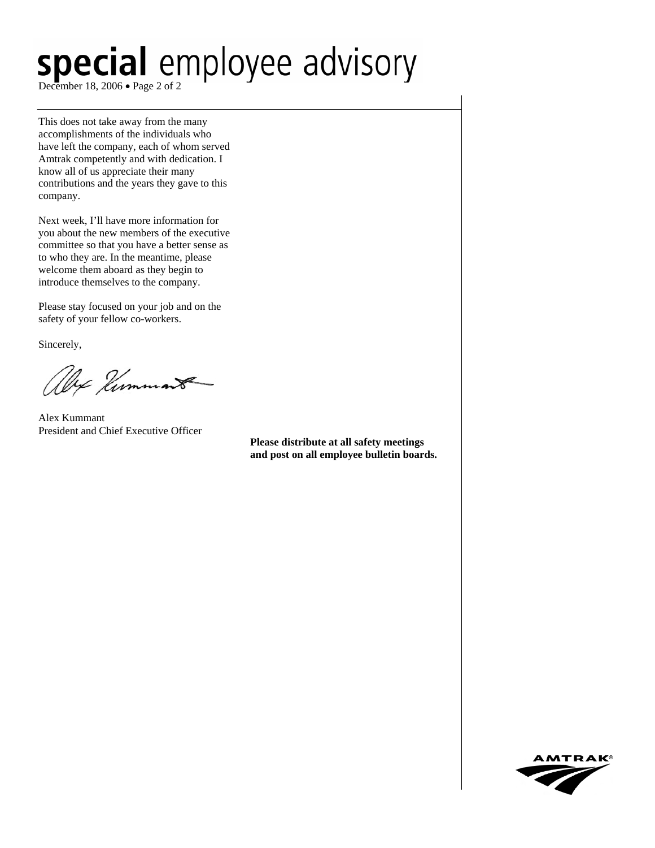This does not take away from the many accomplishments of the individuals who have left the company, each of whom served Amtrak competently and with dedication. I know all of us appreciate their many contributions and the years they gave to this company.

Next week, I'll have more information for you about the new members of the executive committee so that you have a better sense as to who they are. In the meantime, please welcome them aboard as they begin to introduce themselves to the company.

Please stay focused on your job and on the safety of your fellow co-workers.

Sincerely,

Alex Kummant

Alex Kummant President and Chief Executive Officer

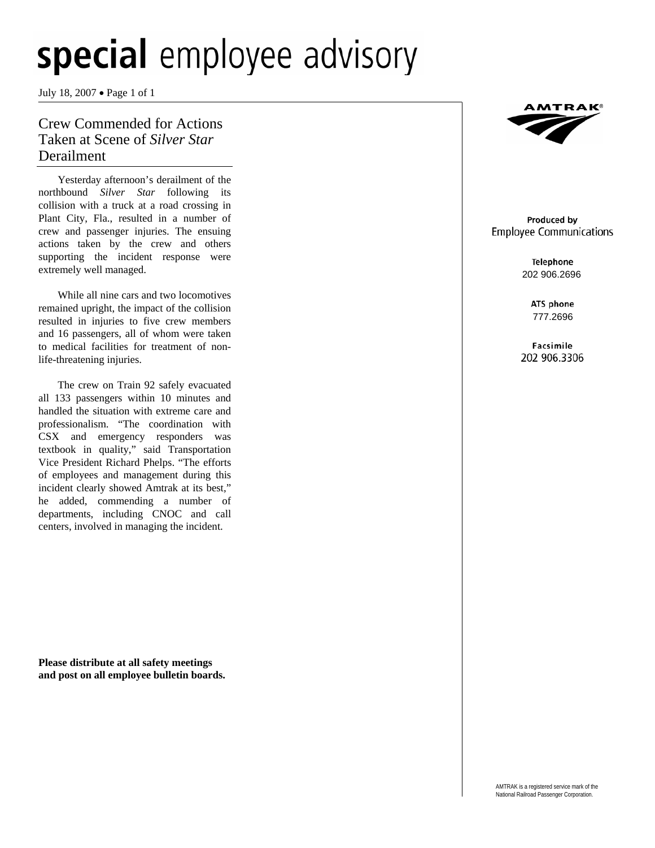July 18, 2007 • Page 1 of 1

## Crew Commended for Actions Taken at Scene of *Silver Star* Derailment

 Yesterday afternoon's derailment of the northbound *Silver Star* following its collision with a truck at a road crossing in Plant City, Fla., resulted in a number of crew and passenger injuries. The ensuing actions taken by the crew and others supporting the incident response were extremely well managed.

 While all nine cars and two locomotives remained upright, the impact of the collision resulted in injuries to five crew members and 16 passengers, all of whom were taken to medical facilities for treatment of nonlife-threatening injuries.

 The crew on Train 92 safely evacuated all 133 passengers within 10 minutes and handled the situation with extreme care and professionalism. "The coordination with CSX and emergency responders was textbook in quality," said Transportation Vice President Richard Phelps. "The efforts of employees and management during this incident clearly showed Amtrak at its best," he added, commending a number of departments, including CNOC and call centers, involved in managing the incident.

**IMTRAK®** 

#### Produced by **Employee Communications**

Telephone 202 906.2696

> ATS phone 777.2696

Facsimile 202 906.3306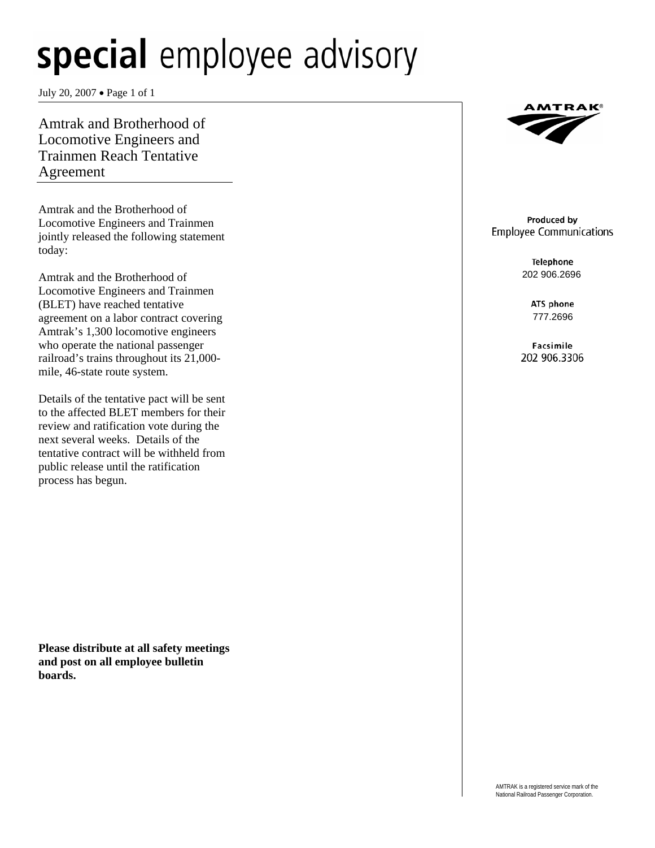July 20, 2007 • Page 1 of 1

Amtrak and Brotherhood of Locomotive Engineers and Trainmen Reach Tentative Agreement

Amtrak and the Brotherhood of Locomotive Engineers and Trainmen jointly released the following statement today:

Amtrak and the Brotherhood of Locomotive Engineers and Trainmen (BLET) have reached tentative agreement on a labor contract covering Amtrak's 1,300 locomotive engineers who operate the national passenger railroad's trains throughout its 21,000 mile, 46-state route system.

Details of the tentative pact will be sent to the affected BLET members for their review and ratification vote during the next several weeks. Details of the tentative contract will be withheld from public release until the ratification process has begun.

**Please distribute at all safety meetings and post on all employee bulletin boards.** 



#### Produced by **Employee Communications**

Telephone 202 906.2696

> ATS phone 777.2696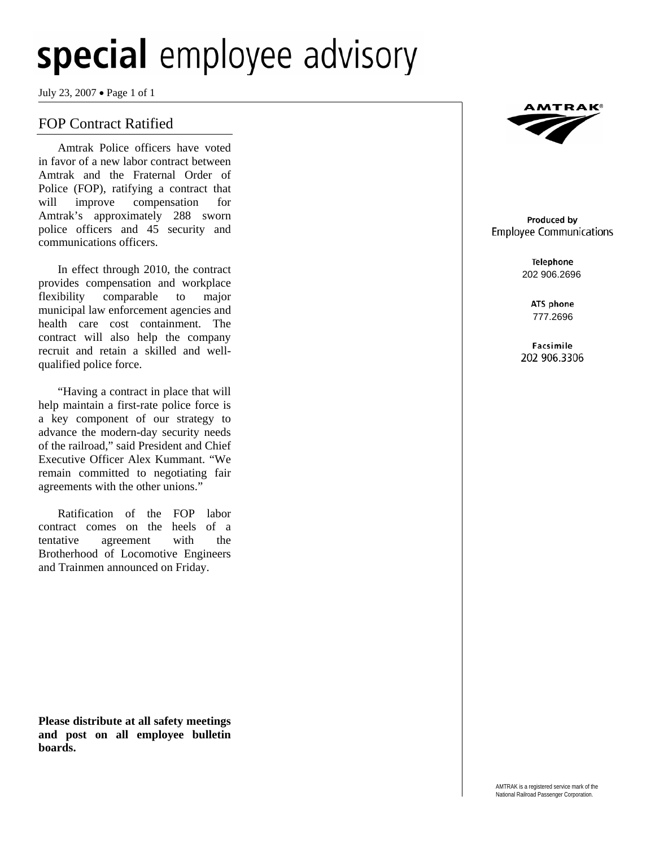July 23, 2007 • Page 1 of 1

### FOP Contract Ratified

Amtrak Police officers have voted in favor of a new labor contract between Amtrak and the Fraternal Order of Police (FOP), ratifying a contract that will improve compensation for Amtrak's approximately 288 sworn police officers and 45 security and communications officers.

 In effect through 2010, the contract provides compensation and workplace flexibility comparable to major municipal law enforcement agencies and health care cost containment. The contract will also help the company recruit and retain a skilled and wellqualified police force.

 "Having a contract in place that will help maintain a first-rate police force is a key component of our strategy to advance the modern-day security needs of the railroad," said President and Chief Executive Officer Alex Kummant. "We remain committed to negotiating fair agreements with the other unions."

 Ratification of the FOP labor contract comes on the heels of a tentative agreement with the Brotherhood of Locomotive Engineers and Trainmen announced on Friday.

**Please distribute at all safety meetings and post on all employee bulletin boards.** 



#### Produced by **Employee Communications**

Telephone 202 906.2696

> ATS phone 777.2696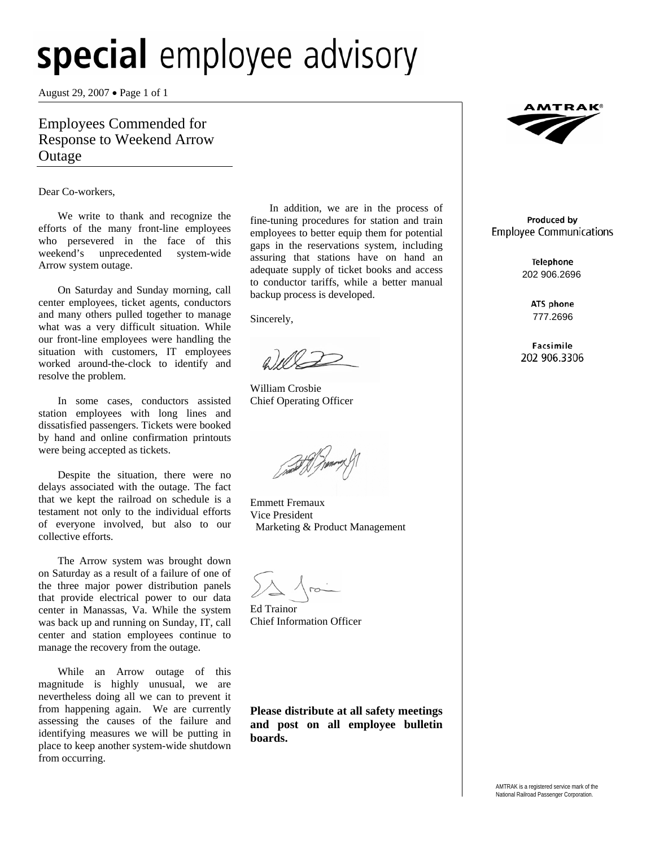August 29, 2007 • Page 1 of 1

## Employees Commended for Response to Weekend Arrow Outage

Dear Co-workers,

 We write to thank and recognize the efforts of the many front-line employees who persevered in the face of this weekend's unprecedented system-wide Arrow system outage.

 On Saturday and Sunday morning, call center employees, ticket agents, conductors and many others pulled together to manage what was a very difficult situation. While our front-line employees were handling the situation with customers, IT employees worked around-the-clock to identify and resolve the problem.

 In some cases, conductors assisted station employees with long lines and dissatisfied passengers. Tickets were booked by hand and online confirmation printouts were being accepted as tickets.

 Despite the situation, there were no delays associated with the outage. The fact that we kept the railroad on schedule is a testament not only to the individual efforts of everyone involved, but also to our collective efforts.

 The Arrow system was brought down on Saturday as a result of a failure of one of the three major power distribution panels that provide electrical power to our data center in Manassas, Va. While the system was back up and running on Sunday, IT, call center and station employees continue to manage the recovery from the outage.

 While an Arrow outage of this magnitude is highly unusual, we are nevertheless doing all we can to prevent it from happening again. We are currently assessing the causes of the failure and identifying measures we will be putting in place to keep another system-wide shutdown from occurring.

 In addition, we are in the process of fine-tuning procedures for station and train employees to better equip them for potential gaps in the reservations system, including assuring that stations have on hand an adequate supply of ticket books and access to conductor tariffs, while a better manual backup process is developed.

Sincerely,

William Crosbie Chief Operating Officer

Emmett Fremaux Vice President Marketing & Product Management

 $\infty$ 

Ed Trainor Chief Information Officer

**Please distribute at all safety meetings and post on all employee bulletin boards.** 



### Produced by **Employee Communications**

Telephone 202 906.2696

> ATS phone 777.2696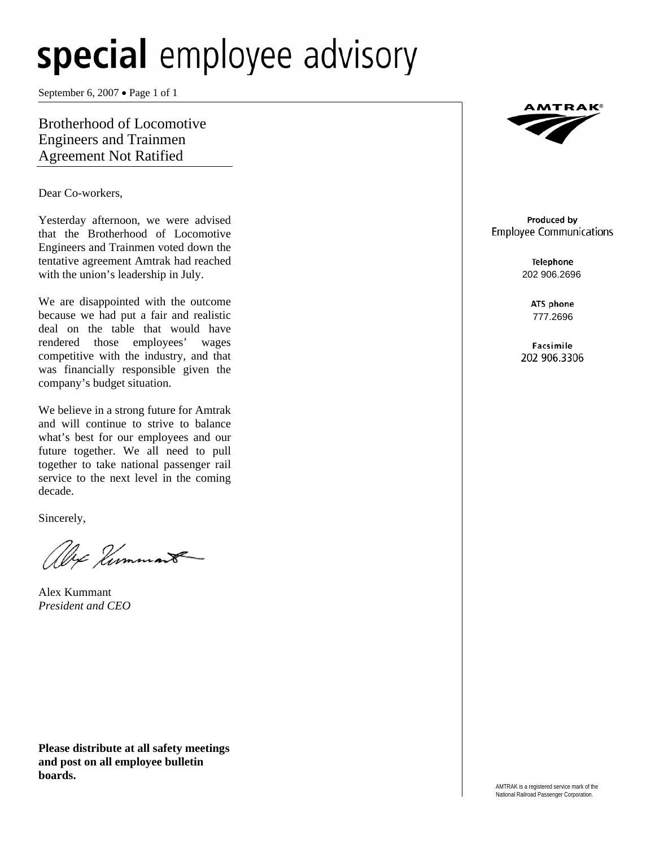September 6, 2007 • Page 1 of 1

Brotherhood of Locomotive Engineers and Trainmen Agreement Not Ratified

Dear Co-workers,

Yesterday afternoon, we were advised that the Brotherhood of Locomotive Engineers and Trainmen voted down the tentative agreement Amtrak had reached with the union's leadership in July.

We are disappointed with the outcome because we had put a fair and realistic deal on the table that would have rendered those employees' wages competitive with the industry, and that was financially responsible given the company's budget situation.

We believe in a strong future for Amtrak and will continue to strive to balance what's best for our employees and our future together. We all need to pull together to take national passenger rail service to the next level in the coming decade.

Sincerely,

Alex Elimmant

Alex Kummant *President and CEO* 

**Please distribute at all safety meetings and post on all employee bulletin boards.** 



#### Produced by **Employee Communications**

Telephone 202 906.2696

> ATS phone 777.2696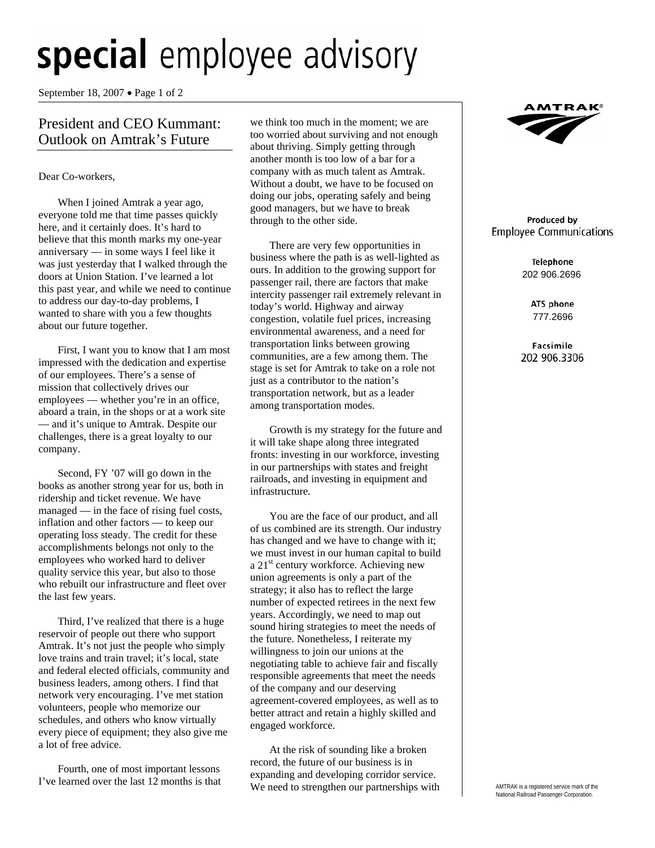September 18, 2007 • Page 1 of 2

## President and CEO Kummant: Outlook on Amtrak's Future

### Dear Co-workers,

 When I joined Amtrak a year ago, everyone told me that time passes quickly here, and it certainly does. It's hard to believe that this month marks my one-year anniversary — in some ways I feel like it was just yesterday that I walked through the doors at Union Station. I've learned a lot this past year, and while we need to continue to address our day-to-day problems, I wanted to share with you a few thoughts about our future together.

 First, I want you to know that I am most impressed with the dedication and expertise of our employees. There's a sense of mission that collectively drives our employees — whether you're in an office, aboard a train, in the shops or at a work site — and it's unique to Amtrak. Despite our challenges, there is a great loyalty to our company.

 Second, FY '07 will go down in the books as another strong year for us, both in ridership and ticket revenue. We have managed — in the face of rising fuel costs, inflation and other factors — to keep our operating loss steady. The credit for these accomplishments belongs not only to the employees who worked hard to deliver quality service this year, but also to those who rebuilt our infrastructure and fleet over the last few years.

 Third, I've realized that there is a huge reservoir of people out there who support Amtrak. It's not just the people who simply love trains and train travel; it's local, state and federal elected officials, community and business leaders, among others. I find that network very encouraging. I've met station volunteers, people who memorize our schedules, and others who know virtually every piece of equipment; they also give me a lot of free advice.

 Fourth, one of most important lessons I've learned over the last 12 months is that

we think too much in the moment; we are too worried about surviving and not enough about thriving. Simply getting through another month is too low of a bar for a company with as much talent as Amtrak. Without a doubt, we have to be focused on doing our jobs, operating safely and being good managers, but we have to break through to the other side.

 There are very few opportunities in business where the path is as well-lighted as ours. In addition to the growing support for passenger rail, there are factors that make intercity passenger rail extremely relevant in today's world. Highway and airway congestion, volatile fuel prices, increasing environmental awareness, and a need for transportation links between growing communities, are a few among them. The stage is set for Amtrak to take on a role not just as a contributor to the nation's transportation network, but as a leader among transportation modes.

 Growth is my strategy for the future and it will take shape along three integrated fronts: investing in our workforce, investing in our partnerships with states and freight railroads, and investing in equipment and infrastructure.

 You are the face of our product, and all of us combined are its strength. Our industry has changed and we have to change with it; we must invest in our human capital to build a 21<sup>st</sup> century workforce. Achieving new union agreements is only a part of the strategy; it also has to reflect the large number of expected retirees in the next few years. Accordingly, we need to map out sound hiring strategies to meet the needs of the future. Nonetheless, I reiterate my willingness to join our unions at the negotiating table to achieve fair and fiscally responsible agreements that meet the needs of the company and our deserving agreement-covered employees, as well as to better attract and retain a highly skilled and engaged workforce.

 At the risk of sounding like a broken record, the future of our business is in expanding and developing corridor service. We need to strengthen our partnerships with



### Produced by **Employee Communications**

Telephone 202 906.2696

> ATS phone 777.2696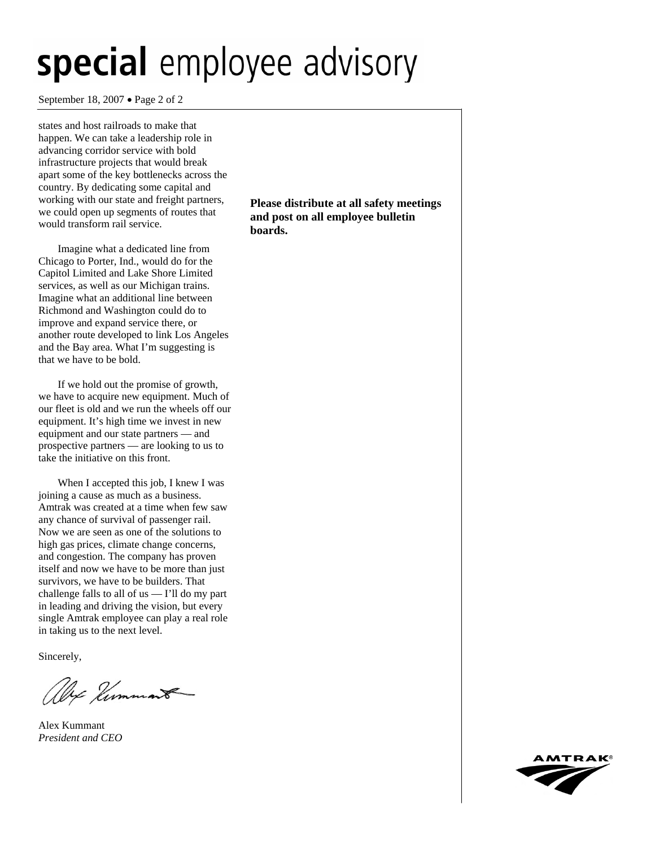September 18, 2007 • Page 2 of 2

states and host railroads to make that happen. We can take a leadership role in advancing corridor service with bold infrastructure projects that would break apart some of the key bottlenecks across the country. By dedicating some capital and working with our state and freight partners, we could open up segments of routes that would transform rail service.

 Imagine what a dedicated line from Chicago to Porter, Ind., would do for the Capitol Limited and Lake Shore Limited services, as well as our Michigan trains. Imagine what an additional line between Richmond and Washington could do to improve and expand service there, or another route developed to link Los Angeles and the Bay area. What I'm suggesting is that we have to be bold.

 If we hold out the promise of growth, we have to acquire new equipment. Much of our fleet is old and we run the wheels off our equipment. It's high time we invest in new equipment and our state partners — and prospective partners — are looking to us to take the initiative on this front.

 When I accepted this job, I knew I was joining a cause as much as a business. Amtrak was created at a time when few saw any chance of survival of passenger rail. Now we are seen as one of the solutions to high gas prices, climate change concerns, and congestion. The company has proven itself and now we have to be more than just survivors, we have to be builders. That challenge falls to all of  $us - I'll$  do my part in leading and driving the vision, but every single Amtrak employee can play a real role in taking us to the next level.

Sincerely,

Alex Kimmant

Alex Kummant *President and CEO* 

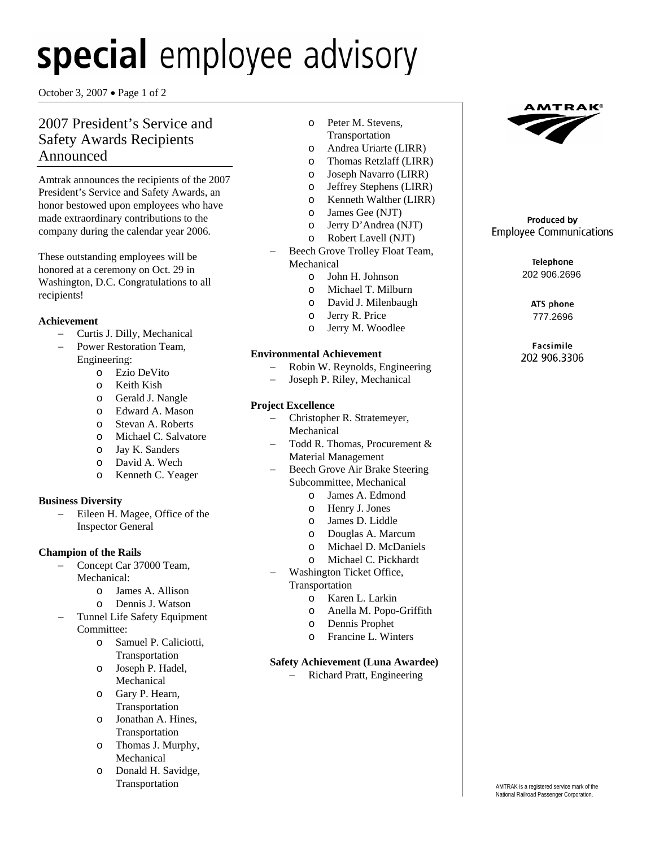October 3, 2007 • Page 1 of 2

## 2007 President's Service and Safety Awards Recipients Announced

Amtrak announces the recipients of the 2007 President's Service and Safety Awards, an honor bestowed upon employees who have made extraordinary contributions to the company during the calendar year 2006.

These outstanding employees will be honored at a ceremony on Oct. 29 in Washington, D.C. Congratulations to all recipients!

### **Achievement**

- − Curtis J. Dilly, Mechanical
	- − Power Restoration Team,
		- Engineering:
			- o Ezio DeVito
			- o Keith Kish
			- o Gerald J. Nangle
			- o Edward A. Mason
			- o Stevan A. Roberts
			- o Michael C. Salvatore
			- o Jay K. Sanders
			- o David A. Wech
			- o Kenneth C. Yeager

### **Business Diversity**

Eileen H. Magee, Office of the Inspector General

### **Champion of the Rails**

- Concept Car 37000 Team, Mechanical:
	- o James A. Allison
	- o Dennis J. Watson
- Tunnel Life Safety Equipment Committee:
	- o Samuel P. Caliciotti, Transportation
	- o Joseph P. Hadel, Mechanical
	- o Gary P. Hearn, Transportation
	- o Jonathan A. Hines, **Transportation**
	- o Thomas J. Murphy, Mechanical
	- o Donald H. Savidge, Transportation
- o Peter M. Stevens,
- Transportation
- o Andrea Uriarte (LIRR)
- o Thomas Retzlaff (LIRR) o Joseph Navarro (LIRR)
- o Jeffrey Stephens (LIRR)
- o Kenneth Walther (LIRR)
- o James Gee (NJT)
- o Jerry D'Andrea (NJT)
- o Robert Lavell (NJT)
- 
- Beech Grove Trolley Float Team, Mechanical
	- o John H. Johnson
	- o Michael T. Milburn
	- o David J. Milenbaugh
	- o Jerry R. Price
	- o Jerry M. Woodlee

### **Environmental Achievement**

- − Robin W. Reynolds, Engineering
- Joseph P. Riley, Mechanical

### **Project Excellence**

- − Christopher R. Stratemeyer, Mechanical
- Todd R. Thomas, Procurement & Material Management
- Beech Grove Air Brake Steering Subcommittee, Mechanical
	- o James A. Edmond
	- o Henry J. Jones
	- o James D. Liddle
	- o Douglas A. Marcum
	- o Michael D. McDaniels
	- o Michael C. Pickhardt
- − Washington Ticket Office,
	- Transportation
		- o Karen L. Larkin
		- o Anella M. Popo-Griffith
		- o Dennis Prophet
		- o Francine L. Winters

### **Safety Achievement (Luna Awardee)**

− Richard Pratt, Engineering



### Produced by **Employee Communications**

Telephone 202 906.2696

> ATS phone 777.2696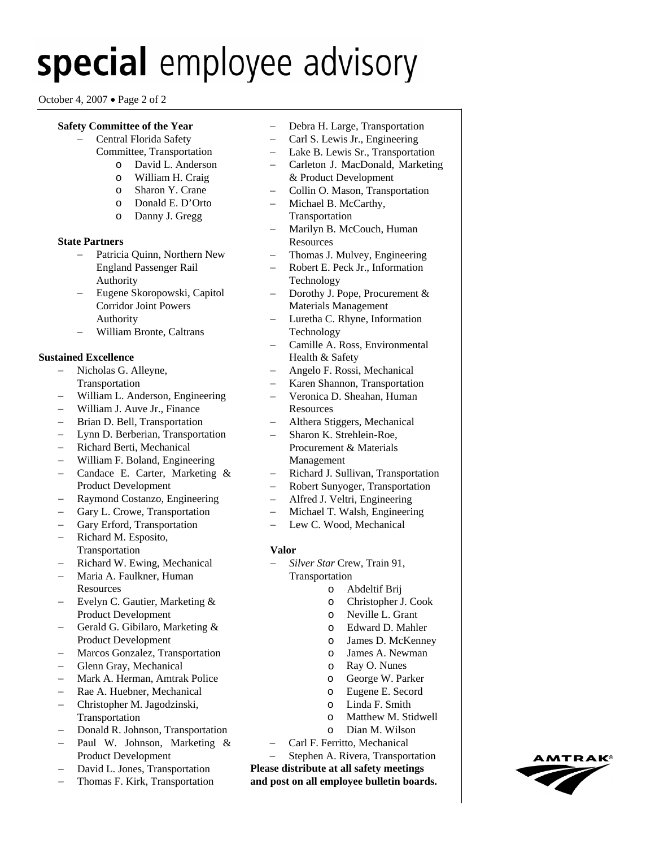### October 4, 2007 • Page 2 of 2

#### **Safety Committee of the Year**

- − Central Florida Safety
	- Committee, Transportation o David L. Anderson
		-
		- o William H. Craig o Sharon Y. Crane
		- o Donald E. D'Orto
		-
		- o Danny J. Gregg

### **State Partners**

- − Patricia Quinn, Northern New England Passenger Rail Authority
- − Eugene Skoropowski, Capitol Corridor Joint Powers Authority
- − William Bronte, Caltrans

### **Sustained Excellence**

- − Nicholas G. Alleyne, Transportation
- William L. Anderson, Engineering
- − William J. Auve Jr., Finance
- Brian D. Bell, Transportation
- Lynn D. Berberian, Transportation
- − Richard Berti, Mechanical
- William F. Boland, Engineering
- − Candace E. Carter, Marketing & Product Development
- − Raymond Costanzo, Engineering
- Gary L. Crowe, Transportation
- Gary Erford, Transportation
- − Richard M. Esposito, Transportation
- − Richard W. Ewing, Mechanical
- − Maria A. Faulkner, Human **Resources**
- − Evelyn C. Gautier, Marketing & Product Development
- Gerald G. Gibilaro, Marketing & Product Development
- − Marcos Gonzalez, Transportation
- − Glenn Gray, Mechanical
- − Mark A. Herman, Amtrak Police
- − Rae A. Huebner, Mechanical
- − Christopher M. Jagodzinski, Transportation
- − Donald R. Johnson, Transportation
- − Paul W. Johnson, Marketing & Product Development
- − David L. Jones, Transportation
- − Thomas F. Kirk, Transportation
- − Debra H. Large, Transportation
- − Carl S. Lewis Jr., Engineering
- Lake B. Lewis Sr., Transportation
- − Carleton J. MacDonald, Marketing & Product Development
- − Collin O. Mason, Transportation
- Michael B. McCarthy,
- Transportation
- − Marilyn B. McCouch, Human **Resources**
- Thomas J. Mulvey, Engineering
- − Robert E. Peck Jr., Information Technology
- Dorothy J. Pope, Procurement & Materials Management
- − Luretha C. Rhyne, Information Technology
- − Camille A. Ross, Environmental Health & Safety
- − Angelo F. Rossi, Mechanical
- − Karen Shannon, Transportation
- − Veronica D. Sheahan, Human Resources
- − Althera Stiggers, Mechanical
- − Sharon K. Strehlein-Roe, Procurement & Materials Management
- − Richard J. Sullivan, Transportation
- − Robert Sunyoger, Transportation
- − Alfred J. Veltri, Engineering
- − Michael T. Walsh, Engineering
- − Lew C. Wood, Mechanical
- **Valor** 
	- − *Silver Star* Crew, Train 91, Transportation
		- o Abdeltif Brij
		- o Christopher J. Cook
		- o Neville L. Grant
		- o Edward D. Mahler
		- o James D. McKenney
		- o James A. Newman
		- o Ray O. Nunes
		- o George W. Parker
		- o Eugene E. Secord
		- o Linda F. Smith
		- o Matthew M. Stidwell
		- o Dian M. Wilson
- − Carl F. Ferritto, Mechanical

− Stephen A. Rivera, Transportation

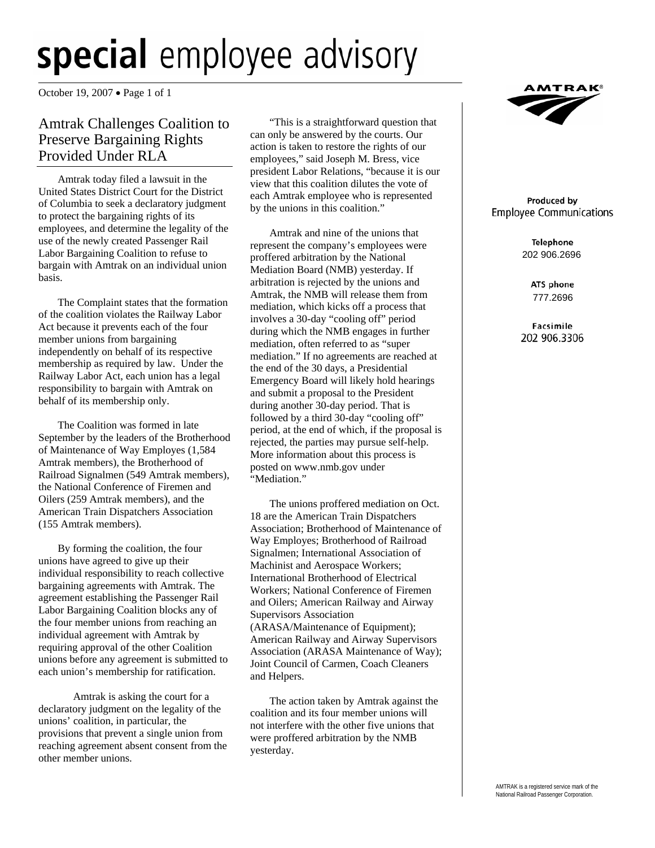October 19, 2007 • Page 1 of 1

## Amtrak Challenges Coalition to Preserve Bargaining Rights Provided Under RLA

 Amtrak today filed a lawsuit in the United States District Court for the District of Columbia to seek a declaratory judgment to protect the bargaining rights of its employees, and determine the legality of the use of the newly created Passenger Rail Labor Bargaining Coalition to refuse to bargain with Amtrak on an individual union basis.

 The Complaint states that the formation of the coalition violates the Railway Labor Act because it prevents each of the four member unions from bargaining independently on behalf of its respective membership as required by law. Under the Railway Labor Act, each union has a legal responsibility to bargain with Amtrak on behalf of its membership only.

 The Coalition was formed in late September by the leaders of the Brotherhood of Maintenance of Way Employes (1,584 Amtrak members), the Brotherhood of Railroad Signalmen (549 Amtrak members), the National Conference of Firemen and Oilers (259 Amtrak members), and the American Train Dispatchers Association (155 Amtrak members).

 By forming the coalition, the four unions have agreed to give up their individual responsibility to reach collective bargaining agreements with Amtrak. The agreement establishing the Passenger Rail Labor Bargaining Coalition blocks any of the four member unions from reaching an individual agreement with Amtrak by requiring approval of the other Coalition unions before any agreement is submitted to each union's membership for ratification.

Amtrak is asking the court for a declaratory judgment on the legality of the unions' coalition, in particular, the provisions that prevent a single union from reaching agreement absent consent from the other member unions.

 "This is a straightforward question that can only be answered by the courts. Our action is taken to restore the rights of our employees," said Joseph M. Bress, vice president Labor Relations, "because it is our view that this coalition dilutes the vote of each Amtrak employee who is represented by the unions in this coalition."

 Amtrak and nine of the unions that represent the company's employees were proffered arbitration by the National Mediation Board (NMB) yesterday. If arbitration is rejected by the unions and Amtrak, the NMB will release them from mediation, which kicks off a process that involves a 30-day "cooling off" period during which the NMB engages in further mediation, often referred to as "super mediation." If no agreements are reached at the end of the 30 days, a Presidential Emergency Board will likely hold hearings and submit a proposal to the President during another 30-day period. That is followed by a third 30-day "cooling off" period, at the end of which, if the proposal is rejected, the parties may pursue self-help. More information about this process is posted on www.nmb.gov under "Mediation."

 The unions proffered mediation on Oct. 18 are the American Train Dispatchers Association; Brotherhood of Maintenance of Way Employes; Brotherhood of Railroad Signalmen; International Association of Machinist and Aerospace Workers; International Brotherhood of Electrical Workers; National Conference of Firemen and Oilers; American Railway and Airway Supervisors Association (ARASA/Maintenance of Equipment); American Railway and Airway Supervisors Association (ARASA Maintenance of Way); Joint Council of Carmen, Coach Cleaners and Helpers.

 The action taken by Amtrak against the coalition and its four member unions will not interfere with the other five unions that were proffered arbitration by the NMB yesterday.



### Produced by **Employee Communications**

Telephone 202 906.2696

> ATS phone 777.2696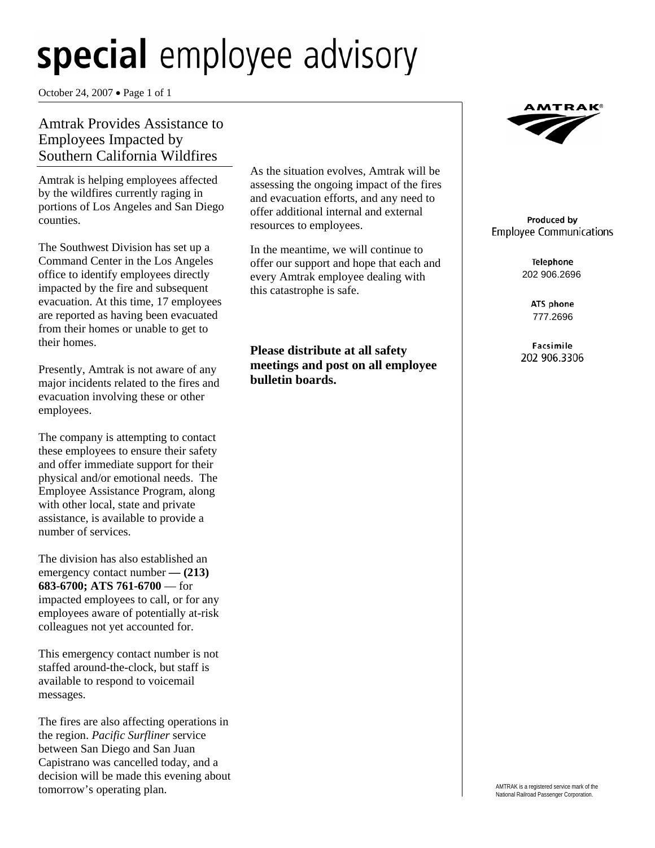October 24, 2007 • Page 1 of 1

## Amtrak Provides Assistance to Employees Impacted by Southern California Wildfires

Amtrak is helping employees affected by the wildfires currently raging in portions of Los Angeles and San Diego counties.

The Southwest Division has set up a Command Center in the Los Angeles office to identify employees directly impacted by the fire and subsequent evacuation. At this time, 17 employees are reported as having been evacuated from their homes or unable to get to their homes.

Presently, Amtrak is not aware of any major incidents related to the fires and evacuation involving these or other employees.

The company is attempting to contact these employees to ensure their safety and offer immediate support for their physical and/or emotional needs. The Employee Assistance Program, along with other local, state and private assistance, is available to provide a number of services.

The division has also established an emergency contact number **— (213) 683-6700; ATS 761-6700** — for impacted employees to call, or for any employees aware of potentially at-risk colleagues not yet accounted for.

This emergency contact number is not staffed around-the-clock, but staff is available to respond to voicemail messages.

The fires are also affecting operations in the region. *Pacific Surfliner* service between San Diego and San Juan Capistrano was cancelled today, and a decision will be made this evening about tomorrow's operating plan.

As the situation evolves, Amtrak will be assessing the ongoing impact of the fires and evacuation efforts, and any need to offer additional internal and external resources to employees.

In the meantime, we will continue to offer our support and hope that each and every Amtrak employee dealing with this catastrophe is safe.

**Please distribute at all safety meetings and post on all employee bulletin boards.** 



### Produced by **Employee Communications**

Telephone 202 906.2696

> ATS phone 777.2696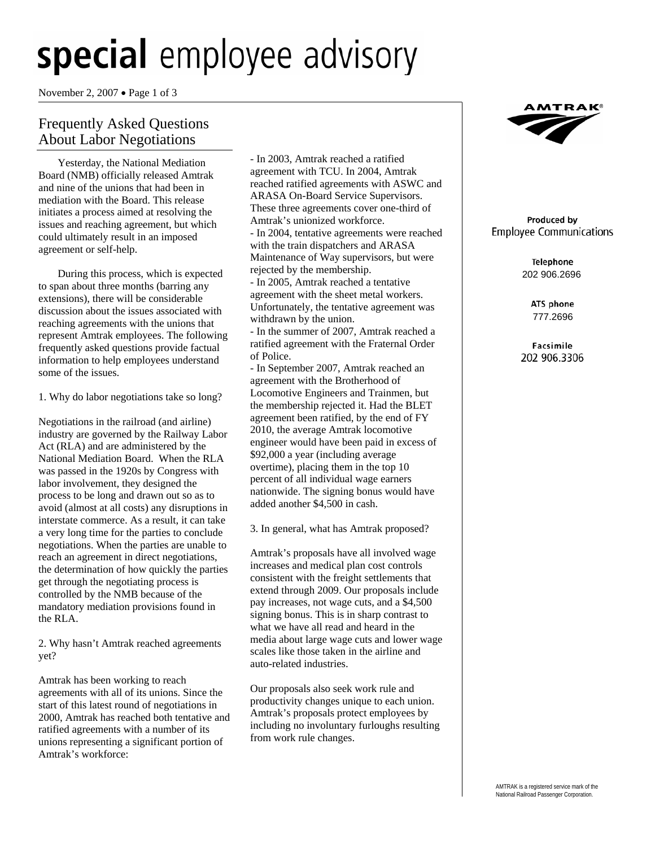November 2, 2007 • Page 1 of 3

## Frequently Asked Questions About Labor Negotiations

 Yesterday, the National Mediation Board (NMB) officially released Amtrak and nine of the unions that had been in mediation with the Board. This release initiates a process aimed at resolving the issues and reaching agreement, but which could ultimately result in an imposed agreement or self-help.

 During this process, which is expected to span about three months (barring any extensions), there will be considerable discussion about the issues associated with reaching agreements with the unions that represent Amtrak employees. The following frequently asked questions provide factual information to help employees understand some of the issues.

1. Why do labor negotiations take so long?

Negotiations in the railroad (and airline) industry are governed by the Railway Labor Act (RLA) and are administered by the National Mediation Board. When the RLA was passed in the 1920s by Congress with labor involvement, they designed the process to be long and drawn out so as to avoid (almost at all costs) any disruptions in interstate commerce. As a result, it can take a very long time for the parties to conclude negotiations. When the parties are unable to reach an agreement in direct negotiations, the determination of how quickly the parties get through the negotiating process is controlled by the NMB because of the mandatory mediation provisions found in the RLA.

2. Why hasn't Amtrak reached agreements yet?

Amtrak has been working to reach agreements with all of its unions. Since the start of this latest round of negotiations in 2000, Amtrak has reached both tentative and ratified agreements with a number of its unions representing a significant portion of Amtrak's workforce:

- In 2003, Amtrak reached a ratified agreement with TCU. In 2004, Amtrak reached ratified agreements with ASWC and ARASA On-Board Service Supervisors. These three agreements cover one-third of Amtrak's unionized workforce. - In 2004, tentative agreements were reached with the train dispatchers and ARASA Maintenance of Way supervisors, but were rejected by the membership. - In 2005, Amtrak reached a tentative

agreement with the sheet metal workers. Unfortunately, the tentative agreement was withdrawn by the union.

- In the summer of 2007, Amtrak reached a ratified agreement with the Fraternal Order of Police.

- In September 2007, Amtrak reached an agreement with the Brotherhood of Locomotive Engineers and Trainmen, but the membership rejected it. Had the BLET agreement been ratified, by the end of FY 2010, the average Amtrak locomotive engineer would have been paid in excess of \$92,000 a year (including average overtime), placing them in the top 10 percent of all individual wage earners nationwide. The signing bonus would have added another \$4,500 in cash.

3. In general, what has Amtrak proposed?

Amtrak's proposals have all involved wage increases and medical plan cost controls consistent with the freight settlements that extend through 2009. Our proposals include pay increases, not wage cuts, and a \$4,500 signing bonus. This is in sharp contrast to what we have all read and heard in the media about large wage cuts and lower wage scales like those taken in the airline and auto-related industries.

Our proposals also seek work rule and productivity changes unique to each union. Amtrak's proposals protect employees by including no involuntary furloughs resulting from work rule changes.



### Produced by **Employee Communications**

Telephone 202 906.2696

> ATS phone 777.2696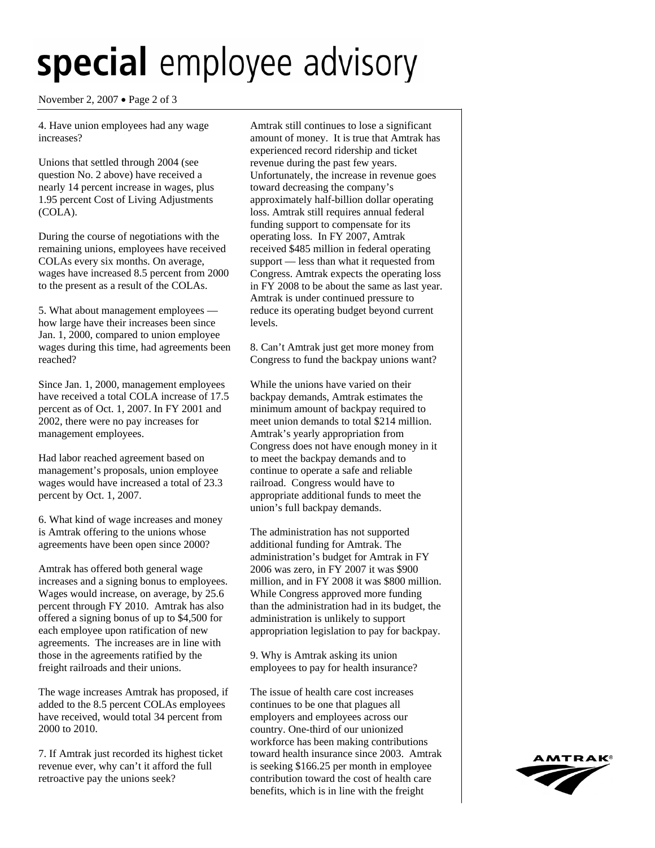November 2, 2007 • Page 2 of 3

4. Have union employees had any wage increases?

Unions that settled through 2004 (see question No. 2 above) have received a nearly 14 percent increase in wages, plus 1.95 percent Cost of Living Adjustments (COLA).

During the course of negotiations with the remaining unions, employees have received COLAs every six months. On average, wages have increased 8.5 percent from 2000 to the present as a result of the COLAs.

5. What about management employees how large have their increases been since Jan. 1, 2000, compared to union employee wages during this time, had agreements been reached?

Since Jan. 1, 2000, management employees have received a total COLA increase of 17.5 percent as of Oct. 1, 2007. In FY 2001 and 2002, there were no pay increases for management employees.

Had labor reached agreement based on management's proposals, union employee wages would have increased a total of 23.3 percent by Oct. 1, 2007.

6. What kind of wage increases and money is Amtrak offering to the unions whose agreements have been open since 2000?

Amtrak has offered both general wage increases and a signing bonus to employees. Wages would increase, on average, by 25.6 percent through FY 2010. Amtrak has also offered a signing bonus of up to \$4,500 for each employee upon ratification of new agreements. The increases are in line with those in the agreements ratified by the freight railroads and their unions.

The wage increases Amtrak has proposed, if added to the 8.5 percent COLAs employees have received, would total 34 percent from 2000 to 2010.

7. If Amtrak just recorded its highest ticket revenue ever, why can't it afford the full retroactive pay the unions seek?

Amtrak still continues to lose a significant amount of money. It is true that Amtrak has experienced record ridership and ticket revenue during the past few years. Unfortunately, the increase in revenue goes toward decreasing the company's approximately half-billion dollar operating loss. Amtrak still requires annual federal funding support to compensate for its operating loss. In FY 2007, Amtrak received \$485 million in federal operating support — less than what it requested from Congress. Amtrak expects the operating loss in FY 2008 to be about the same as last year. Amtrak is under continued pressure to reduce its operating budget beyond current levels.

8. Can't Amtrak just get more money from Congress to fund the backpay unions want?

While the unions have varied on their backpay demands, Amtrak estimates the minimum amount of backpay required to meet union demands to total \$214 million. Amtrak's yearly appropriation from Congress does not have enough money in it to meet the backpay demands and to continue to operate a safe and reliable railroad. Congress would have to appropriate additional funds to meet the union's full backpay demands.

The administration has not supported additional funding for Amtrak. The administration's budget for Amtrak in FY 2006 was zero, in FY 2007 it was \$900 million, and in FY 2008 it was \$800 million. While Congress approved more funding than the administration had in its budget, the administration is unlikely to support appropriation legislation to pay for backpay.

9. Why is Amtrak asking its union employees to pay for health insurance?

The issue of health care cost increases continues to be one that plagues all employers and employees across our country. One-third of our unionized workforce has been making contributions toward health insurance since 2003. Amtrak is seeking \$166.25 per month in employee contribution toward the cost of health care benefits, which is in line with the freight

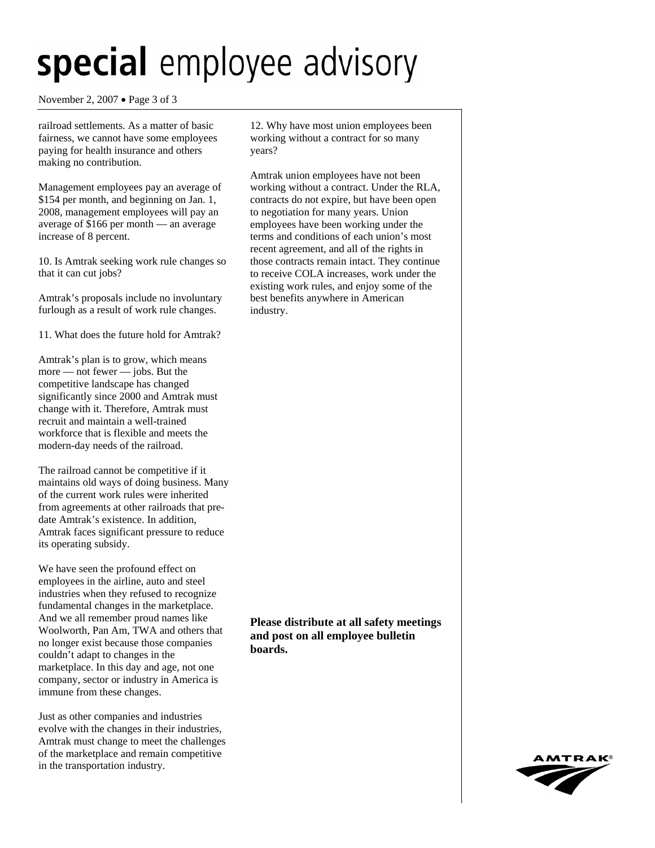November 2, 2007 • Page 3 of 3

railroad settlements. As a matter of basic fairness, we cannot have some employees paying for health insurance and others making no contribution.

Management employees pay an average of \$154 per month, and beginning on Jan. 1, 2008, management employees will pay an average of \$166 per month — an average increase of 8 percent.

10. Is Amtrak seeking work rule changes so that it can cut jobs?

Amtrak's proposals include no involuntary furlough as a result of work rule changes.

11. What does the future hold for Amtrak?

Amtrak's plan is to grow, which means more — not fewer — jobs. But the competitive landscape has changed significantly since 2000 and Amtrak must change with it. Therefore, Amtrak must recruit and maintain a well-trained workforce that is flexible and meets the modern-day needs of the railroad.

The railroad cannot be competitive if it maintains old ways of doing business. Many of the current work rules were inherited from agreements at other railroads that predate Amtrak's existence. In addition, Amtrak faces significant pressure to reduce its operating subsidy.

We have seen the profound effect on employees in the airline, auto and steel industries when they refused to recognize fundamental changes in the marketplace. And we all remember proud names like Woolworth, Pan Am, TWA and others that no longer exist because those companies couldn't adapt to changes in the marketplace. In this day and age, not one company, sector or industry in America is immune from these changes.

Just as other companies and industries evolve with the changes in their industries, Amtrak must change to meet the challenges of the marketplace and remain competitive in the transportation industry.

12. Why have most union employees been working without a contract for so many years?

Amtrak union employees have not been working without a contract. Under the RLA, contracts do not expire, but have been open to negotiation for many years. Union employees have been working under the terms and conditions of each union's most recent agreement, and all of the rights in those contracts remain intact. They continue to receive COLA increases, work under the existing work rules, and enjoy some of the best benefits anywhere in American industry.

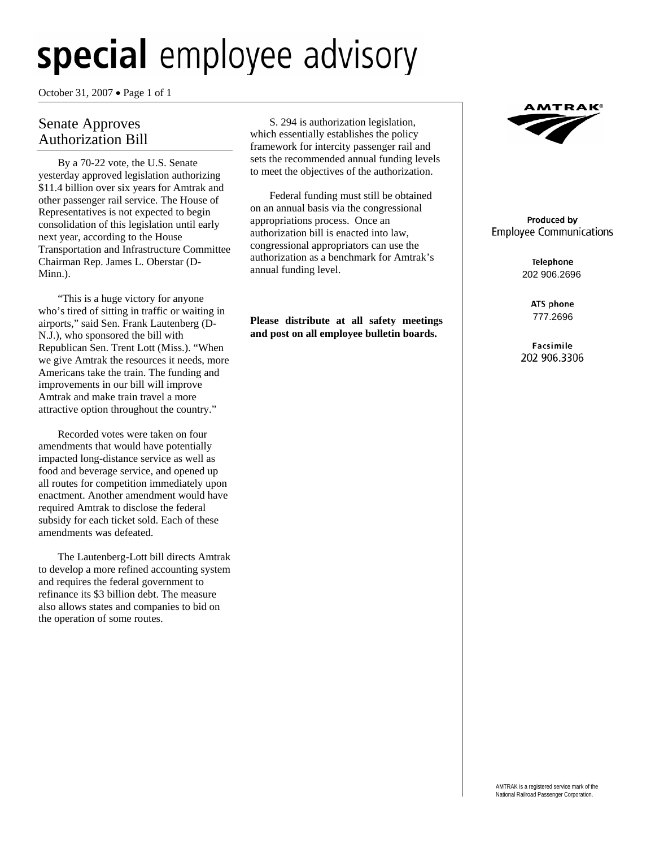October 31, 2007 • Page 1 of 1

## Senate Approves Authorization Bill

 By a 70-22 vote, the U.S. Senate yesterday approved legislation authorizing \$11.4 billion over six years for Amtrak and other passenger rail service. The House of Representatives is not expected to begin consolidation of this legislation until early next year, according to the House Transportation and Infrastructure Committee Chairman Rep. James L. Oberstar (D-Minn.).

 "This is a huge victory for anyone who's tired of sitting in traffic or waiting in airports," said Sen. Frank Lautenberg (D-N.J.), who sponsored the bill with Republican Sen. Trent Lott (Miss.). "When we give Amtrak the resources it needs, more Americans take the train. The funding and improvements in our bill will improve Amtrak and make train travel a more attractive option throughout the country."

 Recorded votes were taken on four amendments that would have potentially impacted long-distance service as well as food and beverage service, and opened up all routes for competition immediately upon enactment. Another amendment would have required Amtrak to disclose the federal subsidy for each ticket sold. Each of these amendments was defeated.

 The Lautenberg-Lott bill directs Amtrak to develop a more refined accounting system and requires the federal government to refinance its \$3 billion debt. The measure also allows states and companies to bid on the operation of some routes.

S. 294 is authorization legislation, which essentially establishes the policy framework for intercity passenger rail and sets the recommended annual funding levels to meet the objectives of the authorization.

Federal funding must still be obtained on an annual basis via the congressional appropriations process. Once an authorization bill is enacted into law, congressional appropriators can use the authorization as a benchmark for Amtrak's annual funding level.

**Please distribute at all safety meetings and post on all employee bulletin boards.** 



### Produced by **Employee Communications**

Telephone 202 906.2696

> ATS phone 777.2696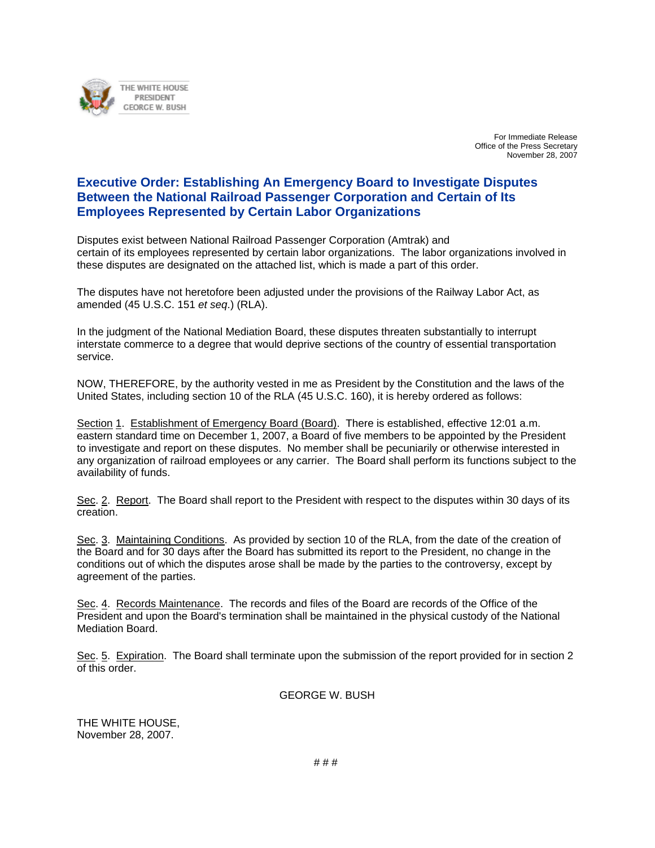

For Immediate Release Office of the Press Secretary November 28, 2007

### **Executive Order: Establishing An Emergency Board to Investigate Disputes Between the National Railroad Passenger Corporation and Certain of Its Employees Represented by Certain Labor Organizations**

Disputes exist between National Railroad Passenger Corporation (Amtrak) and certain of its employees represented by certain labor organizations. The labor organizations involved in these disputes are designated on the attached list, which is made a part of this order.

The disputes have not heretofore been adjusted under the provisions of the Railway Labor Act, as amended (45 U.S.C. 151 *et seq*.) (RLA).

In the judgment of the National Mediation Board, these disputes threaten substantially to interrupt interstate commerce to a degree that would deprive sections of the country of essential transportation service.

NOW, THEREFORE, by the authority vested in me as President by the Constitution and the laws of the United States, including section 10 of the RLA (45 U.S.C. 160), it is hereby ordered as follows:

Section 1. Establishment of Emergency Board (Board). There is established, effective 12:01 a.m. eastern standard time on December 1, 2007, a Board of five members to be appointed by the President to investigate and report on these disputes. No member shall be pecuniarily or otherwise interested in any organization of railroad employees or any carrier. The Board shall perform its functions subject to the availability of funds.

Sec. 2. Report. The Board shall report to the President with respect to the disputes within 30 days of its creation.

Sec. 3. Maintaining Conditions. As provided by section 10 of the RLA, from the date of the creation of the Board and for 30 days after the Board has submitted its report to the President, no change in the conditions out of which the disputes arose shall be made by the parties to the controversy, except by agreement of the parties.

Sec. 4. Records Maintenance. The records and files of the Board are records of the Office of the President and upon the Board's termination shall be maintained in the physical custody of the National Mediation Board.

Sec. 5. Expiration. The Board shall terminate upon the submission of the report provided for in section 2 of this order.

GEORGE W. BUSH

THE WHITE HOUSE, November 28, 2007.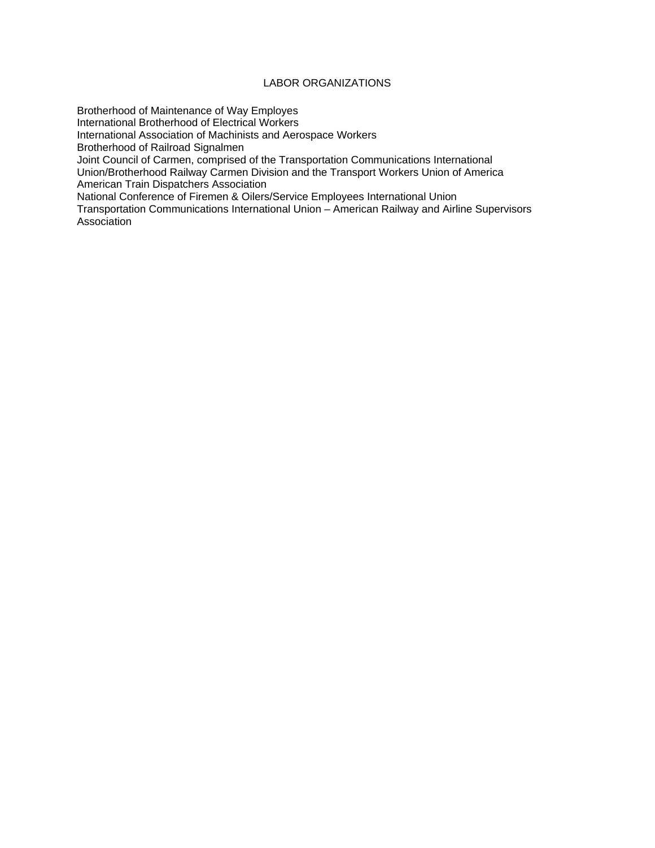### LABOR ORGANIZATIONS

Brotherhood of Maintenance of Way Employes

International Brotherhood of Electrical Workers

International Association of Machinists and Aerospace Workers

Brotherhood of Railroad Signalmen

Joint Council of Carmen, comprised of the Transportation Communications International

Union/Brotherhood Railway Carmen Division and the Transport Workers Union of America American Train Dispatchers Association

National Conference of Firemen & Oilers/Service Employees International Union

Transportation Communications International Union – American Railway and Airline Supervisors **Association**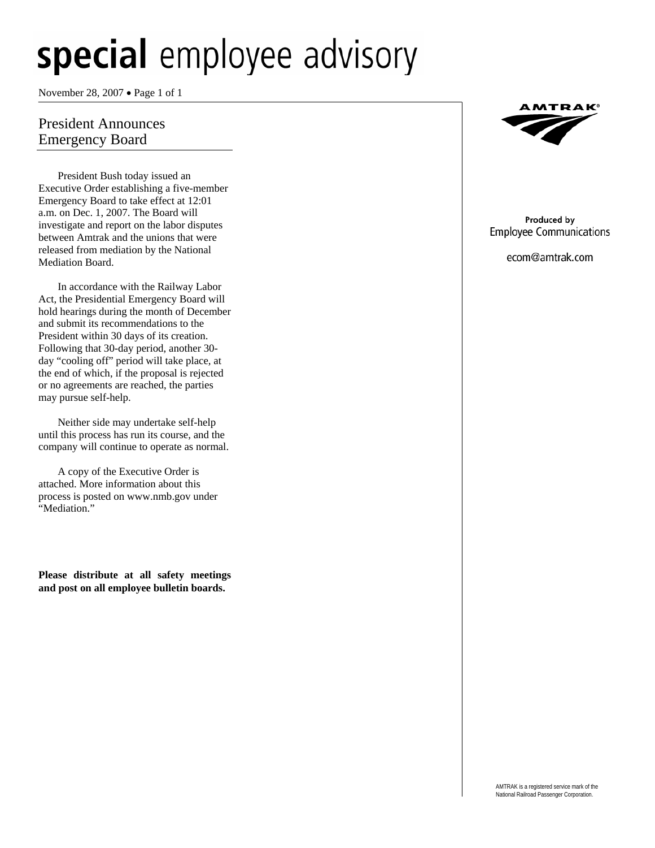November 28, 2007 • Page 1 of 1

## President Announces Emergency Board

President Bush today issued an Executive Order establishing a five-member Emergency Board to take effect at 12:01 a.m. on Dec. 1, 2007. The Board will investigate and report on the labor disputes between Amtrak and the unions that were released from mediation by the National Mediation Board.

In accordance with the Railway Labor Act, the Presidential Emergency Board will hold hearings during the month of December and submit its recommendations to the President within 30 days of its creation. Following that 30-day period, another 30 day "cooling off" period will take place, at the end of which, if the proposal is rejected or no agreements are reached, the parties may pursue self-help.

Neither side may undertake self-help until this process has run its course, and the company will continue to operate as normal.

A copy of the Executive Order is attached. More information about this process is posted on www.nmb.gov under "Mediation."

**Please distribute at all safety meetings and post on all employee bulletin boards.** 



#### Produced by **Employee Communications**

ecom@amtrak.com

AMTRAK is a registered service mark of the National Railroad Passenger Corporation.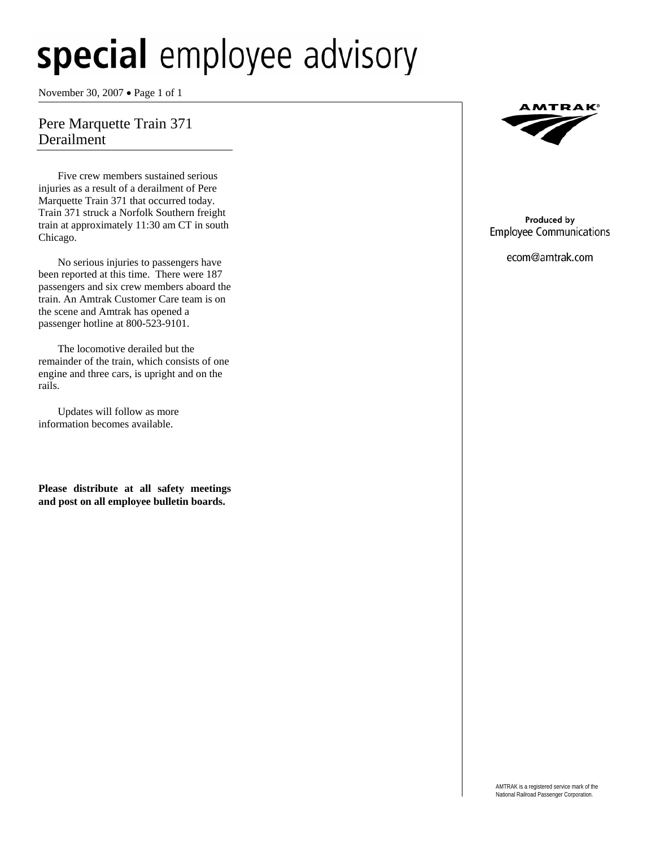November 30, 2007 • Page 1 of 1

## Pere Marquette Train 371 Derailment

 Five crew members sustained serious injuries as a result of a derailment of Pere Marquette Train 371 that occurred today. Train 371 struck a Norfolk Southern freight train at approximately 11:30 am CT in south Chicago.

 No serious injuries to passengers have been reported at this time. There were 187 passengers and six crew members aboard the train. An Amtrak Customer Care team is on the scene and Amtrak has opened a passenger hotline at 800-523-9101.

The locomotive derailed but the remainder of the train, which consists of one engine and three cars, is upright and on the rails.

Updates will follow as more information becomes available.

**Please distribute at all safety meetings and post on all employee bulletin boards.** 



#### Produced by **Employee Communications**

ecom@amtrak.com

AMTRAK is a registered service mark of the National Railroad Passenger Corporation.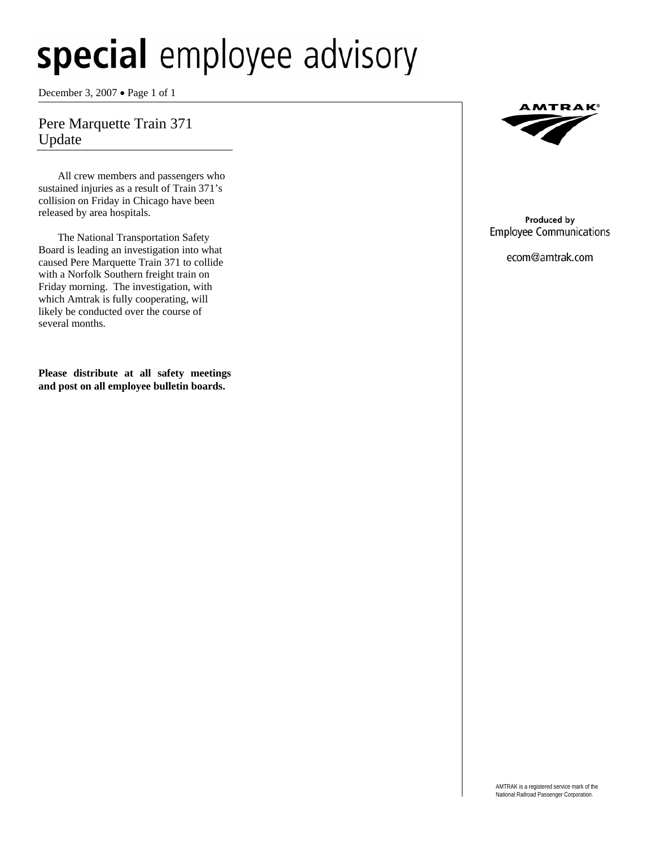December 3, 2007 • Page 1 of 1

## Pere Marquette Train 371 Update

 All crew members and passengers who sustained injuries as a result of Train 371's collision on Friday in Chicago have been released by area hospitals.

 The National Transportation Safety Board is leading an investigation into what caused Pere Marquette Train 371 to collide with a Norfolk Southern freight train on Friday morning. The investigation, with which Amtrak is fully cooperating, will likely be conducted over the course of several months.

**Please distribute at all safety meetings and post on all employee bulletin boards.** 



#### Produced by **Employee Communications**

ecom@amtrak.com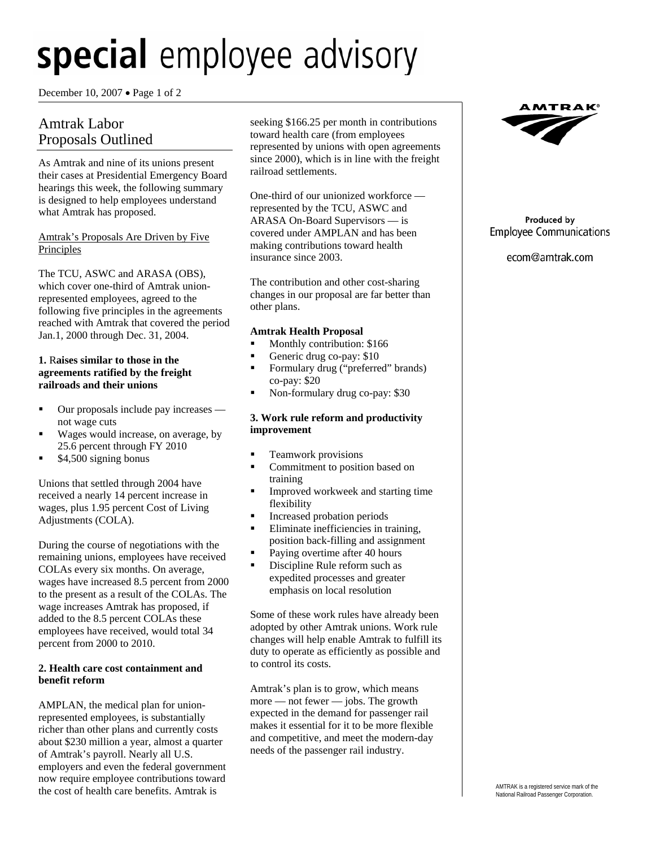December 10, 2007 • Page 1 of 2

## Amtrak Labor Proposals Outlined

As Amtrak and nine of its unions present their cases at Presidential Emergency Board hearings this week, the following summary is designed to help employees understand what Amtrak has proposed.

#### Amtrak's Proposals Are Driven by Five Principles

The TCU, ASWC and ARASA (OBS), which cover one-third of Amtrak unionrepresented employees, agreed to the following five principles in the agreements reached with Amtrak that covered the period Jan.1, 2000 through Dec. 31, 2004.

#### **1.** R**aises similar to those in the agreements ratified by the freight railroads and their unions**

- Our proposals include pay increases not wage cuts
- Wages would increase, on average, by 25.6 percent through FY 2010
- \$4,500 signing bonus

Unions that settled through 2004 have received a nearly 14 percent increase in wages, plus 1.95 percent Cost of Living Adjustments (COLA).

During the course of negotiations with the remaining unions, employees have received COLAs every six months. On average, wages have increased 8.5 percent from 2000 to the present as a result of the COLAs. The wage increases Amtrak has proposed, if added to the 8.5 percent COLAs these employees have received, would total 34 percent from 2000 to 2010.

### **2. Health care cost containment and benefit reform**

AMPLAN, the medical plan for unionrepresented employees, is substantially richer than other plans and currently costs about \$230 million a year, almost a quarter of Amtrak's payroll. Nearly all U.S. employers and even the federal government now require employee contributions toward the cost of health care benefits. Amtrak is

seeking \$166.25 per month in contributions toward health care (from employees represented by unions with open agreements since 2000), which is in line with the freight railroad settlements.

One-third of our unionized workforce represented by the TCU, ASWC and ARASA On-Board Supervisors — is covered under AMPLAN and has been making contributions toward health insurance since 2003.

The contribution and other cost-sharing changes in our proposal are far better than other plans.

#### **Amtrak Health Proposal**

- Monthly contribution: \$166
- Generic drug co-pay: \$10
- Formulary drug ("preferred" brands) co-pay: \$20
- Non-formulary drug co-pay: \$30

#### **3. Work rule reform and productivity improvement**

- Teamwork provisions
- Commitment to position based on training
- Improved workweek and starting time flexibility
- Increased probation periods
- Eliminate inefficiencies in training, position back-filling and assignment
- Paying overtime after 40 hours
- Discipline Rule reform such as expedited processes and greater emphasis on local resolution

Some of these work rules have already been adopted by other Amtrak unions. Work rule changes will help enable Amtrak to fulfill its duty to operate as efficiently as possible and to control its costs.

Amtrak's plan is to grow, which means more — not fewer — jobs. The growth expected in the demand for passenger rail makes it essential for it to be more flexible and competitive, and meet the modern-day needs of the passenger rail industry.



### Produced by **Employee Communications**

ecom@amtrak.com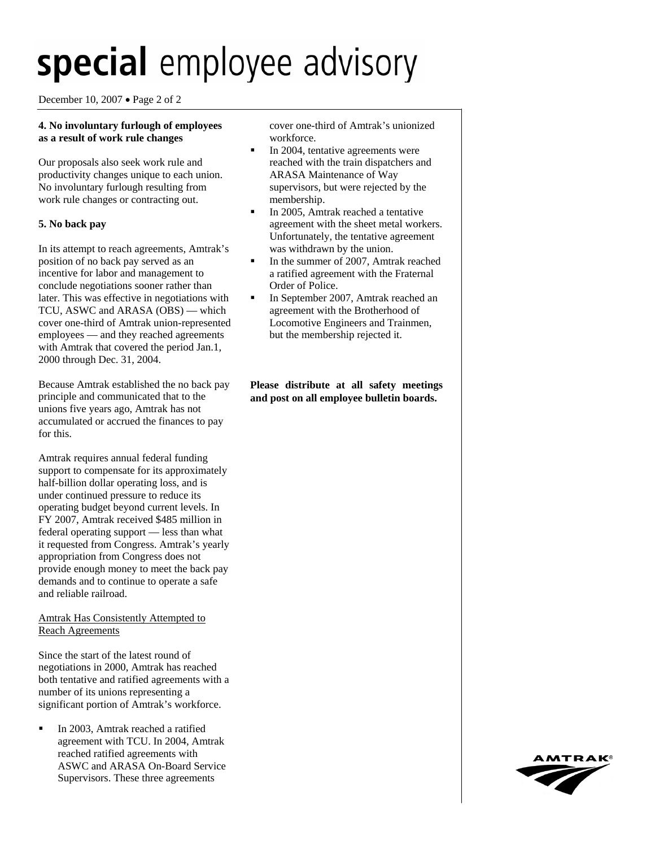December 10, 2007 • Page 2 of 2

### **4. No involuntary furlough of employees as a result of work rule changes**

Our proposals also seek work rule and productivity changes unique to each union. No involuntary furlough resulting from work rule changes or contracting out.

### **5. No back pay**

In its attempt to reach agreements, Amtrak's position of no back pay served as an incentive for labor and management to conclude negotiations sooner rather than later. This was effective in negotiations with TCU, ASWC and ARASA (OBS) — which cover one-third of Amtrak union-represented employees — and they reached agreements with Amtrak that covered the period Jan.1, 2000 through Dec. 31, 2004.

Because Amtrak established the no back pay principle and communicated that to the unions five years ago, Amtrak has not accumulated or accrued the finances to pay for this.

Amtrak requires annual federal funding support to compensate for its approximately half-billion dollar operating loss, and is under continued pressure to reduce its operating budget beyond current levels. In FY 2007, Amtrak received \$485 million in federal operating support — less than what it requested from Congress. Amtrak's yearly appropriation from Congress does not provide enough money to meet the back pay demands and to continue to operate a safe and reliable railroad.

#### Amtrak Has Consistently Attempted to Reach Agreements

Since the start of the latest round of negotiations in 2000, Amtrak has reached both tentative and ratified agreements with a number of its unions representing a significant portion of Amtrak's workforce.

In 2003, Amtrak reached a ratified agreement with TCU. In 2004, Amtrak reached ratified agreements with ASWC and ARASA On-Board Service Supervisors. These three agreements

cover one-third of Amtrak's unionized workforce.

- In 2004, tentative agreements were reached with the train dispatchers and ARASA Maintenance of Way supervisors, but were rejected by the membership.
- In 2005, Amtrak reached a tentative agreement with the sheet metal workers. Unfortunately, the tentative agreement was withdrawn by the union.
- In the summer of 2007, Amtrak reached a ratified agreement with the Fraternal Order of Police.
- In September 2007, Amtrak reached an agreement with the Brotherhood of Locomotive Engineers and Trainmen, but the membership rejected it.

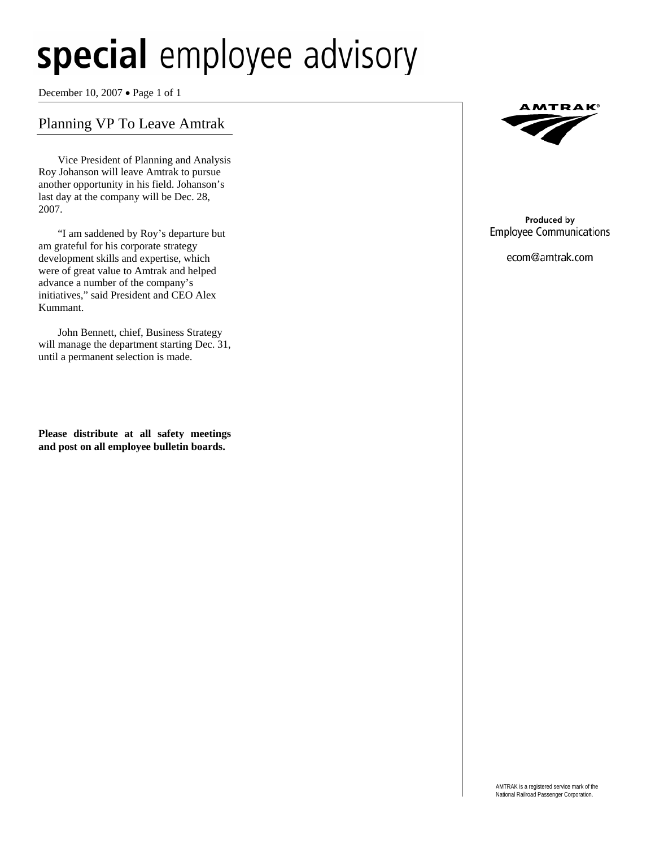December 10, 2007 • Page 1 of 1

## Planning VP To Leave Amtrak

 Vice President of Planning and Analysis Roy Johanson will leave Amtrak to pursue another opportunity in his field. Johanson's last day at the company will be Dec. 28, 2007.

 "I am saddened by Roy's departure but am grateful for his corporate strategy development skills and expertise, which were of great value to Amtrak and helped advance a number of the company's initiatives," said President and CEO Alex Kummant.

 John Bennett, chief, Business Strategy will manage the department starting Dec. 31, until a permanent selection is made.

**Please distribute at all safety meetings and post on all employee bulletin boards.** 



#### Produced by **Employee Communications**

ecom@amtrak.com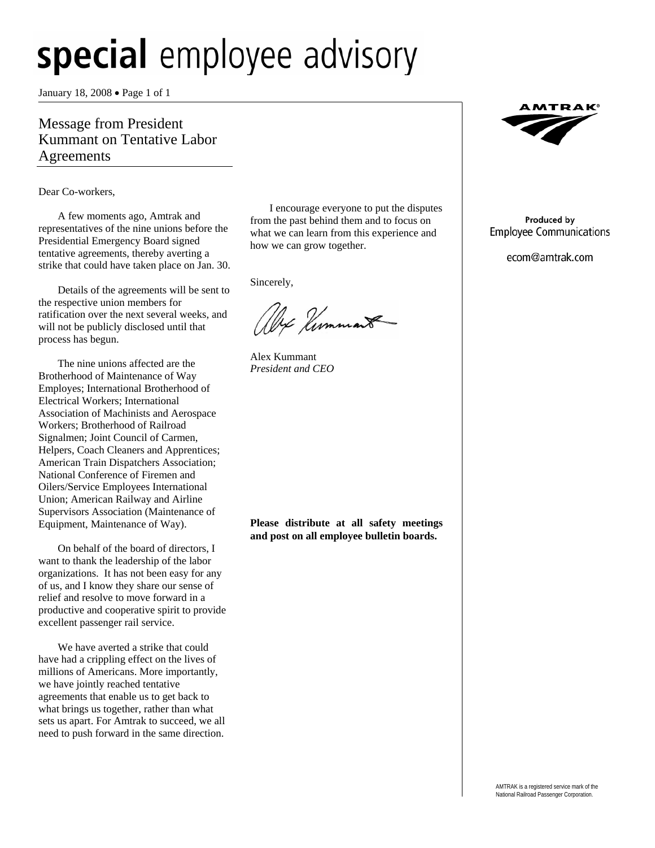January 18, 2008 • Page 1 of 1

## Message from President Kummant on Tentative Labor Agreements

Dear Co-workers,

İ

 A few moments ago, Amtrak and representatives of the nine unions before the Presidential Emergency Board signed tentative agreements, thereby averting a strike that could have taken place on Jan. 30.

 Details of the agreements will be sent to the respective union members for ratification over the next several weeks, and will not be publicly disclosed until that process has begun.

 The nine unions affected are the Brotherhood of Maintenance of Way Employes; International Brotherhood of Electrical Workers; International Association of Machinists and Aerospace Workers; Brotherhood of Railroad Signalmen; Joint Council of Carmen, Helpers, Coach Cleaners and Apprentices; American Train Dispatchers Association; National Conference of Firemen and Oilers/Service Employees International Union; American Railway and Airline Supervisors Association (Maintenance of Equipment, Maintenance of Way).

 On behalf of the board of directors, I want to thank the leadership of the labor organizations. It has not been easy for any of us, and I know they share our sense of relief and resolve to move forward in a productive and cooperative spirit to provide excellent passenger rail service.

 We have averted a strike that could have had a crippling effect on the lives of millions of Americans. More importantly, we have jointly reached tentative agreements that enable us to get back to what brings us together, rather than what sets us apart. For Amtrak to succeed, we all need to push forward in the same direction.

 I encourage everyone to put the disputes from the past behind them and to focus on what we can learn from this experience and how we can grow together.

Sincerely,

Le Hummant

Alex Kummant *President and CEO* 

**Please distribute at all safety meetings and post on all employee bulletin boards.** 



Produced by **Employee Communications** 

ecom@amtrak.com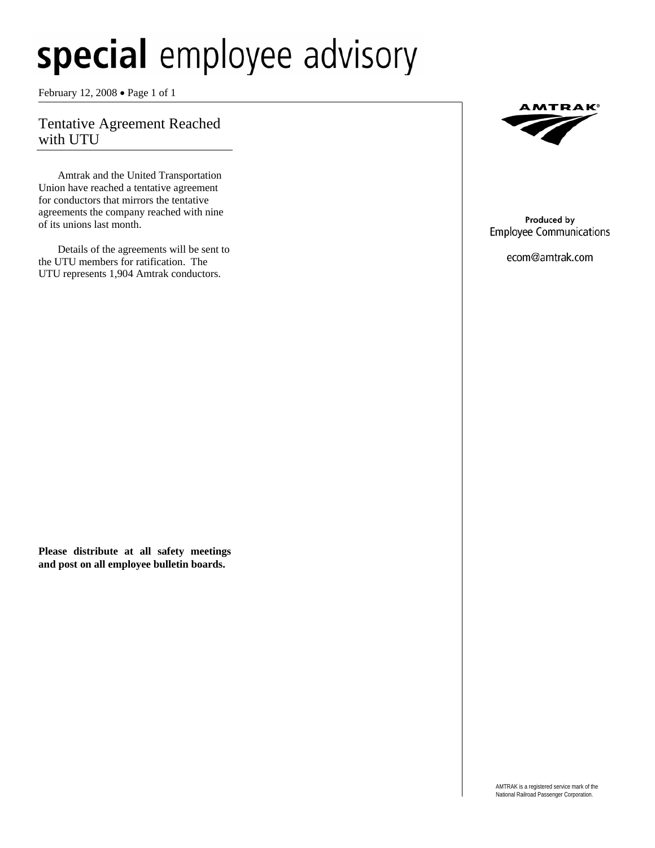February 12, 2008 • Page 1 of 1

İ

## Tentative Agreement Reached with UTU

 Amtrak and the United Transportation Union have reached a tentative agreement for conductors that mirrors the tentative agreements the company reached with nine of its unions last month.

 Details of the agreements will be sent to the UTU members for ratification. The UTU represents 1,904 Amtrak conductors.



Produced by **Employee Communications** 

ecom@amtrak.com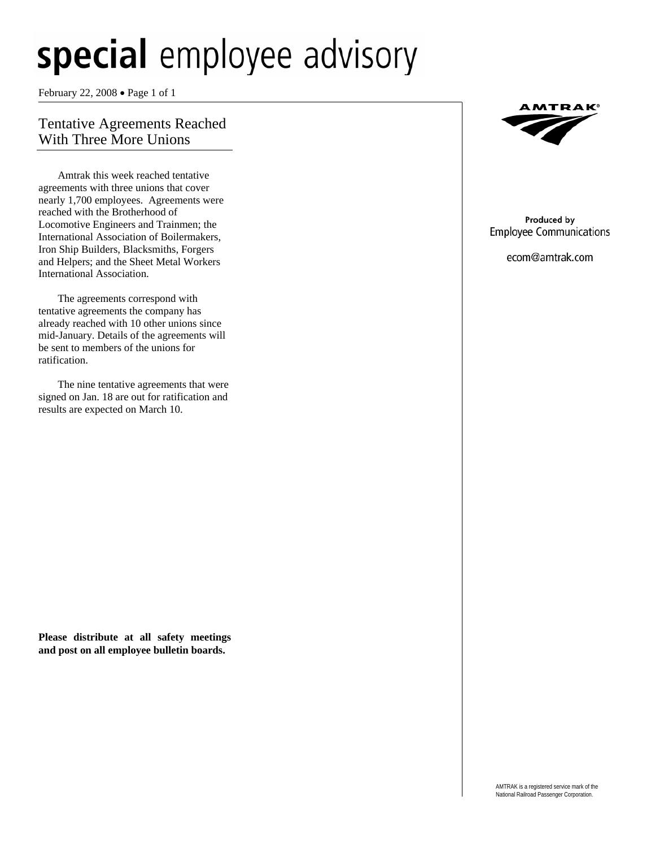February 22, 2008 • Page 1 of 1

İ

## Tentative Agreements Reached With Three More Unions

 Amtrak this week reached tentative agreements with three unions that cover nearly 1,700 employees. Agreements were reached with the Brotherhood of Locomotive Engineers and Trainmen; the International Association of Boilermakers, Iron Ship Builders, Blacksmiths, Forgers and Helpers; and the Sheet Metal Workers International Association.

 The agreements correspond with tentative agreements the company has already reached with 10 other unions since mid-January. Details of the agreements will be sent to members of the unions for ratification.

 The nine tentative agreements that were signed on Jan. 18 are out for ratification and results are expected on March 10.

**MTRAK** 

#### Produced by **Employee Communications**

ecom@amtrak.com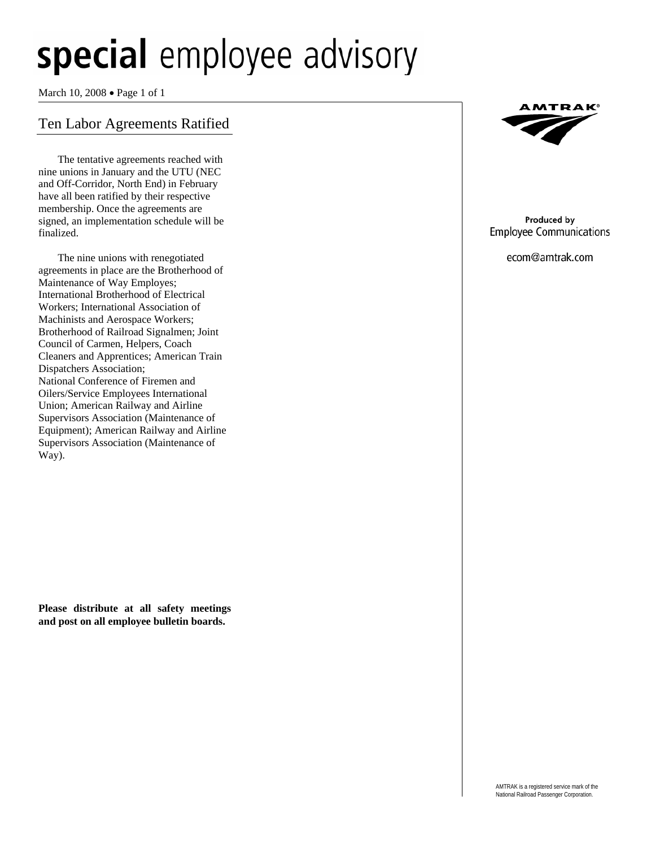March 10, 2008 • Page 1 of 1

İ

## Ten Labor Agreements Ratified

 The tentative agreements reached with nine unions in January and the UTU (NEC and Off-Corridor, North End) in February have all been ratified by their respective membership. Once the agreements are signed, an implementation schedule will be finalized.

 The nine unions with renegotiated agreements in place are the Brotherhood of Maintenance of Way Employes; International Brotherhood of Electrical Workers; International Association of Machinists and Aerospace Workers; Brotherhood of Railroad Signalmen; Joint Council of Carmen, Helpers, Coach Cleaners and Apprentices; American Train Dispatchers Association; National Conference of Firemen and Oilers/Service Employees International Union; American Railway and Airline Supervisors Association (Maintenance of Equipment); American Railway and Airline Supervisors Association (Maintenance of Way).

**Please distribute at all safety meetings and post on all employee bulletin boards.** 



#### Produced by **Employee Communications**

ecom@amtrak.com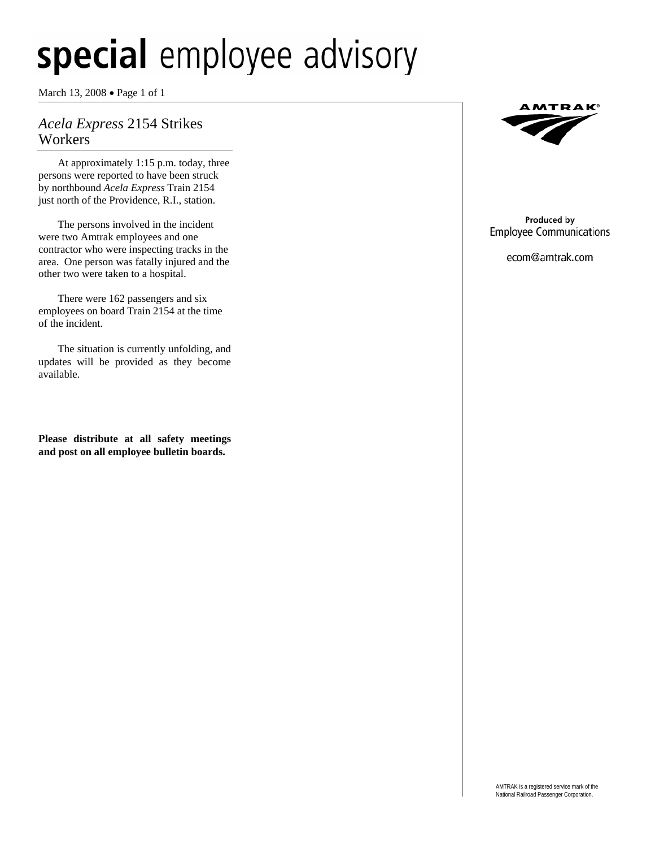March 13, 2008 • Page 1 of 1

## *Acela Express* 2154 Strikes Workers

At approximately 1:15 p.m. today, three persons were reported to have been struck by northbound *Acela Express* Train 2154 just north of the Providence, R.I., station.

The persons involved in the incident were two Amtrak employees and one contractor who were inspecting tracks in the area. One person was fatally injured and the other two were taken to a hospital.

There were 162 passengers and six employees on board Train 2154 at the time of the incident.

The situation is currently unfolding, and updates will be provided as they become available.

**Please distribute at all safety meetings and post on all employee bulletin boards.** 



### Produced by **Employee Communications**

ecom@amtrak.com

AMTRAK is a registered service mark of the National Railroad Passenger Corporation.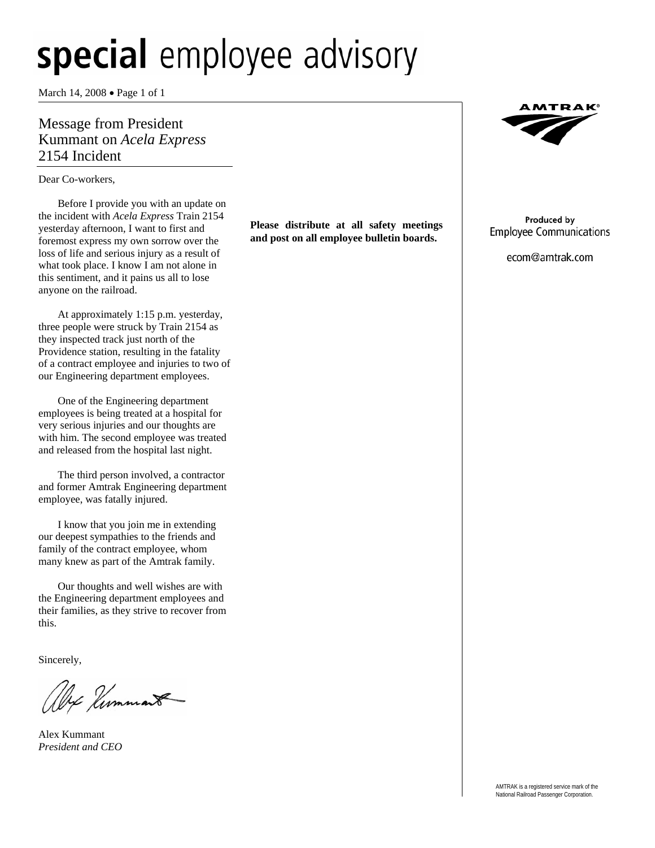March 14, 2008 • Page 1 of 1

## Message from President Kummant on *Acela Express* 2154 Incident

#### Dear Co-workers,

Before I provide you with an update on the incident with *Acela Express* Train 2154 yesterday afternoon, I want to first and foremost express my own sorrow over the loss of life and serious injury as a result of what took place. I know I am not alone in this sentiment, and it pains us all to lose anyone on the railroad.

At approximately 1:15 p.m. yesterday, three people were struck by Train 2154 as they inspected track just north of the Providence station, resulting in the fatality of a contract employee and injuries to two of our Engineering department employees.

One of the Engineering department employees is being treated at a hospital for very serious injuries and our thoughts are with him. The second employee was treated and released from the hospital last night.

The third person involved, a contractor and former Amtrak Engineering department employee, was fatally injured.

I know that you join me in extending our deepest sympathies to the friends and family of the contract employee, whom many knew as part of the Amtrak family.

Our thoughts and well wishes are with the Engineering department employees and their families, as they strive to recover from this.

Sincerely,

Ax Kummant

Alex Kummant *President and CEO*

**Please distribute at all safety meetings and post on all employee bulletin boards.** 



Produced by **Employee Communications** 

ecom@amtrak.com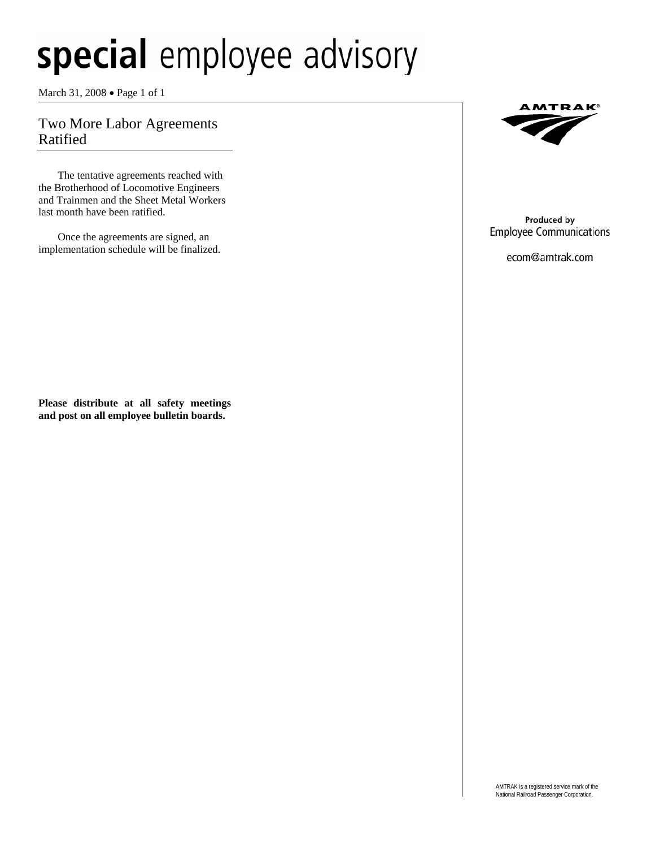## special employee advisory

March 31, 2008 • Page 1 of 1

İ

## Two More Labor Agreements Ratified

 The tentative agreements reached with the Brotherhood of Locomotive Engineers and Trainmen and the Sheet Metal Workers last month have been ratified.

 Once the agreements are signed, an implementation schedule will be finalized.



Produced by **Employee Communications** 

ecom@amtrak.com

**Please distribute at all safety meetings and post on all employee bulletin boards.**